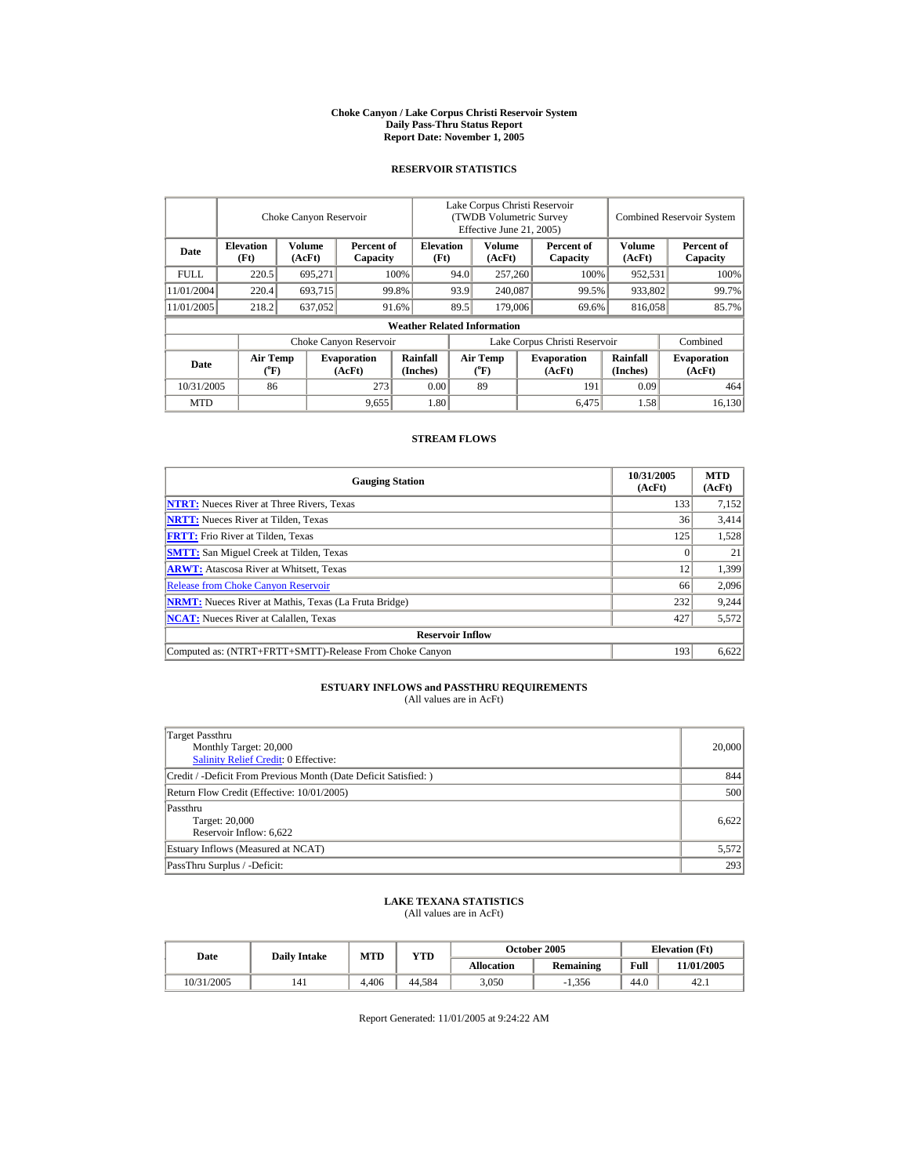#### **Choke Canyon / Lake Corpus Christi Reservoir System Daily Pass-Thru Status Report Report Date: November 1, 2005**

### **RESERVOIR STATISTICS**

|             | Choke Canyon Reservoir   |                  |                              |                                    | Lake Corpus Christi Reservoir<br>(TWDB Volumetric Survey<br>Effective June 21, 2005) |                                         |  |                              |                         | <b>Combined Reservoir System</b> |
|-------------|--------------------------|------------------|------------------------------|------------------------------------|--------------------------------------------------------------------------------------|-----------------------------------------|--|------------------------------|-------------------------|----------------------------------|
| Date        | <b>Elevation</b><br>(Ft) | Volume<br>(AcFt) | Percent of<br>Capacity       |                                    | <b>Elevation</b><br>(Ft)                                                             | Volume<br>(AcFt)                        |  | Percent of<br>Capacity       | <b>Volume</b><br>(AcFt) | Percent of<br>Capacity           |
| <b>FULL</b> | 220.5                    | 695.271          |                              | 100%                               | 94.0                                                                                 | 257,260                                 |  | 100%                         | 952,531                 | 100%                             |
| 11/01/2004  | 220.4                    | 693,715          |                              | 99.8%                              | 93.9                                                                                 | 240,087                                 |  | 99.5%                        | 933,802                 | 99.7%                            |
| 11/01/2005  | 218.2                    | 637,052          |                              | 91.6%                              | 89.5                                                                                 | 179,006                                 |  | 69.6%                        | 816,058                 | 85.7%                            |
|             |                          |                  |                              | <b>Weather Related Information</b> |                                                                                      |                                         |  |                              |                         |                                  |
|             |                          |                  | Choke Canyon Reservoir       |                                    | Lake Corpus Christi Reservoir                                                        |                                         |  |                              |                         | Combined                         |
| Date        | <b>Air Temp</b><br>(°F)  |                  | <b>Evaporation</b><br>(AcFt) | Rainfall<br>(Inches)               |                                                                                      | <b>Air Temp</b><br>$(^{\circ}\text{F})$ |  | <b>Evaporation</b><br>(AcFt) | Rainfall<br>(Inches)    | <b>Evaporation</b><br>(AcFt)     |
| 10/31/2005  | 86                       |                  | 273                          | 0.00                               |                                                                                      | 89                                      |  | 191                          | 0.09                    | 464                              |
| <b>MTD</b>  |                          |                  | 9,655                        | 1.80                               |                                                                                      |                                         |  | 6.475                        | 1.58                    | 16,130                           |

### **STREAM FLOWS**

| <b>Gauging Station</b>                                       | 10/31/2005<br>(AcFt) | <b>MTD</b><br>(AcFt) |
|--------------------------------------------------------------|----------------------|----------------------|
| <b>NTRT:</b> Nueces River at Three Rivers, Texas             | 133                  | 7,152                |
| <b>NRTT:</b> Nueces River at Tilden, Texas                   | 36                   | 3,414                |
| <b>FRTT:</b> Frio River at Tilden, Texas                     | 125                  | 1,528                |
| <b>SMTT:</b> San Miguel Creek at Tilden, Texas               |                      | 21                   |
| <b>ARWT:</b> Atascosa River at Whitsett, Texas               | 12                   | 1,399                |
| <b>Release from Choke Canyon Reservoir</b>                   | 66                   | 2,096                |
| <b>NRMT:</b> Nueces River at Mathis, Texas (La Fruta Bridge) | 232                  | 9,244                |
| <b>NCAT:</b> Nueces River at Calallen, Texas                 | 427                  | 5,572                |
| <b>Reservoir Inflow</b>                                      |                      |                      |
| Computed as: (NTRT+FRTT+SMTT)-Release From Choke Canyon      | 193                  | 6,622                |

## **ESTUARY INFLOWS and PASSTHRU REQUIREMENTS**<br>(All values are in AcFt)

| Target Passthru<br>Monthly Target: 20,000<br>Salinity Relief Credit: 0 Effective: | 20,000 |
|-----------------------------------------------------------------------------------|--------|
| Credit / -Deficit From Previous Month (Date Deficit Satisfied:)                   | 844    |
| Return Flow Credit (Effective: 10/01/2005)                                        | 500    |
| Passthru<br>Target: 20,000<br>Reservoir Inflow: 6,622                             | 6.622  |
| Estuary Inflows (Measured at NCAT)                                                | 5,572  |
| PassThru Surplus / -Deficit:                                                      | 293    |

# **LAKE TEXANA STATISTICS** (All values are in AcFt)

| Date       | <b>Daily Intake</b> | <b>MTD</b> | YTD    |                   | October 2005     | <b>Elevation</b> (Ft) |            |
|------------|---------------------|------------|--------|-------------------|------------------|-----------------------|------------|
|            |                     |            |        | <b>Allocation</b> | <b>Remaining</b> | Full                  | 11/01/2005 |
| 10/31/2005 | 141                 | 4.406      | 44.584 | 3,050             | $-1.356$         | 44.0                  | 42.1       |

Report Generated: 11/01/2005 at 9:24:22 AM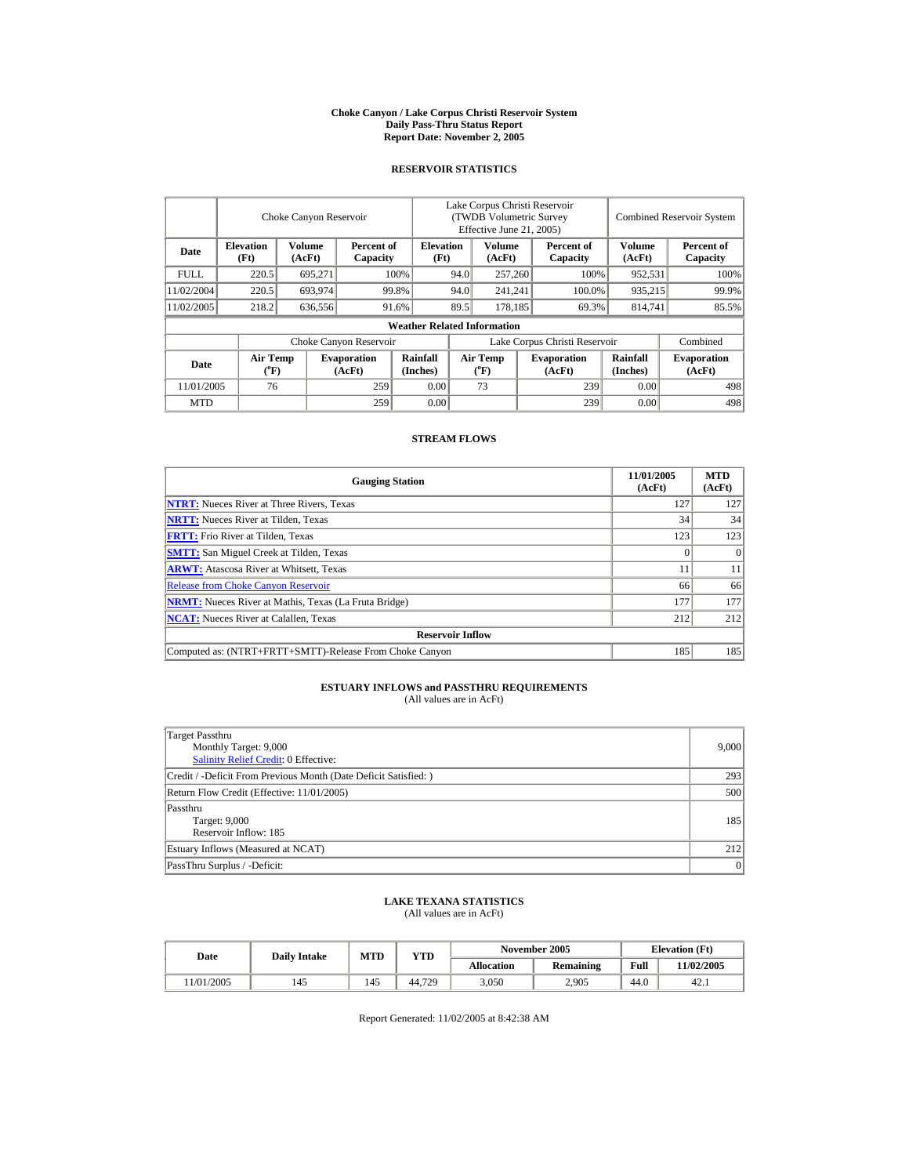#### **Choke Canyon / Lake Corpus Christi Reservoir System Daily Pass-Thru Status Report Report Date: November 2, 2005**

### **RESERVOIR STATISTICS**

|             | Choke Canyon Reservoir   |                  |                              |                                    | Lake Corpus Christi Reservoir<br><b>(TWDB Volumetric Survey)</b><br>Effective June 21, 2005) |                                       |  |                              | <b>Combined Reservoir System</b> |                              |  |
|-------------|--------------------------|------------------|------------------------------|------------------------------------|----------------------------------------------------------------------------------------------|---------------------------------------|--|------------------------------|----------------------------------|------------------------------|--|
| Date        | <b>Elevation</b><br>(Ft) | Volume<br>(AcFt) | Percent of<br>Capacity       |                                    | <b>Elevation</b><br>(Ft)                                                                     | <b>Volume</b><br>(AcFt)               |  | Percent of<br>Capacity       | <b>Volume</b><br>(AcFt)          | Percent of<br>Capacity       |  |
| <b>FULL</b> | 220.5                    | 695.271          |                              | 100%                               | 257,260<br>94.0                                                                              |                                       |  | 100%                         | 952,531                          | 100%                         |  |
| 11/02/2004  | 220.5                    | 693.974          |                              | 99.8%                              | 94.0                                                                                         | 241.241                               |  | 100.0%                       | 935.215                          | 99.9%                        |  |
| 11/02/2005  | 218.2                    | 636,556          |                              | 91.6%                              | 89.5                                                                                         | 178.185                               |  | 69.3%                        | 814,741                          | 85.5%                        |  |
|             |                          |                  |                              | <b>Weather Related Information</b> |                                                                                              |                                       |  |                              |                                  |                              |  |
|             |                          |                  | Choke Canyon Reservoir       |                                    | Lake Corpus Christi Reservoir                                                                |                                       |  |                              |                                  | Combined                     |  |
| Date        | <b>Air Temp</b><br>(°F)  |                  | <b>Evaporation</b><br>(AcFt) | Rainfall<br>(Inches)               |                                                                                              | <b>Air Temp</b><br>$({}^o\mathrm{F})$ |  | <b>Evaporation</b><br>(AcFt) | Rainfall<br>(Inches)             | <b>Evaporation</b><br>(AcFt) |  |
| 11/01/2005  | 76                       |                  | 259                          | 0.00                               |                                                                                              | 73                                    |  | 239                          | 0.00                             | 498                          |  |
| <b>MTD</b>  |                          |                  | 259                          | 0.00                               |                                                                                              |                                       |  | 239                          | 0.00                             | 498                          |  |

### **STREAM FLOWS**

| <b>Gauging Station</b>                                       | 11/01/2005<br>(AcFt) | <b>MTD</b><br>(AcFt) |
|--------------------------------------------------------------|----------------------|----------------------|
| <b>NTRT:</b> Nueces River at Three Rivers, Texas             | 127                  | 127                  |
| <b>NRTT:</b> Nueces River at Tilden, Texas                   | 34                   | 34                   |
| <b>FRTT:</b> Frio River at Tilden, Texas                     | 123                  | 123                  |
| <b>SMTT:</b> San Miguel Creek at Tilden, Texas               |                      | $\Omega$             |
| <b>ARWT:</b> Atascosa River at Whitsett, Texas               | 11                   | 11                   |
| <b>Release from Choke Canyon Reservoir</b>                   | 66                   | 66                   |
| <b>NRMT:</b> Nueces River at Mathis, Texas (La Fruta Bridge) | 177                  | 177                  |
| <b>NCAT:</b> Nueces River at Calallen, Texas                 | 212                  | 212                  |
| <b>Reservoir Inflow</b>                                      |                      |                      |
| Computed as: (NTRT+FRTT+SMTT)-Release From Choke Canyon      | 185                  | 185                  |

## **ESTUARY INFLOWS and PASSTHRU REQUIREMENTS**<br>(All values are in AcFt)

| Target Passthru                                                 |       |
|-----------------------------------------------------------------|-------|
| Monthly Target: 9,000                                           | 9,000 |
| <b>Salinity Relief Credit: 0 Effective:</b>                     |       |
| Credit / -Deficit From Previous Month (Date Deficit Satisfied:) | 293   |
| Return Flow Credit (Effective: 11/01/2005)                      | 500   |
| Passthru                                                        |       |
| Target: 9,000                                                   | 185   |
| Reservoir Inflow: 185                                           |       |
| Estuary Inflows (Measured at NCAT)                              | 212   |
| PassThru Surplus / -Deficit:                                    | 0     |

# **LAKE TEXANA STATISTICS** (All values are in AcFt)

| Date      | <b>Daily Intake</b> | <b>MTD</b> | VTD    |                   | November 2005    |      | <b>Elevation</b> (Ft) |
|-----------|---------------------|------------|--------|-------------------|------------------|------|-----------------------|
|           |                     |            |        | <b>Allocation</b> | <b>Remaining</b> | Full | 11/02/2005            |
| 1/01/2005 | 145                 | 145        | 44,729 | 3,050             | 2,905            | 44.0 | 42.1                  |

Report Generated: 11/02/2005 at 8:42:38 AM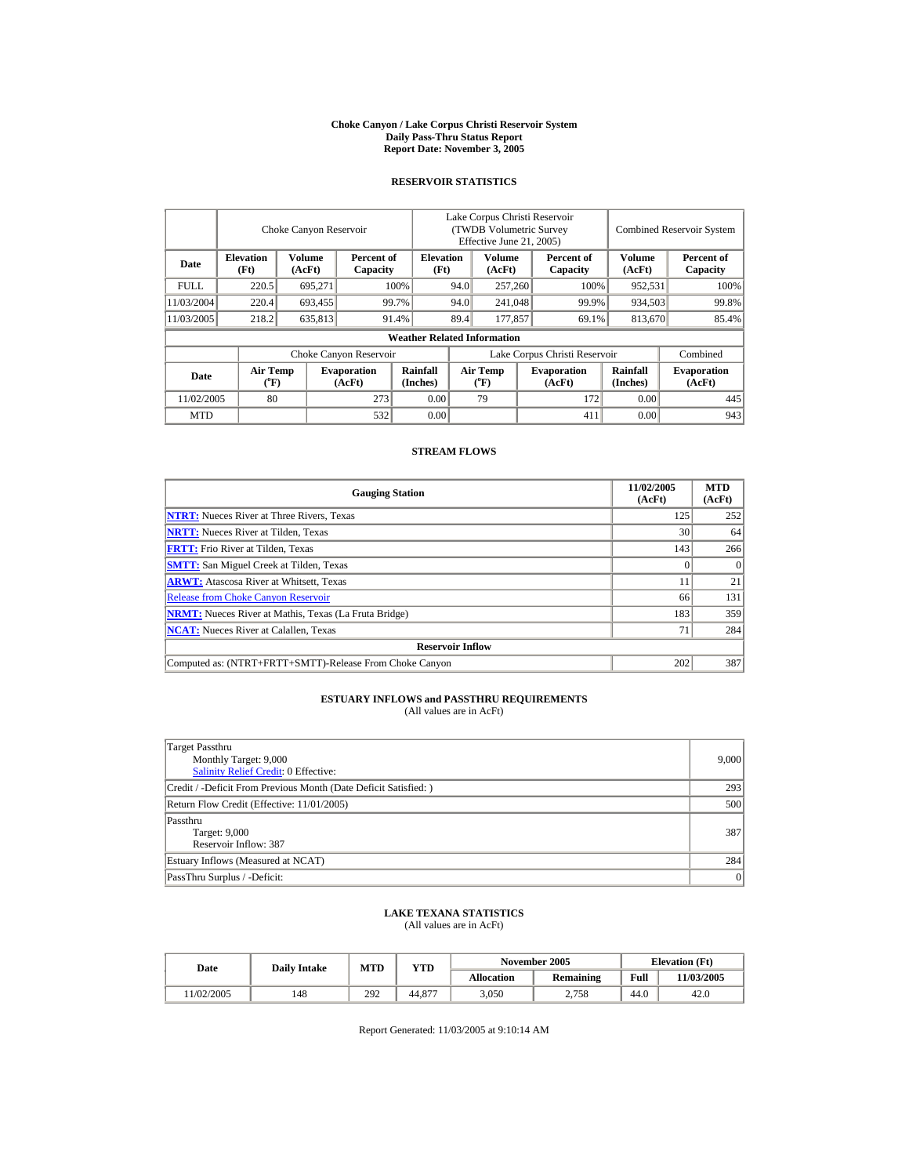#### **Choke Canyon / Lake Corpus Christi Reservoir System Daily Pass-Thru Status Report Report Date: November 3, 2005**

## **RESERVOIR STATISTICS**

|             |                                             | Choke Canyon Reservoir  |                              |                                    | Lake Corpus Christi Reservoir<br>(TWDB Volumetric Survey)<br>Effective June 21, 2005) |                                |  |                              | <b>Combined Reservoir System</b> |                              |
|-------------|---------------------------------------------|-------------------------|------------------------------|------------------------------------|---------------------------------------------------------------------------------------|--------------------------------|--|------------------------------|----------------------------------|------------------------------|
| Date        | <b>Elevation</b><br>(Ft)                    | <b>Volume</b><br>(AcFt) | Percent of<br>Capacity       | <b>Elevation</b><br>(Ft)           |                                                                                       | Volume<br>(AcFt)               |  | Percent of<br>Capacity       | <b>Volume</b><br>(AcFt)          | Percent of<br>Capacity       |
| <b>FULL</b> | 220.5                                       | 695.271                 |                              | 100%                               | 94.0<br>257,260                                                                       |                                |  | 100%                         | 952.531                          | 100%                         |
| 11/03/2004  | 220.4                                       | 693.455                 |                              | 99.7%                              | 94.0                                                                                  | 241,048                        |  | 99.9%                        | 934.503                          | 99.8%                        |
| 11/03/2005  | 218.2                                       | 635,813                 |                              | 91.4%                              | 89.4                                                                                  | 177,857                        |  | 69.1%                        | 813,670                          | 85.4%                        |
|             |                                             |                         |                              | <b>Weather Related Information</b> |                                                                                       |                                |  |                              |                                  |                              |
|             |                                             |                         | Choke Canyon Reservoir       |                                    | Lake Corpus Christi Reservoir                                                         |                                |  |                              |                                  | Combined                     |
| Date        | <b>Air Temp</b><br>$({}^{\circ}\mathrm{F})$ |                         | <b>Evaporation</b><br>(AcFt) | Rainfall<br>(Inches)               |                                                                                       | Air Temp<br>$({}^o\mathrm{F})$ |  | <b>Evaporation</b><br>(AcFt) | Rainfall<br>(Inches)             | <b>Evaporation</b><br>(AcFt) |
| 11/02/2005  | 80                                          |                         | 273                          | 0.00                               |                                                                                       | 79                             |  | 172                          | 0.00                             | 445                          |
| <b>MTD</b>  |                                             |                         | 532                          | 0.00                               |                                                                                       |                                |  | 411                          | 0.00                             | 943                          |

### **STREAM FLOWS**

| <b>Gauging Station</b>                                       | 11/02/2005<br>(AcFt) | <b>MTD</b><br>(AcFt) |
|--------------------------------------------------------------|----------------------|----------------------|
| <b>NTRT:</b> Nueces River at Three Rivers, Texas             | 125                  | 252                  |
| <b>NRTT:</b> Nueces River at Tilden, Texas                   | 30                   | 64                   |
| <b>FRTT:</b> Frio River at Tilden, Texas                     | 143                  | 266                  |
| <b>SMTT:</b> San Miguel Creek at Tilden, Texas               |                      |                      |
| <b>ARWT:</b> Atascosa River at Whitsett, Texas               | . .                  | 21                   |
| <b>Release from Choke Canyon Reservoir</b>                   | 66                   | 131                  |
| <b>NRMT:</b> Nueces River at Mathis, Texas (La Fruta Bridge) | 183                  | 359                  |
| <b>NCAT:</b> Nueces River at Calallen, Texas                 | 71                   | 284                  |
| <b>Reservoir Inflow</b>                                      |                      |                      |
| Computed as: (NTRT+FRTT+SMTT)-Release From Choke Canyon      | 202                  | 387                  |

# **ESTUARY INFLOWS and PASSTHRU REQUIREMENTS**<br>(All values are in AcFt)

| Target Passthru<br>Monthly Target: 9,000<br>Salinity Relief Credit: 0 Effective: | 9,000 |
|----------------------------------------------------------------------------------|-------|
| Credit / -Deficit From Previous Month (Date Deficit Satisfied:)                  | 293   |
| Return Flow Credit (Effective: 11/01/2005)                                       | 500   |
| Passthru<br>Target: 9,000<br>Reservoir Inflow: 387                               | 387   |
| Estuary Inflows (Measured at NCAT)                                               | 284   |
| PassThru Surplus / -Deficit:                                                     | 0     |

## **LAKE TEXANA STATISTICS** (All values are in AcFt)

| Date      | <b>Daily Intake</b> | <b>MTD</b> | <b>VTD</b> |                   | November 2005    | <b>Elevation</b> (Ft) |            |
|-----------|---------------------|------------|------------|-------------------|------------------|-----------------------|------------|
|           |                     |            |            | <b>Allocation</b> | <b>Remaining</b> | Full                  | 11/03/2005 |
| 1/02/2005 | 148                 | 292        | 44,877     | 3.050             | 2.758            | 44.0                  | 42.0       |

Report Generated: 11/03/2005 at 9:10:14 AM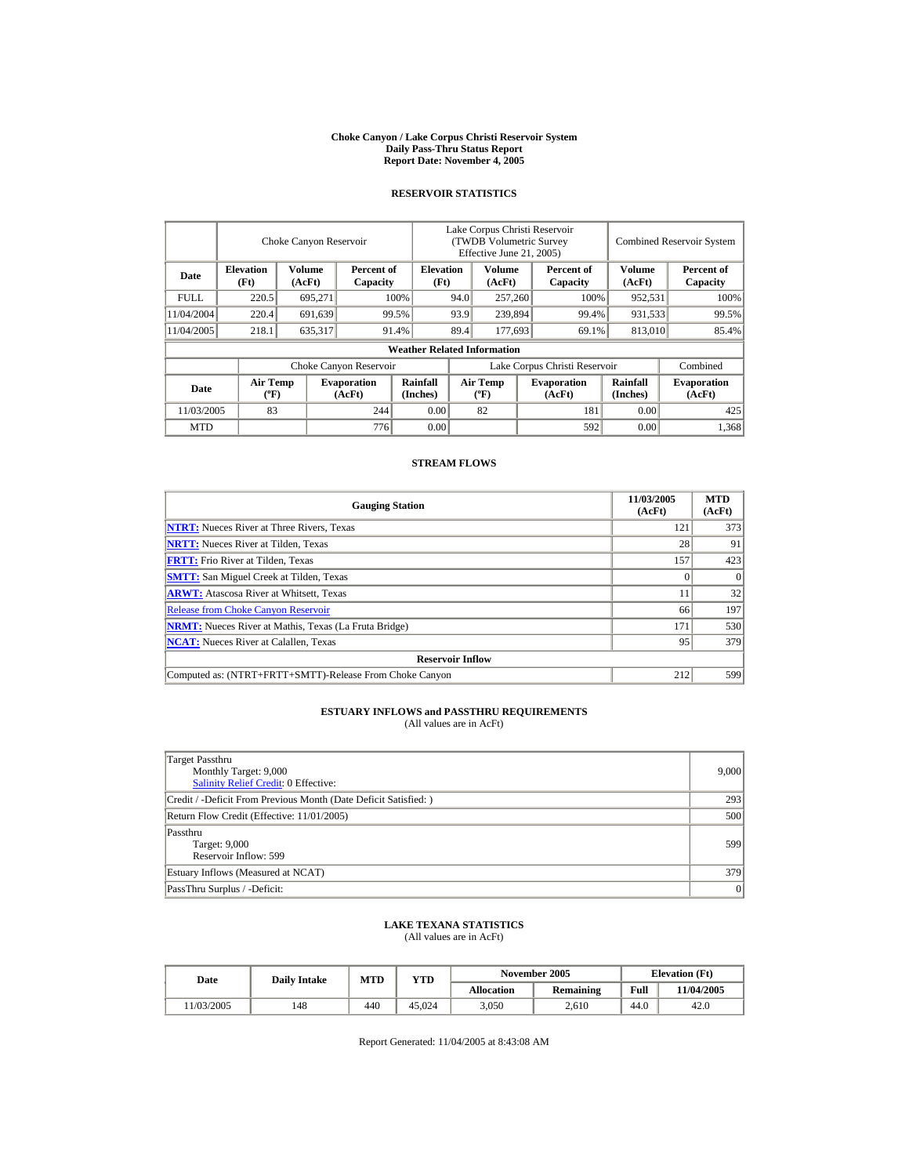#### **Choke Canyon / Lake Corpus Christi Reservoir System Daily Pass-Thru Status Report Report Date: November 4, 2005**

### **RESERVOIR STATISTICS**

|             |                                             | Choke Canyon Reservoir  |                              |                                    | Lake Corpus Christi Reservoir<br>(TWDB Volumetric Survey<br>Effective June 21, 2005) |                                             |       |                              | <b>Combined Reservoir System</b> |                              |
|-------------|---------------------------------------------|-------------------------|------------------------------|------------------------------------|--------------------------------------------------------------------------------------|---------------------------------------------|-------|------------------------------|----------------------------------|------------------------------|
| Date        | <b>Elevation</b><br>(Ft)                    | <b>Volume</b><br>(AcFt) | Percent of<br>Capacity       | <b>Elevation</b><br>(Ft)           |                                                                                      | <b>Volume</b><br>(AcFt)                     |       | Percent of<br>Capacity       | Volume<br>(AcFt)                 | Percent of<br>Capacity       |
| <b>FULL</b> | 220.5                                       | 695,271                 |                              | 100%                               | 94.0                                                                                 | 257,260                                     |       | 100%                         | 952,531                          | 100%                         |
| 11/04/2004  | 220.4                                       | 691,639                 |                              | 99.5%                              | 93.9                                                                                 | 239,894                                     | 99.4% |                              | 931,533                          | 99.5%                        |
| 11/04/2005  | 218.1                                       | 635,317                 |                              | 91.4%                              | 89.4                                                                                 | 177,693                                     |       | 69.1%                        | 813,010                          | 85.4%                        |
|             |                                             |                         |                              | <b>Weather Related Information</b> |                                                                                      |                                             |       |                              |                                  |                              |
|             |                                             |                         | Choke Canyon Reservoir       |                                    | Lake Corpus Christi Reservoir                                                        |                                             |       |                              |                                  | Combined                     |
| Date        | <b>Air Temp</b><br>$({}^{\circ}\mathrm{F})$ |                         | <b>Evaporation</b><br>(AcFt) | Rainfall<br>(Inches)               |                                                                                      | <b>Air Temp</b><br>$({}^{\circ}\mathbf{F})$ |       | <b>Evaporation</b><br>(AcFt) | <b>Rainfall</b><br>(Inches)      | <b>Evaporation</b><br>(AcFt) |
| 11/03/2005  | 83                                          |                         | 244                          | 0.00                               |                                                                                      | 82                                          |       | 181                          | 0.00                             | 425                          |
| <b>MTD</b>  |                                             |                         | 776                          | 0.00                               |                                                                                      |                                             |       | 592                          | 0.00                             | 1,368                        |

### **STREAM FLOWS**

| <b>Gauging Station</b>                                       | 11/03/2005<br>(AcFt) | <b>MTD</b><br>(AcFt) |
|--------------------------------------------------------------|----------------------|----------------------|
| <b>NTRT:</b> Nueces River at Three Rivers, Texas             | 121                  | 373                  |
| <b>NRTT:</b> Nueces River at Tilden, Texas                   | 28                   | 91                   |
| <b>FRTT:</b> Frio River at Tilden, Texas                     | 157                  | 423                  |
| <b>SMTT:</b> San Miguel Creek at Tilden, Texas               |                      | $\Omega$             |
| <b>ARWT:</b> Atascosa River at Whitsett, Texas               |                      | 32                   |
| <b>Release from Choke Canyon Reservoir</b>                   | 66                   | 197                  |
| <b>NRMT:</b> Nueces River at Mathis, Texas (La Fruta Bridge) | 171                  | 530                  |
| <b>NCAT:</b> Nueces River at Calallen, Texas                 | 95                   | 379                  |
| <b>Reservoir Inflow</b>                                      |                      |                      |
| Computed as: (NTRT+FRTT+SMTT)-Release From Choke Canyon      | 212                  | 599                  |

# **ESTUARY INFLOWS and PASSTHRU REQUIREMENTS**<br>(All values are in AcFt)

| Target Passthru<br>Monthly Target: 9,000<br>Salinity Relief Credit: 0 Effective: | 9,000 |
|----------------------------------------------------------------------------------|-------|
| Credit / -Deficit From Previous Month (Date Deficit Satisfied:)                  | 293   |
| Return Flow Credit (Effective: 11/01/2005)                                       | 500   |
| Passthru<br>Target: 9,000<br>Reservoir Inflow: 599                               | 599   |
| Estuary Inflows (Measured at NCAT)                                               | 379   |
| PassThru Surplus / -Deficit:                                                     | 0     |

### **LAKE TEXANA STATISTICS**

(All values are in AcFt)

| Date      | <b>Daily Intake</b> | <b>MTD</b> | YTD    |            | November 2005    | <b>Elevation</b> (Ft) |            |
|-----------|---------------------|------------|--------|------------|------------------|-----------------------|------------|
|           |                     |            |        | Allocation | <b>Remaining</b> | Full                  | 11/04/2005 |
| 1/03/2005 | 148                 | 440        | 45.024 | 3,050      | 2.610            | 44.0                  | 42.0       |

Report Generated: 11/04/2005 at 8:43:08 AM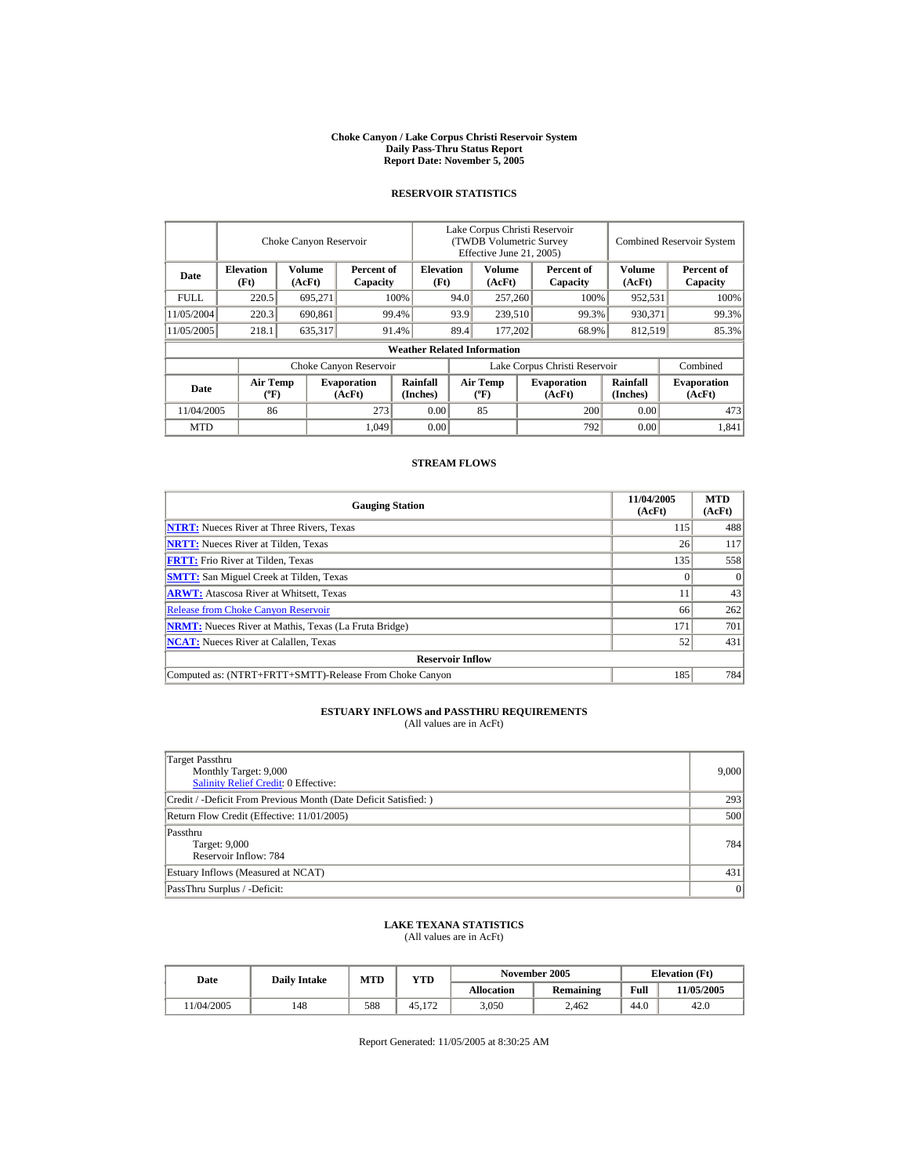#### **Choke Canyon / Lake Corpus Christi Reservoir System Daily Pass-Thru Status Report Report Date: November 5, 2005**

### **RESERVOIR STATISTICS**

|            | Choke Canyon Reservoir                      |                  |                              |                                    | Lake Corpus Christi Reservoir<br>(TWDB Volumetric Survey<br>Effective June 21, 2005) |                                             |  |                              | <b>Combined Reservoir System</b> |                              |  |
|------------|---------------------------------------------|------------------|------------------------------|------------------------------------|--------------------------------------------------------------------------------------|---------------------------------------------|--|------------------------------|----------------------------------|------------------------------|--|
| Date       | <b>Elevation</b><br>(Ft)                    | Volume<br>(AcFt) | Percent of<br>Capacity       | <b>Elevation</b><br>(Ft)           |                                                                                      | Volume<br>(AcFt)                            |  | Percent of<br>Capacity       | Volume<br>(AcFt)                 | Percent of<br>Capacity       |  |
| FULL.      | 220.5                                       | 695,271          |                              | 100%                               | 94.0                                                                                 | 257,260                                     |  | 100%                         | 952,531                          | 100%                         |  |
| 11/05/2004 | 220.3                                       | 690.861          |                              | 99.4%                              | 93.9                                                                                 | 239,510                                     |  | 99.3%                        | 930,371                          | 99.3%                        |  |
| 11/05/2005 | 218.1                                       | 635,317          |                              | 91.4%                              | 89.4                                                                                 | 177,202                                     |  | 68.9%                        | 812,519                          | 85.3%                        |  |
|            |                                             |                  |                              | <b>Weather Related Information</b> |                                                                                      |                                             |  |                              |                                  |                              |  |
|            |                                             |                  | Choke Canyon Reservoir       |                                    | Lake Corpus Christi Reservoir                                                        |                                             |  |                              |                                  | Combined                     |  |
| Date       | <b>Air Temp</b><br>$({}^{\circ}\mathrm{F})$ |                  | <b>Evaporation</b><br>(AcFt) | Rainfall<br>(Inches)               |                                                                                      | <b>Air Temp</b><br>$({}^{\circ}\mathbf{F})$ |  | <b>Evaporation</b><br>(AcFt) | Rainfall<br>(Inches)             | <b>Evaporation</b><br>(AcFt) |  |
| 11/04/2005 | 86                                          |                  | 273                          | 0.00                               |                                                                                      | 85                                          |  | 200                          | 0.00                             | 473                          |  |
| <b>MTD</b> |                                             |                  | 1.049                        | 0.00                               |                                                                                      |                                             |  | 792                          | 0.00                             | 1.841                        |  |

### **STREAM FLOWS**

| <b>Gauging Station</b>                                       | 11/04/2005<br>(AcFt) | <b>MTD</b><br>(AcFt) |
|--------------------------------------------------------------|----------------------|----------------------|
| <b>NTRT:</b> Nueces River at Three Rivers, Texas             | 115                  | 488                  |
| <b>NRTT:</b> Nueces River at Tilden, Texas                   | 26                   | 117                  |
| <b>FRTT:</b> Frio River at Tilden, Texas                     | 135                  | 558                  |
| <b>SMTT:</b> San Miguel Creek at Tilden, Texas               |                      | $\Omega$             |
| <b>ARWT:</b> Atascosa River at Whitsett, Texas               |                      | 43                   |
| <b>Release from Choke Canyon Reservoir</b>                   | 66                   | 262                  |
| <b>NRMT:</b> Nueces River at Mathis, Texas (La Fruta Bridge) | 171                  | 701                  |
| <b>NCAT:</b> Nueces River at Calallen. Texas                 | 52                   | 431                  |
| <b>Reservoir Inflow</b>                                      |                      |                      |
| Computed as: (NTRT+FRTT+SMTT)-Release From Choke Canyon      | 185                  | 784                  |

# **ESTUARY INFLOWS and PASSTHRU REQUIREMENTS**<br>(All values are in AcFt)

| Target Passthru<br>Monthly Target: 9,000<br>Salinity Relief Credit: 0 Effective: | 9,000 |
|----------------------------------------------------------------------------------|-------|
| Credit / -Deficit From Previous Month (Date Deficit Satisfied:)                  | 293   |
| Return Flow Credit (Effective: 11/01/2005)                                       | 500   |
| Passthru<br>Target: 9,000<br>Reservoir Inflow: 784                               | 784   |
| Estuary Inflows (Measured at NCAT)                                               | 431   |
| PassThru Surplus / -Deficit:                                                     | 0     |

### **LAKE TEXANA STATISTICS**

(All values are in AcFt)

| Date      | <b>Daily Intake</b> | <b>MTD</b> | VTD    |            | November 2005    | <b>Elevation</b> (Ft) |           |
|-----------|---------------------|------------|--------|------------|------------------|-----------------------|-----------|
|           |                     |            |        | Allocation | <b>Remaining</b> | Full                  | 1/05/2005 |
| 1/04/2005 | 148                 | 588        | 45.172 | 3,050      | 2.462            | 44.0                  | 42.0      |

Report Generated: 11/05/2005 at 8:30:25 AM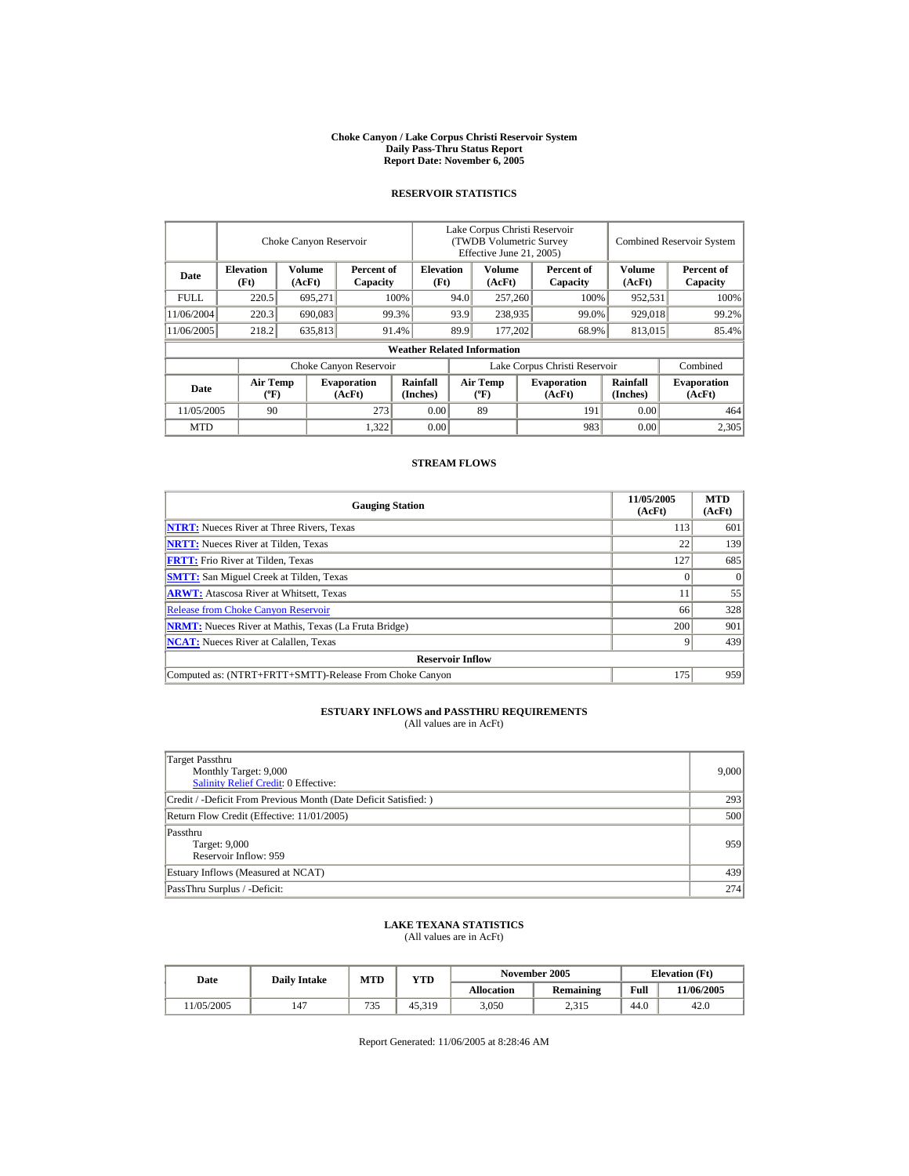#### **Choke Canyon / Lake Corpus Christi Reservoir System Daily Pass-Thru Status Report Report Date: November 6, 2005**

### **RESERVOIR STATISTICS**

|            | Choke Canyon Reservoir                      |                  |                              |                                    | Lake Corpus Christi Reservoir<br>(TWDB Volumetric Survey<br>Effective June 21, 2005) |                                             |         |                              |                      | <b>Combined Reservoir System</b> |  |  |
|------------|---------------------------------------------|------------------|------------------------------|------------------------------------|--------------------------------------------------------------------------------------|---------------------------------------------|---------|------------------------------|----------------------|----------------------------------|--|--|
| Date       | <b>Elevation</b><br>(Ft)                    | Volume<br>(AcFt) | Percent of<br>Capacity       | <b>Elevation</b><br>(Ft)           |                                                                                      | Volume<br>(AcFt)                            |         | Percent of<br>Capacity       | Volume<br>(AcFt)     | Percent of<br>Capacity           |  |  |
| FULL.      | 220.5                                       | 695,271          |                              | 100%                               | 94.0                                                                                 | 257,260                                     |         | 100%                         | 952,531              | 100%                             |  |  |
| 11/06/2004 | 220.3                                       | 690.083          |                              | 99.3%                              | 93.9                                                                                 | 238,935                                     |         | 99.0%                        | 929,018              | 99.2%                            |  |  |
| 11/06/2005 | 218.2                                       | 635,813          |                              | 91.4%                              | 89.9                                                                                 |                                             | 177,202 |                              | 68.9%<br>813,015     | 85.4%                            |  |  |
|            |                                             |                  |                              | <b>Weather Related Information</b> |                                                                                      |                                             |         |                              |                      |                                  |  |  |
|            |                                             |                  | Choke Canyon Reservoir       |                                    | Lake Corpus Christi Reservoir                                                        |                                             |         |                              |                      | Combined                         |  |  |
| Date       | <b>Air Temp</b><br>$({}^{\circ}\mathrm{F})$ |                  | <b>Evaporation</b><br>(AcFt) | Rainfall<br>(Inches)               |                                                                                      | <b>Air Temp</b><br>$({}^{\circ}\mathbf{F})$ |         | <b>Evaporation</b><br>(AcFt) | Rainfall<br>(Inches) | <b>Evaporation</b><br>(AcFt)     |  |  |
| 11/05/2005 | 90                                          |                  | 273                          | 0.00                               |                                                                                      | 89                                          |         | 191                          | 0.00                 | 464                              |  |  |
| <b>MTD</b> |                                             |                  | 1,322                        | 0.00                               |                                                                                      |                                             |         | 983                          | 0.00                 | 2.305                            |  |  |

### **STREAM FLOWS**

| <b>Gauging Station</b>                                       | 11/05/2005<br>(AcFt) | <b>MTD</b><br>(AcFt) |  |  |  |  |
|--------------------------------------------------------------|----------------------|----------------------|--|--|--|--|
| <b>NTRT:</b> Nueces River at Three Rivers, Texas             | 113                  | 601                  |  |  |  |  |
| <b>NRTT:</b> Nueces River at Tilden, Texas                   | 22                   | 139                  |  |  |  |  |
| <b>FRTT:</b> Frio River at Tilden, Texas                     | 127                  | 685                  |  |  |  |  |
| <b>SMTT:</b> San Miguel Creek at Tilden, Texas               |                      | $\Omega$             |  |  |  |  |
| <b>ARWT:</b> Atascosa River at Whitsett, Texas               |                      | 55                   |  |  |  |  |
| <b>Release from Choke Canyon Reservoir</b>                   | 66                   | 328                  |  |  |  |  |
| <b>NRMT:</b> Nueces River at Mathis, Texas (La Fruta Bridge) | 200                  | 901                  |  |  |  |  |
| <b>NCAT:</b> Nueces River at Calallen. Texas                 |                      | 439                  |  |  |  |  |
| <b>Reservoir Inflow</b>                                      |                      |                      |  |  |  |  |
| Computed as: (NTRT+FRTT+SMTT)-Release From Choke Canyon      | 175                  | 959                  |  |  |  |  |

# **ESTUARY INFLOWS and PASSTHRU REQUIREMENTS**<br>(All values are in AcFt)

| Target Passthru<br>Monthly Target: 9,000<br>Salinity Relief Credit: 0 Effective: | 9,000 |
|----------------------------------------------------------------------------------|-------|
| Credit / -Deficit From Previous Month (Date Deficit Satisfied:)                  | 293   |
| Return Flow Credit (Effective: 11/01/2005)                                       | 500   |
| Passthru<br>Target: 9,000<br>Reservoir Inflow: 959                               | 959   |
| Estuary Inflows (Measured at NCAT)                                               | 439   |
| PassThru Surplus / -Deficit:                                                     | 274   |

## **LAKE TEXANA STATISTICS**

(All values are in AcFt)

| Date      | <b>Daily Intake</b> | <b>MTD</b> | VTD    |            | November 2005    | <b>Elevation</b> (Ft) |           |
|-----------|---------------------|------------|--------|------------|------------------|-----------------------|-----------|
|           |                     |            |        | Allocation | <b>Remaining</b> | Full                  | 1/06/2005 |
| 1/05/2005 | 147                 | 735        | 45.319 | 3,050      | 2,315            | 44.0                  | 42.0      |

Report Generated: 11/06/2005 at 8:28:46 AM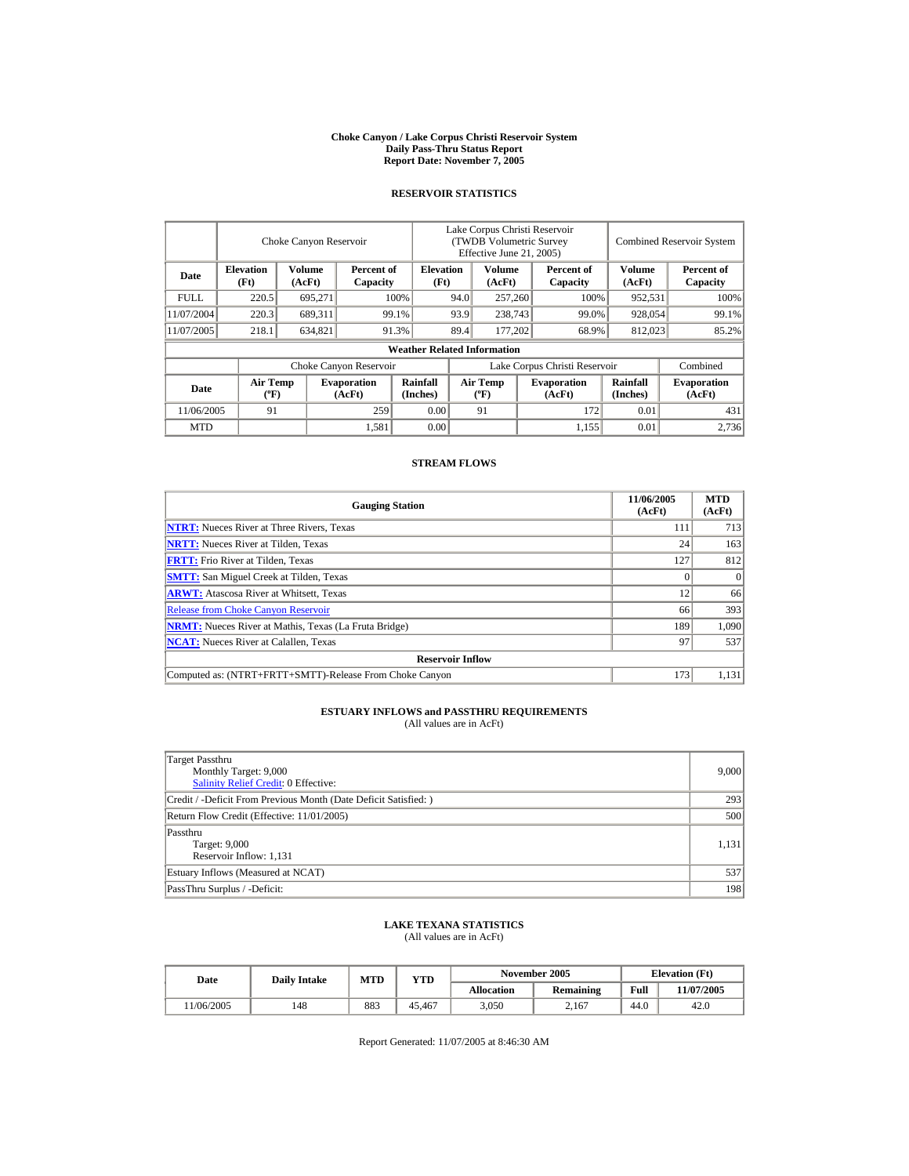#### **Choke Canyon / Lake Corpus Christi Reservoir System Daily Pass-Thru Status Report Report Date: November 7, 2005**

### **RESERVOIR STATISTICS**

|            | Choke Canyon Reservoir             |                  |                              |                                    | Lake Corpus Christi Reservoir<br>(TWDB Volumetric Survey<br>Effective June 21, 2005) |                                      |  |                              |                      | <b>Combined Reservoir System</b> |  |  |
|------------|------------------------------------|------------------|------------------------------|------------------------------------|--------------------------------------------------------------------------------------|--------------------------------------|--|------------------------------|----------------------|----------------------------------|--|--|
| Date       | <b>Elevation</b><br>(Ft)           | Volume<br>(AcFt) | Percent of<br>Capacity       | <b>Elevation</b><br>(Ft)           |                                                                                      | Volume<br>(AcFt)                     |  | Percent of<br>Capacity       | Volume<br>(AcFt)     | Percent of<br>Capacity           |  |  |
| FULL.      | 220.5                              | 695,271          |                              | 100%                               | 94.0                                                                                 | 257,260                              |  | 100%                         | 952,531              | 100%                             |  |  |
| 11/07/2004 | 220.3                              | 689,311          |                              | 99.1%                              | 93.9                                                                                 | 238,743                              |  | 99.0%                        | 928,054              | 99.1%                            |  |  |
| 11/07/2005 | 218.1                              | 634,821          |                              | 91.3%                              | 89.4                                                                                 | 177,202                              |  | 68.9%                        | 812,023              | 85.2%                            |  |  |
|            |                                    |                  |                              | <b>Weather Related Information</b> |                                                                                      |                                      |  |                              |                      |                                  |  |  |
|            |                                    |                  | Choke Canyon Reservoir       |                                    | Lake Corpus Christi Reservoir                                                        |                                      |  |                              |                      | Combined                         |  |  |
| Date       | <b>Air Temp</b><br>$({}^{\circ}F)$ |                  | <b>Evaporation</b><br>(AcFt) | <b>Rainfall</b><br>(Inches)        |                                                                                      | Air Temp<br>$({}^{\circ}\mathrm{F})$ |  | <b>Evaporation</b><br>(AcFt) | Rainfall<br>(Inches) | <b>Evaporation</b><br>(AcFt)     |  |  |
| 11/06/2005 | 91                                 |                  | 259                          | 0.00                               |                                                                                      | 91                                   |  | 172                          | 0.01                 | 431                              |  |  |
| <b>MTD</b> |                                    |                  | 1,581                        | 0.00                               |                                                                                      |                                      |  | 1.155                        | 0.01                 | 2,736                            |  |  |

### **STREAM FLOWS**

| <b>Gauging Station</b>                                       | 11/06/2005<br>(AcFt) | <b>MTD</b><br>(AcFt) |
|--------------------------------------------------------------|----------------------|----------------------|
| <b>NTRT:</b> Nueces River at Three Rivers, Texas             | 111                  | 713                  |
| <b>NRTT:</b> Nueces River at Tilden, Texas                   | 24                   | 163                  |
| <b>FRTT:</b> Frio River at Tilden, Texas                     | 127                  | 812                  |
| <b>SMTT:</b> San Miguel Creek at Tilden, Texas               |                      | $\Omega$             |
| <b>ARWT:</b> Atascosa River at Whitsett, Texas               | 12                   | 66                   |
| <b>Release from Choke Canyon Reservoir</b>                   | 66                   | 393                  |
| <b>NRMT:</b> Nueces River at Mathis, Texas (La Fruta Bridge) | 189                  | 1.090                |
| <b>NCAT:</b> Nueces River at Calallen, Texas                 | 97                   | 537                  |
| <b>Reservoir Inflow</b>                                      |                      |                      |
| Computed as: (NTRT+FRTT+SMTT)-Release From Choke Canyon      | 173                  | 1,131                |

# **ESTUARY INFLOWS and PASSTHRU REQUIREMENTS**<br>(All values are in AcFt)

| Target Passthru<br>Monthly Target: 9,000<br>Salinity Relief Credit: 0 Effective: | 9,000 |
|----------------------------------------------------------------------------------|-------|
| Credit / -Deficit From Previous Month (Date Deficit Satisfied:)                  | 293   |
| Return Flow Credit (Effective: 11/01/2005)                                       | 500   |
| Passthru<br>Target: 9,000<br>Reservoir Inflow: 1,131                             | 1,131 |
| Estuary Inflows (Measured at NCAT)                                               | 537   |
| PassThru Surplus / -Deficit:                                                     | 198   |

## **LAKE TEXANA STATISTICS**

(All values are in AcFt)

| Date      | <b>Daily Intake</b> | <b>MTD</b> | VTD    |            | November 2005    | <b>Elevation</b> (Ft) |           |
|-----------|---------------------|------------|--------|------------|------------------|-----------------------|-----------|
|           |                     |            |        | Allocation | <b>Remaining</b> | Full                  | 1/07/2005 |
| 1/06/2005 | 148                 | 883        | 45.467 | 3,050      | 2.167            | 44.0                  | 42.0      |

Report Generated: 11/07/2005 at 8:46:30 AM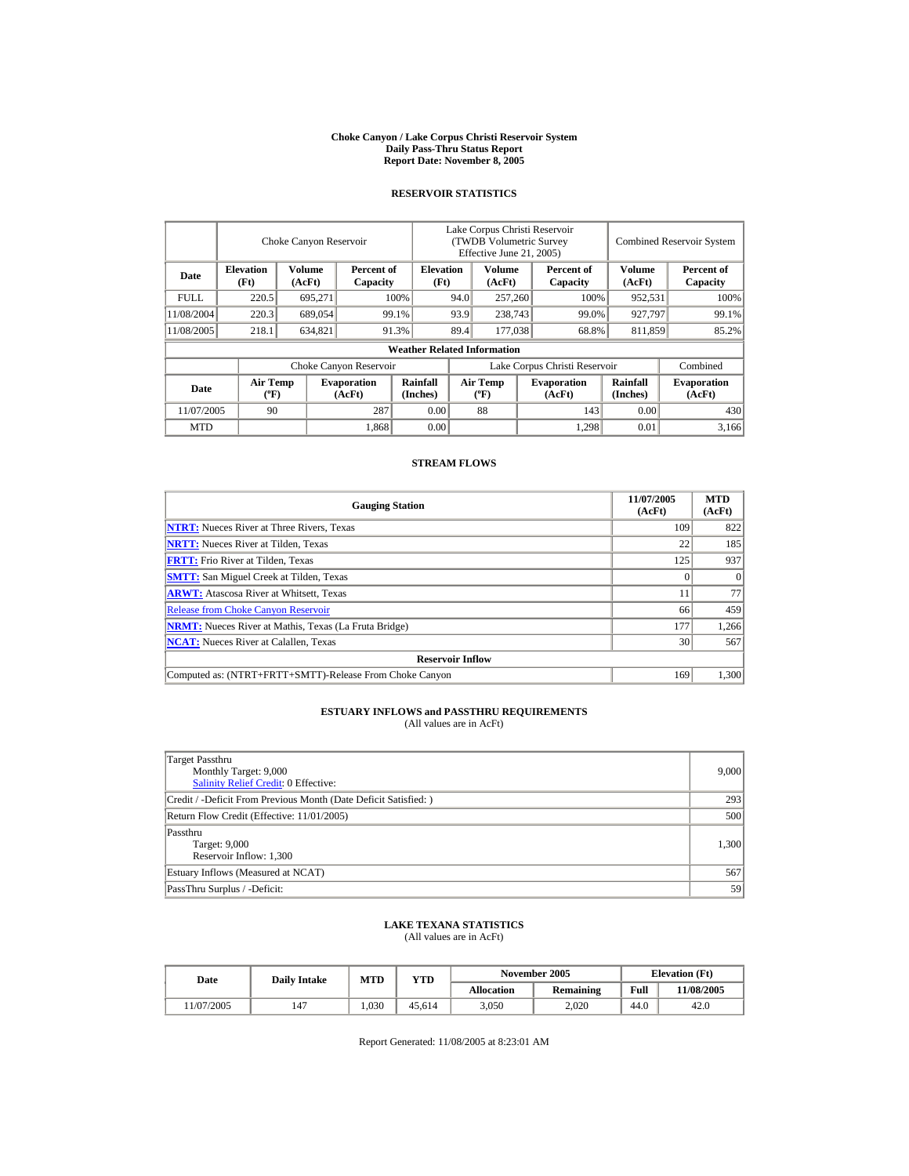#### **Choke Canyon / Lake Corpus Christi Reservoir System Daily Pass-Thru Status Report Report Date: November 8, 2005**

### **RESERVOIR STATISTICS**

|            | Choke Canyon Reservoir                      |                  |                              |                                    | Lake Corpus Christi Reservoir<br>(TWDB Volumetric Survey<br>Effective June 21, 2005) |                                             |  |                              |                      | <b>Combined Reservoir System</b> |  |  |
|------------|---------------------------------------------|------------------|------------------------------|------------------------------------|--------------------------------------------------------------------------------------|---------------------------------------------|--|------------------------------|----------------------|----------------------------------|--|--|
| Date       | <b>Elevation</b><br>(Ft)                    | Volume<br>(AcFt) | Percent of<br>Capacity       | <b>Elevation</b><br>(Ft)           |                                                                                      | Volume<br>(AcFt)                            |  | Percent of<br>Capacity       | Volume<br>(AcFt)     | Percent of<br>Capacity           |  |  |
| FULL.      | 220.5                                       | 695,271          |                              | 100%                               | 94.0                                                                                 | 257,260                                     |  | 100%                         | 952,531              | 100%                             |  |  |
| 11/08/2004 | 220.3                                       | 689,054          |                              | 93.9<br>99.1%                      |                                                                                      | 238,743                                     |  | 99.0%                        | 927,797              | 99.1%                            |  |  |
| 11/08/2005 | 218.1                                       | 634.821          |                              | 91.3%                              | 89.4                                                                                 | 177,038                                     |  | 68.8%                        | 811,859              | 85.2%                            |  |  |
|            |                                             |                  |                              | <b>Weather Related Information</b> |                                                                                      |                                             |  |                              |                      |                                  |  |  |
|            |                                             |                  | Choke Canyon Reservoir       |                                    | Lake Corpus Christi Reservoir                                                        |                                             |  |                              |                      | Combined                         |  |  |
| Date       | <b>Air Temp</b><br>$({}^{\circ}\mathrm{F})$ |                  | <b>Evaporation</b><br>(AcFt) | Rainfall<br>(Inches)               |                                                                                      | <b>Air Temp</b><br>$({}^{\circ}\mathbf{F})$ |  | <b>Evaporation</b><br>(AcFt) | Rainfall<br>(Inches) | <b>Evaporation</b><br>(AcFt)     |  |  |
| 11/07/2005 | 90                                          |                  | 287                          | 0.00                               |                                                                                      | 88                                          |  | 143                          | 0.00                 | 430                              |  |  |
| <b>MTD</b> |                                             |                  | 1,868                        | 0.00                               |                                                                                      |                                             |  | 1,298                        | 0.01                 | 3.166                            |  |  |

### **STREAM FLOWS**

| <b>Gauging Station</b>                                       | 11/07/2005<br>(AcFt) | <b>MTD</b><br>(AcFt) |
|--------------------------------------------------------------|----------------------|----------------------|
| <b>NTRT:</b> Nueces River at Three Rivers, Texas             | 109                  | 822                  |
| <b>NRTT:</b> Nueces River at Tilden, Texas                   | 22                   | 185                  |
| <b>FRTT:</b> Frio River at Tilden, Texas                     | 125                  | 937                  |
| <b>SMTT:</b> San Miguel Creek at Tilden, Texas               |                      | $\Omega$             |
| <b>ARWT:</b> Atascosa River at Whitsett, Texas               |                      | 77                   |
| <b>Release from Choke Canyon Reservoir</b>                   | 66                   | 459                  |
| <b>NRMT:</b> Nueces River at Mathis, Texas (La Fruta Bridge) | 177                  | 1,266                |
| <b>NCAT:</b> Nueces River at Calallen, Texas                 | 30                   | 567                  |
| <b>Reservoir Inflow</b>                                      |                      |                      |
| Computed as: (NTRT+FRTT+SMTT)-Release From Choke Canyon      | 169                  | 1.300                |

# **ESTUARY INFLOWS and PASSTHRU REQUIREMENTS**<br>(All values are in AcFt)

| Target Passthru<br>Monthly Target: 9,000<br><b>Salinity Relief Credit: 0 Effective:</b> | 9,000 |
|-----------------------------------------------------------------------------------------|-------|
| Credit / -Deficit From Previous Month (Date Deficit Satisfied:)                         | 293   |
| Return Flow Credit (Effective: 11/01/2005)                                              | 500   |
| Passthru<br>Target: 9,000<br>Reservoir Inflow: 1,300                                    | 1,300 |
| Estuary Inflows (Measured at NCAT)                                                      | 567   |
| PassThru Surplus / -Deficit:                                                            | 59    |

## **LAKE TEXANA STATISTICS**

(All values are in AcFt)

| Date      | <b>Daily Intake</b> | <b>MTD</b> | VTD    |            | November 2005    | <b>Elevation</b> (Ft) |           |
|-----------|---------------------|------------|--------|------------|------------------|-----------------------|-----------|
|           |                     |            |        | Allocation | <b>Remaining</b> | Full                  | 1/08/2005 |
| 1/07/2005 | 147                 | .030       | 45.614 | 3,050      | 2.020            | 44.0                  | 42.0      |

Report Generated: 11/08/2005 at 8:23:01 AM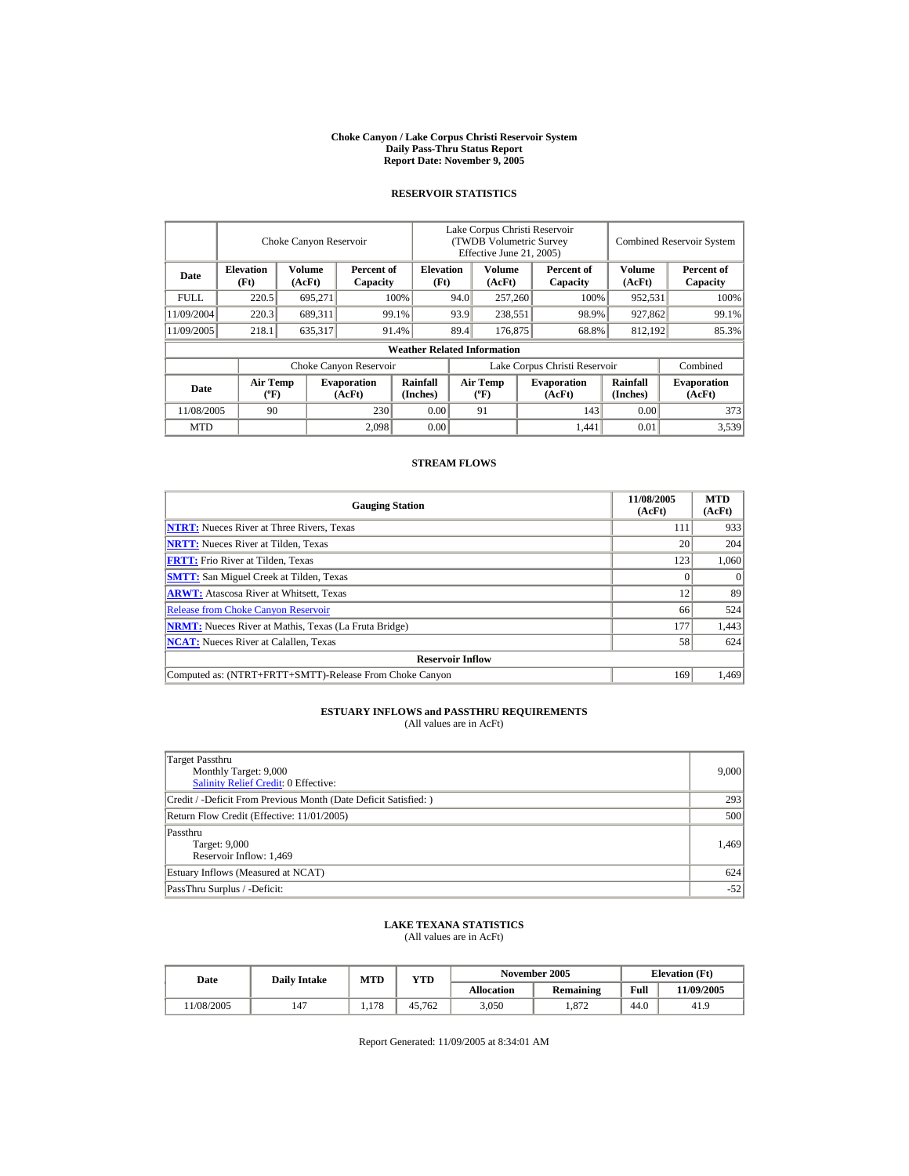#### **Choke Canyon / Lake Corpus Christi Reservoir System Daily Pass-Thru Status Report Report Date: November 9, 2005**

### **RESERVOIR STATISTICS**

|             | Choke Canyon Reservoir                      |                  |                              |                                    | Lake Corpus Christi Reservoir<br>(TWDB Volumetric Survey<br>Effective June 21, 2005) |                                             |  |                              |                             | <b>Combined Reservoir System</b> |  |  |
|-------------|---------------------------------------------|------------------|------------------------------|------------------------------------|--------------------------------------------------------------------------------------|---------------------------------------------|--|------------------------------|-----------------------------|----------------------------------|--|--|
| Date        | <b>Elevation</b><br>(Ft)                    | Volume<br>(AcFt) | Percent of<br>Capacity       | <b>Elevation</b><br>(Ft)           |                                                                                      | Volume<br>(AcFt)                            |  | Percent of<br>Capacity       | Volume<br>(AcFt)            | Percent of<br>Capacity           |  |  |
| <b>FULL</b> | 220.5                                       | 695,271          |                              | 100%                               | 94.0                                                                                 | 257,260                                     |  | 100%                         | 952,531                     | 100%                             |  |  |
| 11/09/2004  | 220.3                                       | 689,311          |                              | 99.1%                              | 93.9                                                                                 | 238,551                                     |  | 98.9%                        | 927,862                     | 99.1%                            |  |  |
| 11/09/2005  | 218.1                                       | 635,317          |                              | 91.4%                              | 89.4                                                                                 | 176,875                                     |  | 68.8%                        | 812,192                     | 85.3%                            |  |  |
|             |                                             |                  |                              | <b>Weather Related Information</b> |                                                                                      |                                             |  |                              |                             |                                  |  |  |
|             |                                             |                  | Choke Canyon Reservoir       |                                    | Lake Corpus Christi Reservoir                                                        |                                             |  |                              |                             | Combined                         |  |  |
| Date        | <b>Air Temp</b><br>$({}^{\circ}\mathrm{F})$ |                  | <b>Evaporation</b><br>(AcFt) | Rainfall<br>(Inches)               |                                                                                      | <b>Air Temp</b><br>$({}^{\circ}\mathbf{F})$ |  | <b>Evaporation</b><br>(AcFt) | <b>Rainfall</b><br>(Inches) | <b>Evaporation</b><br>(AcFt)     |  |  |
| 11/08/2005  | 90                                          |                  | 230                          | 0.00                               |                                                                                      | 91                                          |  | 143                          | 0.00                        | 373                              |  |  |
| <b>MTD</b>  |                                             |                  | 2.098                        | 0.00                               |                                                                                      |                                             |  | 1,441                        | 0.01                        | 3,539                            |  |  |

### **STREAM FLOWS**

| <b>Gauging Station</b>                                       | 11/08/2005<br>(AcFt) | <b>MTD</b><br>(AcFt) |
|--------------------------------------------------------------|----------------------|----------------------|
| <b>NTRT:</b> Nueces River at Three Rivers, Texas             | 111                  | 933                  |
| <b>NRTT:</b> Nueces River at Tilden, Texas                   | 20                   | 204                  |
| <b>FRTT:</b> Frio River at Tilden, Texas                     | 123                  | 1,060                |
| <b>SMTT:</b> San Miguel Creek at Tilden, Texas               | 0                    | $^{(1)}$             |
| <b>ARWT:</b> Atascosa River at Whitsett, Texas               | 12                   | 89                   |
| <b>Release from Choke Canyon Reservoir</b>                   | 66                   | 524                  |
| <b>NRMT:</b> Nueces River at Mathis, Texas (La Fruta Bridge) | 177                  | 1,443                |
| <b>NCAT:</b> Nueces River at Calallen. Texas                 | 58                   | 624                  |
| <b>Reservoir Inflow</b>                                      |                      |                      |
| Computed as: (NTRT+FRTT+SMTT)-Release From Choke Canyon      | 169                  | 1.469                |

# **ESTUARY INFLOWS and PASSTHRU REQUIREMENTS**<br>(All values are in AcFt)

| Target Passthru<br>Monthly Target: 9,000<br>Salinity Relief Credit: 0 Effective: | 9,000 |
|----------------------------------------------------------------------------------|-------|
| Credit / -Deficit From Previous Month (Date Deficit Satisfied:)                  | 293   |
| Return Flow Credit (Effective: 11/01/2005)                                       | 500   |
| Passthru<br>Target: 9,000<br>Reservoir Inflow: 1,469                             | 1.469 |
| Estuary Inflows (Measured at NCAT)                                               | 624   |
| PassThru Surplus / -Deficit:                                                     | $-52$ |

## **LAKE TEXANA STATISTICS**

(All values are in AcFt)

| <b>Date</b> | <b>Daily Intake</b> | MTD | VTD    |                   | November 2005    | <b>Elevation</b> (Ft) |           |
|-------------|---------------------|-----|--------|-------------------|------------------|-----------------------|-----------|
|             |                     |     |        | <b>Allocation</b> | <b>Remaining</b> | Full                  | 1/09/2005 |
| 1/08/2005   | 147                 | 178 | 45.762 | 3,050             | . 872            | 44.0                  | 41.9      |

Report Generated: 11/09/2005 at 8:34:01 AM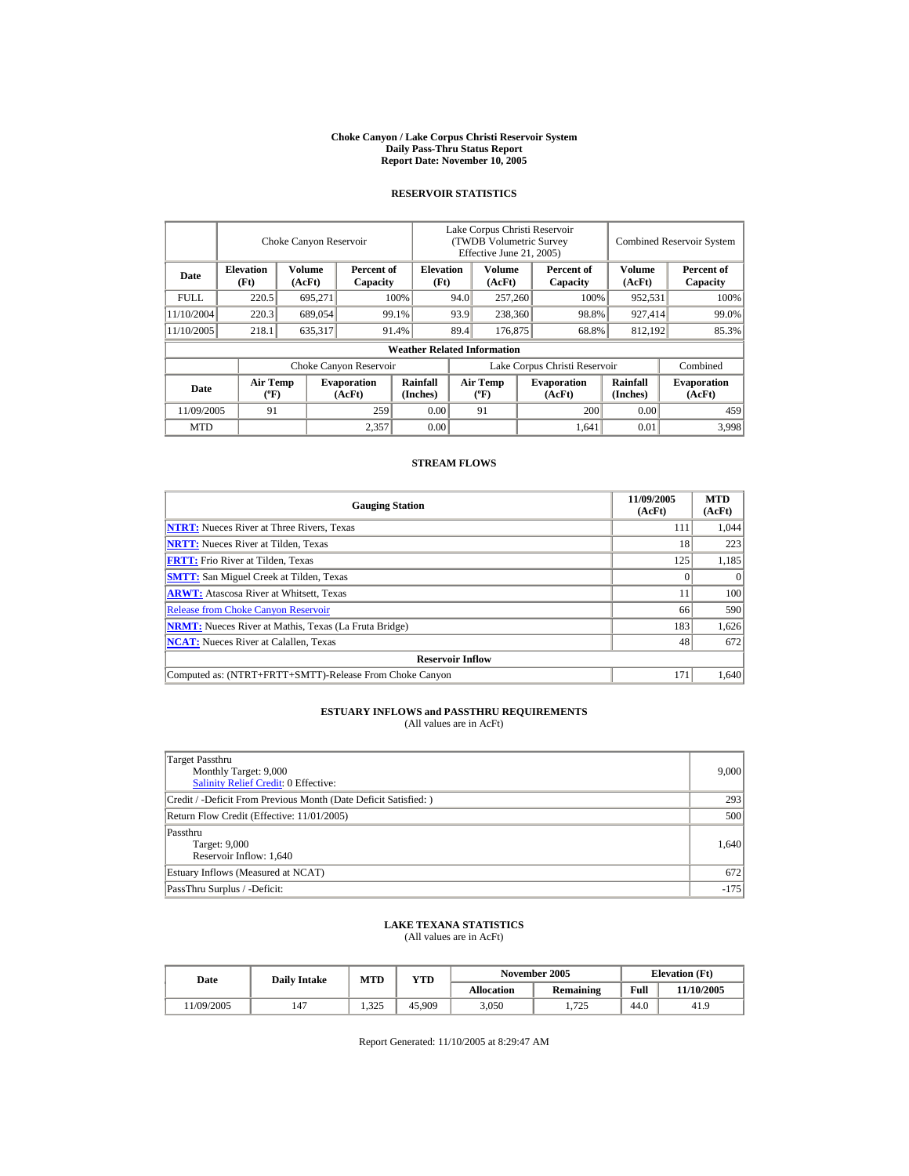#### **Choke Canyon / Lake Corpus Christi Reservoir System Daily Pass-Thru Status Report Report Date: November 10, 2005**

### **RESERVOIR STATISTICS**

|            | Choke Canyon Reservoir                       |         |                                                    |                                    | Lake Corpus Christi Reservoir<br>(TWDB Volumetric Survey<br>Effective June 21, 2005) |                                      |  |                              |                      | <b>Combined Reservoir System</b> |  |
|------------|----------------------------------------------|---------|----------------------------------------------------|------------------------------------|--------------------------------------------------------------------------------------|--------------------------------------|--|------------------------------|----------------------|----------------------------------|--|
| Date       | <b>Elevation</b><br>Volume<br>(Ft)<br>(AcFt) |         | <b>Elevation</b><br>Percent of<br>Capacity<br>(Ft) |                                    |                                                                                      | Volume<br>(AcFt)                     |  | Percent of<br>Capacity       | Volume<br>(AcFt)     | Percent of<br>Capacity           |  |
| FULL.      | 220.5                                        | 695,271 |                                                    | 100%                               | 94.0                                                                                 | 257,260                              |  | 100%                         | 952,531              | 100%                             |  |
| 11/10/2004 | 220.3                                        | 689,054 |                                                    | 99.1%                              | 93.9                                                                                 | 238,360                              |  | 98.8%                        | 927,414              | 99.0%                            |  |
| 11/10/2005 | 218.1                                        | 635,317 |                                                    | 91.4%                              | 89.4                                                                                 | 176,875                              |  | 68.8%                        | 812,192              | 85.3%                            |  |
|            |                                              |         |                                                    | <b>Weather Related Information</b> |                                                                                      |                                      |  |                              |                      |                                  |  |
|            |                                              |         | Choke Canyon Reservoir                             |                                    | Lake Corpus Christi Reservoir                                                        |                                      |  |                              |                      | Combined                         |  |
| Date       | Air Temp<br>$({}^{\circ}F)$                  |         | <b>Evaporation</b><br>(AcFt)                       | <b>Rainfall</b><br>(Inches)        |                                                                                      | Air Temp<br>$({}^{\circ}\mathrm{F})$ |  | <b>Evaporation</b><br>(AcFt) | Rainfall<br>(Inches) | <b>Evaporation</b><br>(AcFt)     |  |
|            | 91<br>259<br>11/09/2005                      |         |                                                    |                                    | 0.00                                                                                 | 91                                   |  | 200                          | 0.00                 | 459                              |  |
| <b>MTD</b> |                                              |         | 2,357                                              | 0.00                               |                                                                                      |                                      |  | 1.641                        | 0.01                 | 3.998                            |  |

### **STREAM FLOWS**

| <b>Gauging Station</b>                                       | 11/09/2005<br>(AcFt) | <b>MTD</b><br>(AcFt) |
|--------------------------------------------------------------|----------------------|----------------------|
| <b>NTRT:</b> Nueces River at Three Rivers, Texas             | 111                  | 1.044                |
| <b>NRTT:</b> Nueces River at Tilden, Texas                   | 18                   | 223                  |
| <b>FRTT:</b> Frio River at Tilden, Texas                     | 125                  | 1,185                |
| <b>SMTT:</b> San Miguel Creek at Tilden, Texas               |                      | $\Omega$             |
| <b>ARWT:</b> Atascosa River at Whitsett, Texas               |                      | 100                  |
| <b>Release from Choke Canyon Reservoir</b>                   | 66                   | 590                  |
| <b>NRMT:</b> Nueces River at Mathis, Texas (La Fruta Bridge) | 183                  | 1,626                |
| <b>NCAT:</b> Nueces River at Calallen. Texas                 | 48                   | 672                  |
| <b>Reservoir Inflow</b>                                      |                      |                      |
| Computed as: (NTRT+FRTT+SMTT)-Release From Choke Canyon      | 171                  | 1.640                |

# **ESTUARY INFLOWS and PASSTHRU REQUIREMENTS**<br>(All values are in AcFt)

| Target Passthru<br>Monthly Target: 9,000<br>Salinity Relief Credit: 0 Effective: | 9,000  |
|----------------------------------------------------------------------------------|--------|
| Credit / -Deficit From Previous Month (Date Deficit Satisfied:)                  | 293    |
| Return Flow Credit (Effective: 11/01/2005)                                       | 500    |
| Passthru<br>Target: 9,000<br>Reservoir Inflow: 1,640                             | 1,640  |
| Estuary Inflows (Measured at NCAT)                                               | 672    |
| PassThru Surplus / -Deficit:                                                     | $-175$ |

## **LAKE TEXANA STATISTICS**

(All values are in AcFt)

| Date      | <b>Daily Intake</b> | <b>MTD</b> | VTD    |            | November 2005    |      | <b>Elevation</b> (Ft) |
|-----------|---------------------|------------|--------|------------|------------------|------|-----------------------|
|           |                     |            |        | Allocation | <b>Remaining</b> | Full | 11/10/2005            |
| 1/09/2005 | 147                 | 1.325      | 45.909 | 3,050      | 1.725            | 44.0 | 41.9                  |

Report Generated: 11/10/2005 at 8:29:47 AM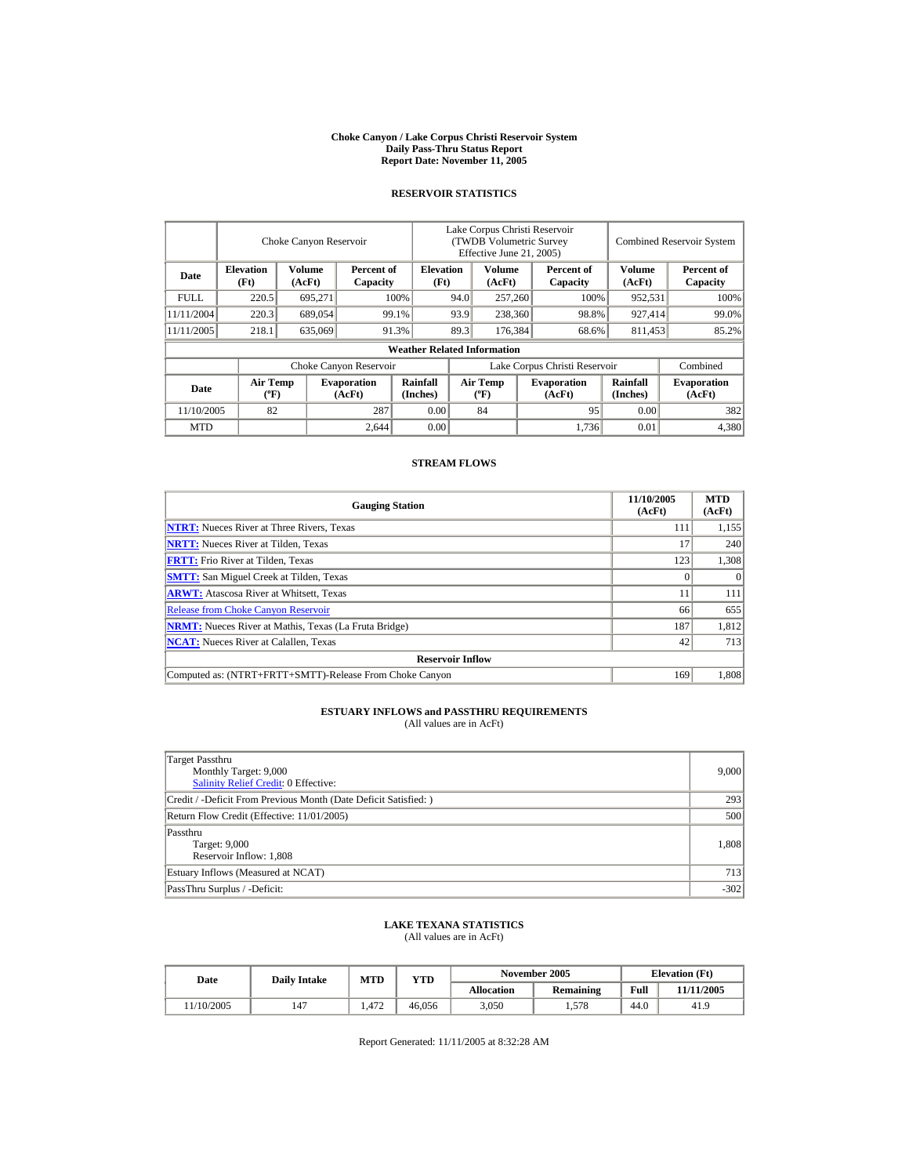#### **Choke Canyon / Lake Corpus Christi Reservoir System Daily Pass-Thru Status Report Report Date: November 11, 2005**

### **RESERVOIR STATISTICS**

|            | Choke Canyon Reservoir      |                  |                              |                                    | Lake Corpus Christi Reservoir<br>(TWDB Volumetric Survey<br>Effective June 21, 2005) |                                      |  |                              |                      | <b>Combined Reservoir System</b> |
|------------|-----------------------------|------------------|------------------------------|------------------------------------|--------------------------------------------------------------------------------------|--------------------------------------|--|------------------------------|----------------------|----------------------------------|
| Date       | <b>Elevation</b><br>(Ft)    | Volume<br>(AcFt) | Percent of<br>Capacity       | <b>Elevation</b><br>(Ft)           |                                                                                      | Volume<br>(AcFt)                     |  | Percent of<br>Capacity       | Volume<br>(AcFt)     | Percent of<br>Capacity           |
| FULL.      | 220.5                       | 695,271          |                              | 100%                               | 94.0                                                                                 | 257,260                              |  | 100%                         | 952,531              | 100%                             |
| 11/11/2004 | 220.3                       | 689,054          |                              | 99.1%                              | 93.9                                                                                 | 238,360                              |  | 98.8%                        | 927,414              | 99.0%                            |
| 11/11/2005 | 218.1                       | 635,069          |                              | 91.3%                              | 89.3                                                                                 | 176.384                              |  | 68.6%                        | 811,453              | 85.2%                            |
|            |                             |                  |                              | <b>Weather Related Information</b> |                                                                                      |                                      |  |                              |                      |                                  |
|            |                             |                  | Choke Canyon Reservoir       |                                    | Lake Corpus Christi Reservoir                                                        |                                      |  |                              |                      | Combined                         |
| Date       | Air Temp<br>$({}^{\circ}F)$ |                  | <b>Evaporation</b><br>(AcFt) | <b>Rainfall</b><br>(Inches)        |                                                                                      | Air Temp<br>$({}^{\circ}\mathrm{F})$ |  | <b>Evaporation</b><br>(AcFt) | Rainfall<br>(Inches) | <b>Evaporation</b><br>(AcFt)     |
|            | 82<br>287<br>11/10/2005     |                  |                              |                                    | 0.00                                                                                 | 84                                   |  | 95                           | 0.00                 | 382                              |
| <b>MTD</b> |                             |                  | 2,644                        | 0.00                               |                                                                                      |                                      |  | 1,736                        | 0.01                 | 4,380                            |

### **STREAM FLOWS**

| <b>Gauging Station</b>                                       | 11/10/2005<br>(AcFt) | <b>MTD</b><br>(AcFt) |
|--------------------------------------------------------------|----------------------|----------------------|
| <b>NTRT:</b> Nueces River at Three Rivers, Texas             | 111                  | 1,155                |
| <b>NRTT:</b> Nueces River at Tilden, Texas                   | 17                   | 240                  |
| <b>FRTT:</b> Frio River at Tilden, Texas                     | 123                  | 1,308                |
| <b>SMTT:</b> San Miguel Creek at Tilden, Texas               |                      | $\Omega$             |
| <b>ARWT:</b> Atascosa River at Whitsett, Texas               |                      | 111                  |
| <b>Release from Choke Canyon Reservoir</b>                   | 66                   | 655                  |
| <b>NRMT:</b> Nueces River at Mathis, Texas (La Fruta Bridge) | 187                  | 1,812                |
| <b>NCAT:</b> Nueces River at Calallen. Texas                 | 42                   | 713                  |
| <b>Reservoir Inflow</b>                                      |                      |                      |
| Computed as: (NTRT+FRTT+SMTT)-Release From Choke Canyon      | 169                  | 1.808                |

# **ESTUARY INFLOWS and PASSTHRU REQUIREMENTS**<br>(All values are in AcFt)

| Target Passthru<br>Monthly Target: 9,000<br><b>Salinity Relief Credit: 0 Effective:</b> | 9,000  |
|-----------------------------------------------------------------------------------------|--------|
| Credit / -Deficit From Previous Month (Date Deficit Satisfied:)                         | 293    |
| Return Flow Credit (Effective: 11/01/2005)                                              | 500    |
| Passthru<br>Target: 9,000<br>Reservoir Inflow: 1,808                                    | 1,808  |
| Estuary Inflows (Measured at NCAT)                                                      | 713    |
| PassThru Surplus / -Deficit:                                                            | $-302$ |

## **LAKE TEXANA STATISTICS**

(All values are in AcFt)

| Date      | <b>Daily Intake</b> | <b>MTD</b><br>VTD |        |            | November 2005    | <b>Elevation</b> (Ft) |            |
|-----------|---------------------|-------------------|--------|------------|------------------|-----------------------|------------|
|           |                     |                   |        | Allocation | <b>Remaining</b> | Full                  | 11/11/2005 |
| 1/10/2005 | 147                 | . 472             | 46.056 | 3,050      | 1,578            | 44.0                  | 41.9       |

Report Generated: 11/11/2005 at 8:32:28 AM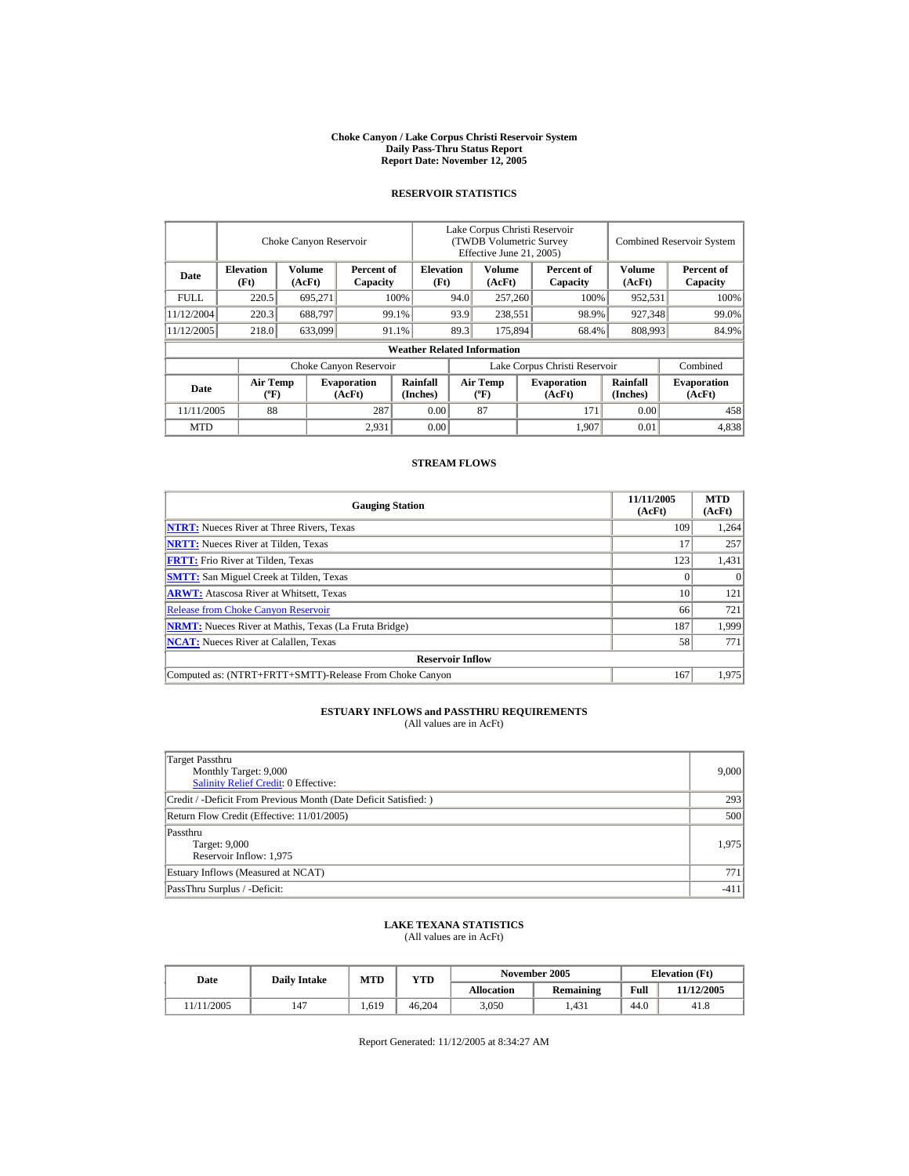#### **Choke Canyon / Lake Corpus Christi Reservoir System Daily Pass-Thru Status Report Report Date: November 12, 2005**

### **RESERVOIR STATISTICS**

|            | Choke Canyon Reservoir                       |         |                                                    |                                    | Lake Corpus Christi Reservoir<br>(TWDB Volumetric Survey<br>Effective June 21, 2005) |                                      |  |                              |                      | <b>Combined Reservoir System</b> |  |
|------------|----------------------------------------------|---------|----------------------------------------------------|------------------------------------|--------------------------------------------------------------------------------------|--------------------------------------|--|------------------------------|----------------------|----------------------------------|--|
| Date       | <b>Elevation</b><br>Volume<br>(Ft)<br>(AcFt) |         | <b>Elevation</b><br>Percent of<br>Capacity<br>(Ft) |                                    |                                                                                      | Volume<br>(AcFt)                     |  | Percent of<br>Capacity       | Volume<br>(AcFt)     | Percent of<br>Capacity           |  |
| FULL.      | 220.5                                        | 695,271 |                                                    | 100%                               | 94.0                                                                                 | 257,260                              |  | 100%                         | 952,531              | 100%                             |  |
| 11/12/2004 | 220.3                                        | 688,797 |                                                    | 99.1%                              | 93.9                                                                                 | 238,551                              |  | 98.9%                        | 927,348              | 99.0%                            |  |
| 11/12/2005 | 218.0                                        | 633,099 |                                                    | 91.1%                              | 89.3                                                                                 | 175,894                              |  | 68.4%                        | 808,993              | 84.9%                            |  |
|            |                                              |         |                                                    | <b>Weather Related Information</b> |                                                                                      |                                      |  |                              |                      |                                  |  |
|            |                                              |         | Choke Canyon Reservoir                             |                                    | Lake Corpus Christi Reservoir                                                        |                                      |  |                              |                      | Combined                         |  |
| Date       | Air Temp<br>$({}^{\circ}F)$                  |         | <b>Evaporation</b><br>(AcFt)                       | <b>Rainfall</b><br>(Inches)        |                                                                                      | Air Temp<br>$({}^{\circ}\mathrm{F})$ |  | <b>Evaporation</b><br>(AcFt) | Rainfall<br>(Inches) | <b>Evaporation</b><br>(AcFt)     |  |
|            | 88<br>287<br>11/11/2005                      |         |                                                    | 0.00                               |                                                                                      | 87                                   |  | 171                          | 0.00                 | 458                              |  |
| <b>MTD</b> |                                              |         | 2,931                                              | 0.00                               |                                                                                      |                                      |  | 1.907                        | 0.01                 | 4,838                            |  |

### **STREAM FLOWS**

| <b>Gauging Station</b>                                       | 11/11/2005<br>(AcFt) | <b>MTD</b><br>(AcFt) |
|--------------------------------------------------------------|----------------------|----------------------|
| <b>NTRT:</b> Nueces River at Three Rivers, Texas             | 109                  | 1.264                |
| <b>NRTT:</b> Nueces River at Tilden, Texas                   | 17                   | 257                  |
| <b>FRTT:</b> Frio River at Tilden, Texas                     | 123                  | 1,431                |
| <b>SMTT:</b> San Miguel Creek at Tilden, Texas               |                      | $\Omega$             |
| <b>ARWT:</b> Atascosa River at Whitsett, Texas               | 10                   | 121                  |
| <b>Release from Choke Canyon Reservoir</b>                   | 66                   | 721                  |
| <b>NRMT:</b> Nueces River at Mathis, Texas (La Fruta Bridge) | 187                  | 1.999                |
| <b>NCAT:</b> Nueces River at Calallen. Texas                 | 58                   | 771                  |
| <b>Reservoir Inflow</b>                                      |                      |                      |
| Computed as: (NTRT+FRTT+SMTT)-Release From Choke Canyon      | 167                  | 1.975                |

# **ESTUARY INFLOWS and PASSTHRU REQUIREMENTS**<br>(All values are in AcFt)

| Target Passthru<br>Monthly Target: 9,000<br><b>Salinity Relief Credit: 0 Effective:</b> | 9,000  |
|-----------------------------------------------------------------------------------------|--------|
| Credit / -Deficit From Previous Month (Date Deficit Satisfied:)                         | 293    |
| Return Flow Credit (Effective: 11/01/2005)                                              | 500    |
| Passthru<br>Target: 9,000<br>Reservoir Inflow: 1,975                                    | 1.975  |
| Estuary Inflows (Measured at NCAT)                                                      | 771    |
| PassThru Surplus / -Deficit:                                                            | $-411$ |

## **LAKE TEXANA STATISTICS**

(All values are in AcFt)

| Date       |     | <b>MTD</b><br>VTD<br><b>Daily Intake</b> |        |            | November 2005    | <b>Elevation</b> (Ft) |            |
|------------|-----|------------------------------------------|--------|------------|------------------|-----------------------|------------|
|            |     |                                          |        | Allocation | <b>Remaining</b> | Full                  | 11/12/2005 |
| 11/11/2005 | 147 | .,619                                    | 46.204 | 3,050      | . 431            | 44.0                  | 41.8       |

Report Generated: 11/12/2005 at 8:34:27 AM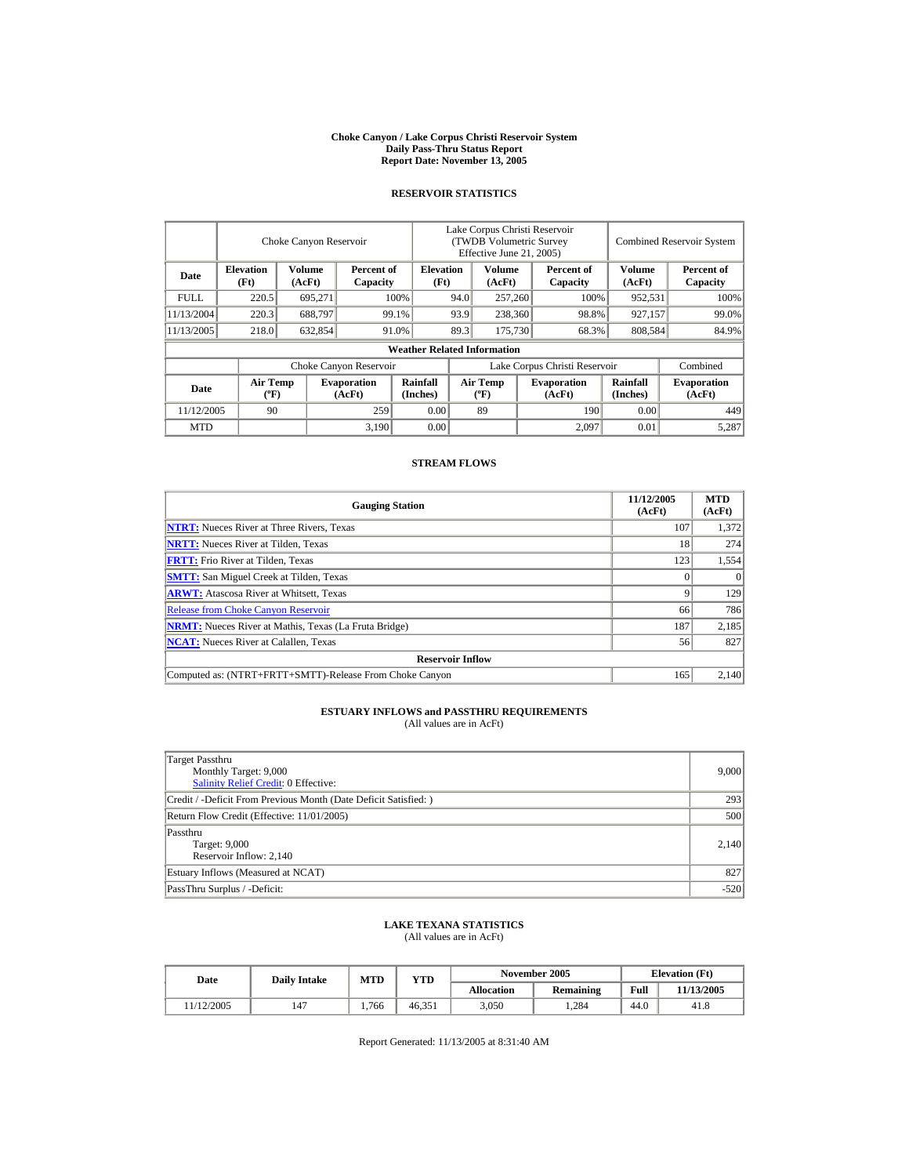#### **Choke Canyon / Lake Corpus Christi Reservoir System Daily Pass-Thru Status Report Report Date: November 13, 2005**

### **RESERVOIR STATISTICS**

|            |                                       | Choke Canyon Reservoir |                              |                                    | Lake Corpus Christi Reservoir<br>(TWDB Volumetric Survey<br>Effective June 21, 2005) |                                      |                              |                        |                      | <b>Combined Reservoir System</b> |  |  |
|------------|---------------------------------------|------------------------|------------------------------|------------------------------------|--------------------------------------------------------------------------------------|--------------------------------------|------------------------------|------------------------|----------------------|----------------------------------|--|--|
| Date       | <b>Elevation</b><br>(Ft)              | Volume<br>(AcFt)       | Percent of<br>Capacity       | <b>Elevation</b><br>(Ft)           |                                                                                      | Volume<br>(AcFt)                     |                              | Percent of<br>Capacity | Volume<br>(AcFt)     | Percent of<br>Capacity           |  |  |
| FULL.      | 220.5                                 | 695,271                |                              | 100%                               | 94.0                                                                                 | 257,260                              |                              | 100%                   | 952,531              | 100%                             |  |  |
| 11/13/2004 | 220.3                                 | 688,797                |                              | 99.1%                              | 93.9                                                                                 | 238,360                              |                              | 98.8%                  | 927,157              | 99.0%                            |  |  |
| 11/13/2005 | 218.0                                 | 632,854                |                              | 91.0%                              | 89.3                                                                                 | 175,730                              |                              | 68.3%                  | 808,584              | 84.9%                            |  |  |
|            |                                       |                        |                              | <b>Weather Related Information</b> |                                                                                      |                                      |                              |                        |                      |                                  |  |  |
|            |                                       |                        | Choke Canyon Reservoir       |                                    | Lake Corpus Christi Reservoir                                                        |                                      |                              |                        | Combined             |                                  |  |  |
| Date       | <b>Air Temp</b><br>$({}^o\mathrm{F})$ |                        | <b>Evaporation</b><br>(AcFt) | <b>Rainfall</b><br>(Inches)        |                                                                                      | Air Temp<br>$({}^{\circ}\mathbf{F})$ | <b>Evaporation</b><br>(AcFt) |                        | Rainfall<br>(Inches) | <b>Evaporation</b><br>(AcFt)     |  |  |
| 11/12/2005 | 90                                    |                        | 259                          | 0.00                               |                                                                                      | 89                                   |                              | 190                    | 0.00                 | 449                              |  |  |
| <b>MTD</b> |                                       |                        | 3,190                        | 0.00                               |                                                                                      |                                      |                              | 2.097                  | 0.01                 | 5,287                            |  |  |

### **STREAM FLOWS**

| <b>Gauging Station</b>                                       | 11/12/2005<br>(AcFt) | <b>MTD</b><br>(AcFt) |
|--------------------------------------------------------------|----------------------|----------------------|
| <b>NTRT:</b> Nueces River at Three Rivers, Texas             | 107                  | 1.372                |
| <b>NRTT:</b> Nueces River at Tilden, Texas                   | 18                   | 274                  |
| <b>FRTT:</b> Frio River at Tilden, Texas                     | 123                  | 1,554                |
| <b>SMTT:</b> San Miguel Creek at Tilden, Texas               |                      | $\Omega$             |
| <b>ARWT:</b> Atascosa River at Whitsett, Texas               |                      | 129                  |
| <b>Release from Choke Canyon Reservoir</b>                   | 66                   | 786                  |
| <b>NRMT:</b> Nueces River at Mathis, Texas (La Fruta Bridge) | 187                  | 2,185                |
| <b>NCAT:</b> Nueces River at Calallen. Texas                 | 56                   | 827                  |
| <b>Reservoir Inflow</b>                                      |                      |                      |
| Computed as: (NTRT+FRTT+SMTT)-Release From Choke Canyon      | 165                  | 2.140                |

# **ESTUARY INFLOWS and PASSTHRU REQUIREMENTS**<br>(All values are in AcFt)

| Target Passthru<br>Monthly Target: 9,000<br><b>Salinity Relief Credit: 0 Effective:</b> | 9,000  |
|-----------------------------------------------------------------------------------------|--------|
| Credit / -Deficit From Previous Month (Date Deficit Satisfied:)                         | 293    |
| Return Flow Credit (Effective: 11/01/2005)                                              | 500    |
| Passthru<br>Target: 9,000<br>Reservoir Inflow: 2,140                                    | 2,140  |
| Estuary Inflows (Measured at NCAT)                                                      | 827    |
| PassThru Surplus / -Deficit:                                                            | $-520$ |

## **LAKE TEXANA STATISTICS**

(All values are in AcFt)

| Date | <b>Daily Intake</b> | <b>MTD</b> | VTD   |        | November 2005 | <b>Elevation</b> (Ft) |      |            |
|------|---------------------|------------|-------|--------|---------------|-----------------------|------|------------|
|      |                     |            |       |        | Allocation    | <b>Remaining</b>      | Full | 11/13/2005 |
|      | 11/12/2005          | 147        | 1.766 | 46.351 | 3,050         | 1.284                 | 44.0 | 41.8       |

Report Generated: 11/13/2005 at 8:31:40 AM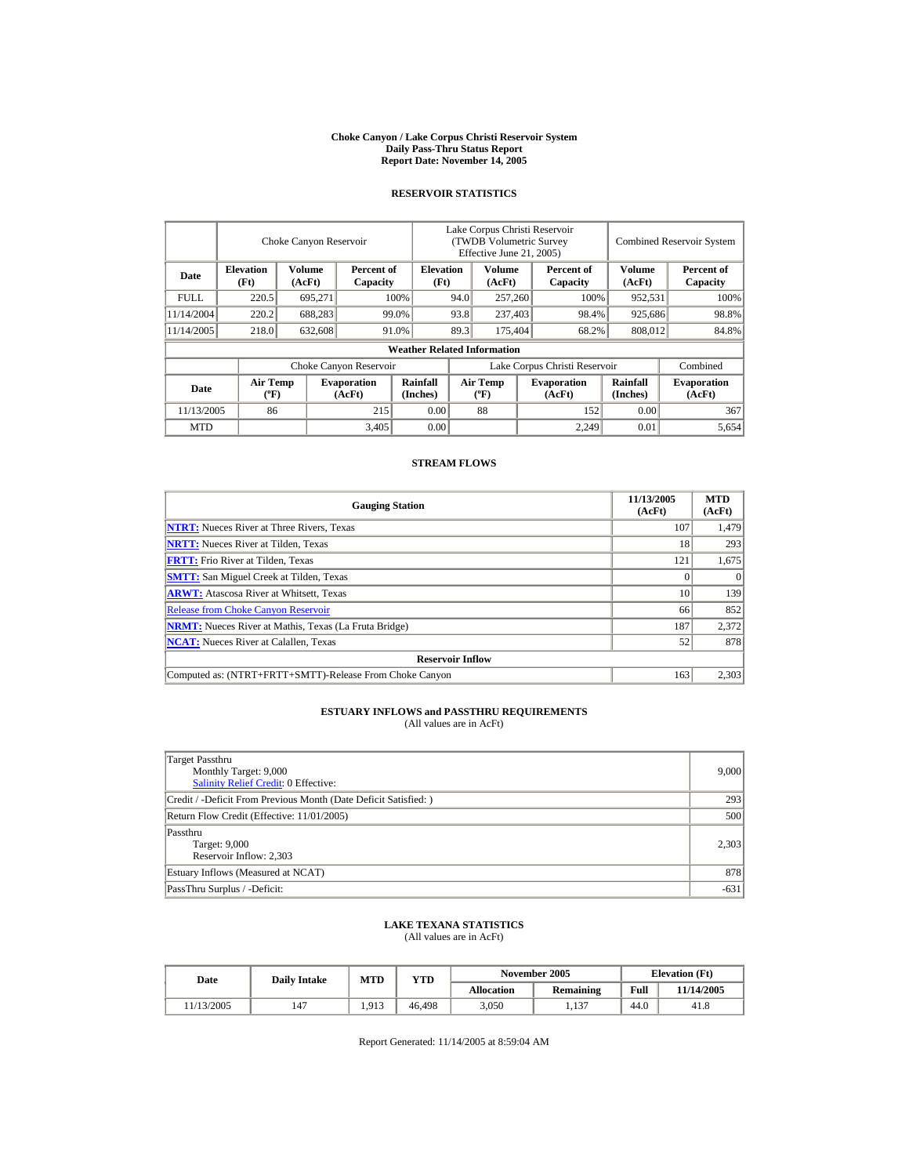#### **Choke Canyon / Lake Corpus Christi Reservoir System Daily Pass-Thru Status Report Report Date: November 14, 2005**

### **RESERVOIR STATISTICS**

|            | Choke Canyon Reservoir                      |                  |                              |                                    | Lake Corpus Christi Reservoir<br>(TWDB Volumetric Survey<br>Effective June 21, 2005) |                                             |  |                              |                      | <b>Combined Reservoir System</b> |  |  |
|------------|---------------------------------------------|------------------|------------------------------|------------------------------------|--------------------------------------------------------------------------------------|---------------------------------------------|--|------------------------------|----------------------|----------------------------------|--|--|
| Date       | <b>Elevation</b><br>(Ft)                    | Volume<br>(AcFt) | Percent of<br>Capacity       | <b>Elevation</b><br>(Ft)           |                                                                                      | Volume<br>(AcFt)                            |  | Percent of<br>Capacity       | Volume<br>(AcFt)     | Percent of<br>Capacity           |  |  |
| FULL.      | 220.5                                       | 695,271          |                              | 100%                               | 94.0                                                                                 | 257,260                                     |  | 100%                         | 952,531              | 100%                             |  |  |
| 11/14/2004 | 220.2                                       | 688,283          |                              | 99.0%                              | 93.8                                                                                 | 237,403                                     |  | 98.4%                        | 925,686              | 98.8%                            |  |  |
| 11/14/2005 | 218.0                                       | 632,608          |                              | 91.0%                              | 89.3                                                                                 | 175,404                                     |  | 68.2%                        | 808,012              | 84.8%                            |  |  |
|            |                                             |                  |                              | <b>Weather Related Information</b> |                                                                                      |                                             |  |                              |                      |                                  |  |  |
|            |                                             |                  | Choke Canyon Reservoir       |                                    | Lake Corpus Christi Reservoir                                                        |                                             |  |                              | Combined             |                                  |  |  |
| Date       | <b>Air Temp</b><br>$({}^{\circ}\mathrm{F})$ |                  | <b>Evaporation</b><br>(AcFt) | Rainfall<br>(Inches)               |                                                                                      | <b>Air Temp</b><br>$({}^{\circ}\mathbf{F})$ |  | <b>Evaporation</b><br>(AcFt) | Rainfall<br>(Inches) | <b>Evaporation</b><br>(AcFt)     |  |  |
| 11/13/2005 | 86                                          |                  | 215                          | 0.00                               |                                                                                      | 88                                          |  | 152                          | 0.00                 | 367                              |  |  |
| <b>MTD</b> |                                             |                  | 3,405                        | 0.00                               |                                                                                      |                                             |  | 2.249                        | 0.01                 | 5,654                            |  |  |

#### **STREAM FLOWS**

| <b>Gauging Station</b>                                       | 11/13/2005<br>(AcFt) | <b>MTD</b><br>(AcFt) |
|--------------------------------------------------------------|----------------------|----------------------|
| <b>NTRT:</b> Nueces River at Three Rivers, Texas             | 107                  | 1,479                |
| <b>NRTT:</b> Nueces River at Tilden, Texas                   | 18                   | 293                  |
| <b>FRTT:</b> Frio River at Tilden, Texas                     | 121                  | 1,675                |
| <b>SMTT:</b> San Miguel Creek at Tilden, Texas               |                      | $\Omega$             |
| <b>ARWT:</b> Atascosa River at Whitsett, Texas               | 10                   | 139                  |
| <b>Release from Choke Canyon Reservoir</b>                   | 66                   | 852                  |
| <b>NRMT:</b> Nueces River at Mathis, Texas (La Fruta Bridge) | 187                  | 2,372                |
| <b>NCAT:</b> Nueces River at Calallen. Texas                 | 52                   | 878                  |
| <b>Reservoir Inflow</b>                                      |                      |                      |
| Computed as: (NTRT+FRTT+SMTT)-Release From Choke Canyon      | 163                  | 2,303                |

# **ESTUARY INFLOWS and PASSTHRU REQUIREMENTS**<br>(All values are in AcFt)

| Target Passthru<br>Monthly Target: 9,000<br><b>Salinity Relief Credit: 0 Effective:</b> | 9,000  |
|-----------------------------------------------------------------------------------------|--------|
| Credit / -Deficit From Previous Month (Date Deficit Satisfied:)                         | 293    |
| Return Flow Credit (Effective: 11/01/2005)                                              | 500    |
| Passthru<br>Target: 9,000<br>Reservoir Inflow: 2,303                                    | 2,303  |
| Estuary Inflows (Measured at NCAT)                                                      | 878    |
| PassThru Surplus / -Deficit:                                                            | $-631$ |

## **LAKE TEXANA STATISTICS**

(All values are in AcFt)

| Date       | <b>Daily Intake</b> | <b>MTD</b> | YTD    |                   | November 2005    |      | <b>Elevation</b> (Ft) |  |
|------------|---------------------|------------|--------|-------------------|------------------|------|-----------------------|--|
|            |                     |            |        | <b>Allocation</b> | <b>Remaining</b> | Full | 11/14/2005            |  |
| 11/13/2005 | 147                 | 1.913      | 46.498 | 3.050             | 1.137            | 44.0 | 41.8                  |  |

Report Generated: 11/14/2005 at 8:59:04 AM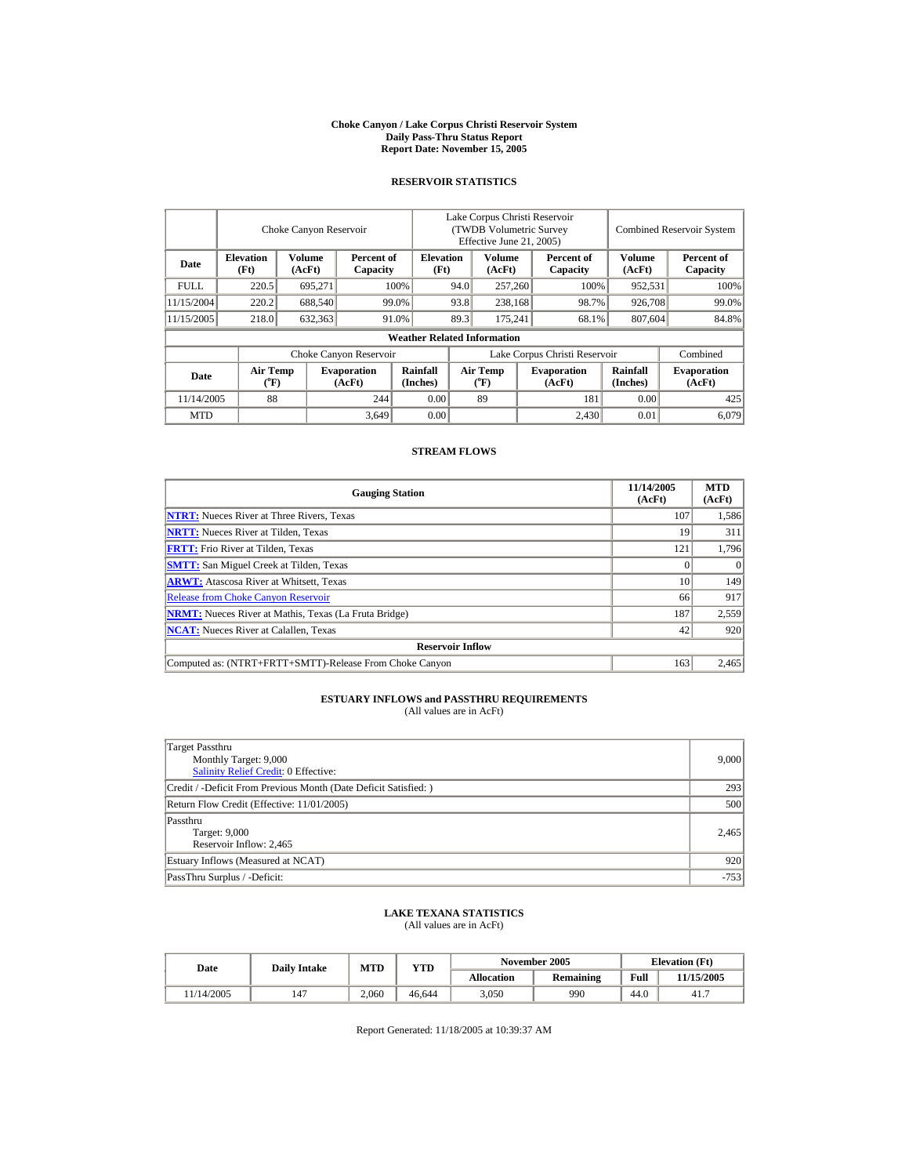#### **Choke Canyon / Lake Corpus Christi Reservoir System Daily Pass-Thru Status Report Report Date: November 15, 2005**

## **RESERVOIR STATISTICS**

|            |                                | Choke Canyon Reservoir |                              |                                    | Lake Corpus Christi Reservoir<br>(TWDB Volumetric Survey<br>Effective June 21, 2005) |                                      |                              |                        | <b>Combined Reservoir System</b> |                              |
|------------|--------------------------------|------------------------|------------------------------|------------------------------------|--------------------------------------------------------------------------------------|--------------------------------------|------------------------------|------------------------|----------------------------------|------------------------------|
| Date       | <b>Elevation</b><br>(Ft)       | Volume<br>(AcFt)       | Percent of<br>Capacity       | <b>Elevation</b><br>(Ft)           |                                                                                      | <b>Volume</b><br>(AcFt)              |                              | Percent of<br>Capacity | Volume<br>(AcFt)                 | Percent of<br>Capacity       |
| FULL.      | 220.5                          | 695.271                |                              | 100%                               | 94.0                                                                                 | 257,260                              |                              | 100%                   | 952,531                          | 100%                         |
| 11/15/2004 | 220.2                          | 688,540                |                              | 99.0%                              | 93.8                                                                                 | 238.168                              |                              | 98.7%                  | 926,708                          | 99.0%                        |
| 11/15/2005 | 218.0                          | 632,363                |                              | 91.0%                              | 89.3                                                                                 | 175.241                              |                              | 68.1%                  | 807,604                          | 84.8%                        |
|            |                                |                        |                              | <b>Weather Related Information</b> |                                                                                      |                                      |                              |                        |                                  |                              |
|            |                                |                        | Choke Canyon Reservoir       |                                    | Lake Corpus Christi Reservoir                                                        |                                      |                              |                        | Combined                         |                              |
| Date       | Air Temp<br>$({}^o\mathbf{F})$ |                        | <b>Evaporation</b><br>(AcFt) | Rainfall<br>(Inches)               |                                                                                      | Air Temp<br>$({}^{\circ}\mathrm{F})$ | <b>Evaporation</b><br>(AcFt) |                        | Rainfall<br>(Inches)             | <b>Evaporation</b><br>(AcFt) |
| 11/14/2005 | 88                             |                        | 244                          | 0.00                               |                                                                                      | 89                                   |                              | 181                    | 0.00                             | 425                          |
| <b>MTD</b> |                                |                        | 3,649                        | 0.00                               |                                                                                      |                                      |                              | 2.430                  | 0.01                             | 6.079                        |

### **STREAM FLOWS**

| <b>Gauging Station</b>                                       | 11/14/2005<br>(AcFt) | <b>MTD</b><br>(AcFt) |
|--------------------------------------------------------------|----------------------|----------------------|
| <b>NTRT:</b> Nueces River at Three Rivers, Texas             | 107                  | 1,586                |
| <b>NRTT:</b> Nueces River at Tilden, Texas                   | 19                   | 311                  |
| <b>FRTT:</b> Frio River at Tilden, Texas                     | 121                  | 1,796                |
| <b>SMTT:</b> San Miguel Creek at Tilden, Texas               |                      |                      |
| <b>ARWT:</b> Atascosa River at Whitsett, Texas               | 10                   | 149                  |
| <b>Release from Choke Canyon Reservoir</b>                   | 66                   | 917                  |
| <b>NRMT:</b> Nueces River at Mathis, Texas (La Fruta Bridge) | 187                  | 2,559                |
| <b>NCAT:</b> Nueces River at Calallen, Texas                 | 42                   | 920                  |
| <b>Reservoir Inflow</b>                                      |                      |                      |
| Computed as: (NTRT+FRTT+SMTT)-Release From Choke Canyon      | 163                  | 2,465                |

## **ESTUARY INFLOWS and PASSTHRU REQUIREMENTS**<br>(All values are in AcFt)

| Target Passthru<br>Monthly Target: 9,000<br><b>Salinity Relief Credit: 0 Effective:</b> | 9,000  |
|-----------------------------------------------------------------------------------------|--------|
| Credit / -Deficit From Previous Month (Date Deficit Satisfied:)                         | 293    |
| Return Flow Credit (Effective: 11/01/2005)                                              | 500    |
| Passthru<br>Target: 9,000<br>Reservoir Inflow: 2,465                                    | 2,465  |
| Estuary Inflows (Measured at NCAT)                                                      | 920    |
| PassThru Surplus / -Deficit:                                                            | $-753$ |

## **LAKE TEXANA STATISTICS** (All values are in AcFt)

| Date       | <b>Daily Intake</b> | <b>MTD</b> | <b>YTD</b> |            | November 2005 |      | <b>Elevation</b> (Ft) |
|------------|---------------------|------------|------------|------------|---------------|------|-----------------------|
|            |                     |            |            | Allocation | Remaining     | Full | 11/15/2005            |
| 11/14/2005 | 147                 | 2.060      | 46.644     | 3.050      | 990           | 44.0 | 41.7                  |

Report Generated: 11/18/2005 at 10:39:37 AM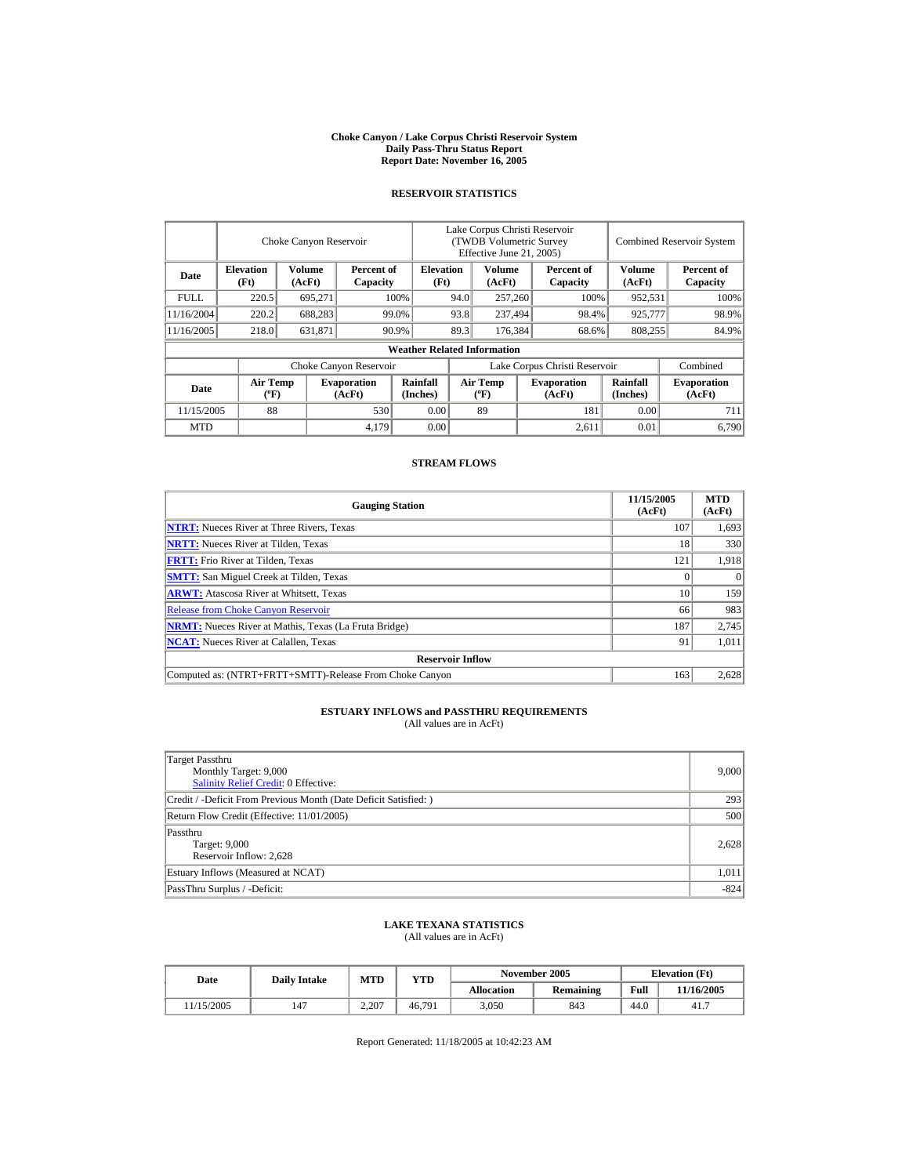#### **Choke Canyon / Lake Corpus Christi Reservoir System Daily Pass-Thru Status Report Report Date: November 16, 2005**

### **RESERVOIR STATISTICS**

|             | Choke Canyon Reservoir                      |                         |                              |                                    | Lake Corpus Christi Reservoir<br><b>(TWDB Volumetric Survey)</b><br>Effective June 21, 2005) |                                             |  |                               |                             | <b>Combined Reservoir System</b> |  |
|-------------|---------------------------------------------|-------------------------|------------------------------|------------------------------------|----------------------------------------------------------------------------------------------|---------------------------------------------|--|-------------------------------|-----------------------------|----------------------------------|--|
| Date        | <b>Elevation</b><br>(Ft)                    | <b>Volume</b><br>(AcFt) | Percent of<br>Capacity       | <b>Elevation</b><br>(Ft)           |                                                                                              | <b>Volume</b><br>(AcFt)                     |  | Percent of<br>Capacity        | Volume<br>(AcFt)            | Percent of<br>Capacity           |  |
| <b>FULL</b> | 220.5                                       | 695,271                 |                              | 100%                               | 94.0                                                                                         | 257,260                                     |  | 100%                          | 952,531                     | 100%                             |  |
| 11/16/2004  | 220.2                                       | 688,283                 |                              | 99.0%                              | 93.8                                                                                         | 237,494                                     |  | 98.4%                         | 925,777                     | 98.9%                            |  |
| 11/16/2005  | 218.0                                       | 631,871                 |                              | 90.9%                              | 89.3                                                                                         | 176,384                                     |  | 68.6%                         | 808,255                     | 84.9%                            |  |
|             |                                             |                         |                              | <b>Weather Related Information</b> |                                                                                              |                                             |  |                               |                             |                                  |  |
|             |                                             |                         | Choke Canyon Reservoir       |                                    |                                                                                              |                                             |  | Lake Corpus Christi Reservoir |                             | Combined                         |  |
| Date        | <b>Air Temp</b><br>$({}^{\circ}\mathrm{F})$ |                         | <b>Evaporation</b><br>(AcFt) | Rainfall<br>(Inches)               |                                                                                              | <b>Air Temp</b><br>$({}^{\circ}\mathbf{F})$ |  | <b>Evaporation</b><br>(AcFt)  | <b>Rainfall</b><br>(Inches) | <b>Evaporation</b><br>(AcFt)     |  |
| 11/15/2005  | 88                                          |                         | 530                          | 0.00                               |                                                                                              | 89                                          |  | 181                           | 0.00                        | 711                              |  |
| <b>MTD</b>  |                                             |                         | 4,179                        | 0.00                               |                                                                                              |                                             |  | 2.611                         | 0.01                        | 6.790                            |  |

### **STREAM FLOWS**

| <b>Gauging Station</b>                                       | 11/15/2005<br>(AcFt) | <b>MTD</b><br>(AcFt) |
|--------------------------------------------------------------|----------------------|----------------------|
| <b>NTRT:</b> Nueces River at Three Rivers, Texas             | 107                  | 1,693                |
| <b>NRTT:</b> Nueces River at Tilden, Texas                   | 18                   | 330                  |
| <b>FRTT:</b> Frio River at Tilden, Texas                     | 121                  | 1,918                |
| <b>SMTT:</b> San Miguel Creek at Tilden, Texas               |                      | $\Omega$             |
| <b>ARWT:</b> Atascosa River at Whitsett, Texas               | 10                   | 159                  |
| <b>Release from Choke Canyon Reservoir</b>                   | 66                   | 983                  |
| <b>NRMT:</b> Nueces River at Mathis, Texas (La Fruta Bridge) | 187                  | 2,745                |
| <b>NCAT:</b> Nueces River at Calallen. Texas                 | 91                   | 1,011                |
| <b>Reservoir Inflow</b>                                      |                      |                      |
| Computed as: (NTRT+FRTT+SMTT)-Release From Choke Canyon      | 163                  | 2.628                |

# **ESTUARY INFLOWS and PASSTHRU REQUIREMENTS**<br>(All values are in AcFt)

| Target Passthru<br>Monthly Target: 9,000<br><b>Salinity Relief Credit: 0 Effective:</b> | 9,000  |
|-----------------------------------------------------------------------------------------|--------|
| Credit / -Deficit From Previous Month (Date Deficit Satisfied:)                         | 293    |
| Return Flow Credit (Effective: 11/01/2005)                                              | 500    |
| Passthru<br>Target: 9,000<br>Reservoir Inflow: 2,628                                    | 2,628  |
| Estuary Inflows (Measured at NCAT)                                                      | 1,011  |
| PassThru Surplus / -Deficit:                                                            | $-824$ |

## **LAKE TEXANA STATISTICS**

(All values are in AcFt)

| Date       | <b>Daily Intake</b> | MTD   | VTD    | November 2005 |                  | <b>Elevation</b> (Ft) |            |
|------------|---------------------|-------|--------|---------------|------------------|-----------------------|------------|
|            |                     |       |        | Allocation    | <b>Remaining</b> | Full                  | 11/16/2005 |
| 11/15/2005 | 147                 | 2.207 | 46.791 | 3,050         | 843              | 44.0                  | 41.7       |

Report Generated: 11/18/2005 at 10:42:23 AM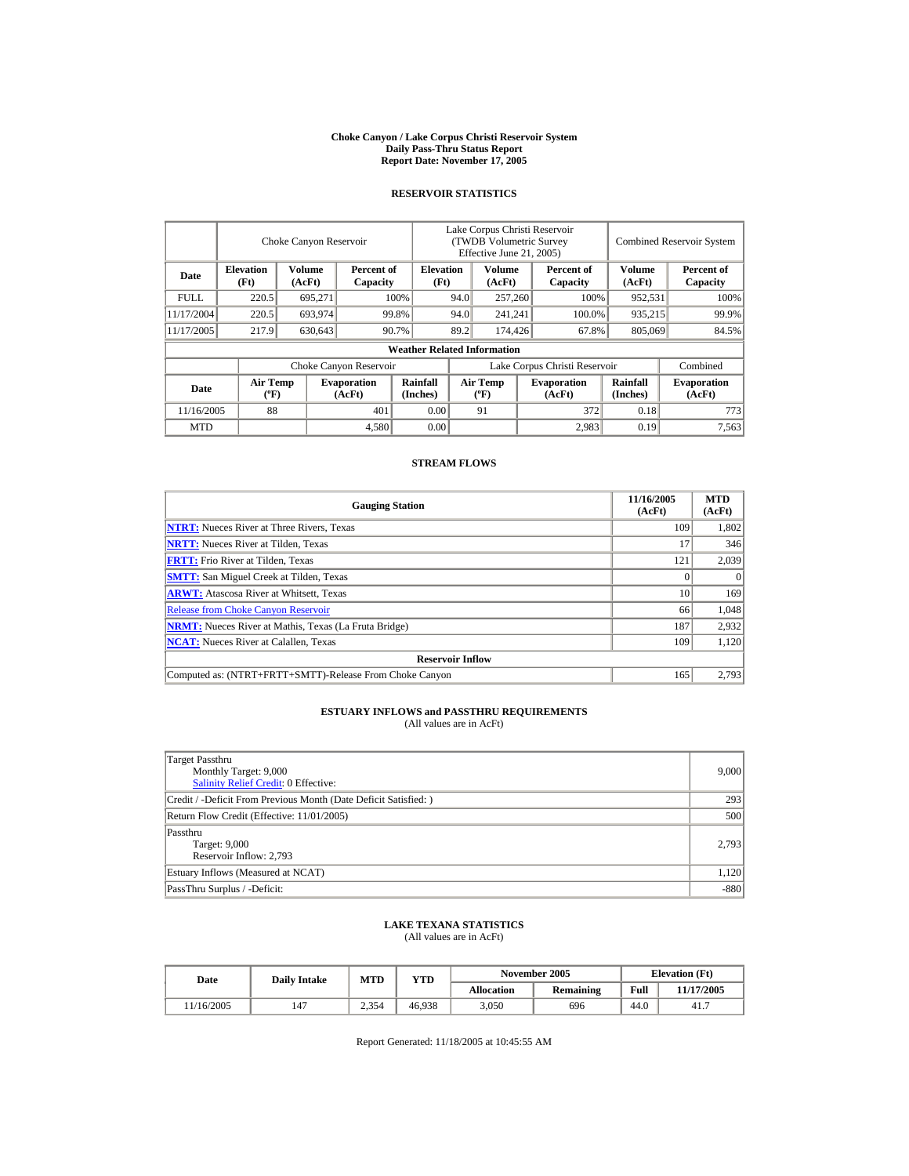#### **Choke Canyon / Lake Corpus Christi Reservoir System Daily Pass-Thru Status Report Report Date: November 17, 2005**

### **RESERVOIR STATISTICS**

|            | Choke Canyon Reservoir                      |                  |                              |                                    | Lake Corpus Christi Reservoir<br>(TWDB Volumetric Survey<br>Effective June 21, 2005) |                                  |  |                              |                      | <b>Combined Reservoir System</b> |  |
|------------|---------------------------------------------|------------------|------------------------------|------------------------------------|--------------------------------------------------------------------------------------|----------------------------------|--|------------------------------|----------------------|----------------------------------|--|
| Date       | <b>Elevation</b><br>(Ft)                    | Volume<br>(AcFt) | Percent of<br>Capacity       | <b>Elevation</b><br>(Ft)           |                                                                                      | Volume<br>(AcFt)                 |  | Percent of<br>Capacity       | Volume<br>(AcFt)     | Percent of<br>Capacity           |  |
| FULL.      | 220.5                                       | 695,271          |                              | 100%                               | 94.0                                                                                 | 257,260                          |  | 100%                         | 952,531              | 100%                             |  |
| 11/17/2004 | 220.5                                       | 693,974          |                              | 99.8%                              | 94.0                                                                                 | 241,241                          |  | 100.0%                       | 935,215              | 99.9%                            |  |
| 11/17/2005 | 217.9                                       | 630,643          |                              | 90.7%                              | 89.2                                                                                 | 174,426                          |  | 67.8%                        | 805,069              | 84.5%                            |  |
|            |                                             |                  |                              | <b>Weather Related Information</b> |                                                                                      |                                  |  |                              |                      |                                  |  |
|            |                                             |                  | Choke Canyon Reservoir       |                                    | Lake Corpus Christi Reservoir                                                        |                                  |  |                              | Combined             |                                  |  |
| Date       | <b>Air Temp</b><br>$({}^{\circ}\mathrm{F})$ |                  | <b>Evaporation</b><br>(AcFt) | Rainfall<br>(Inches)               |                                                                                      | <b>Air Temp</b><br>$(^{\circ}F)$ |  | <b>Evaporation</b><br>(AcFt) | Rainfall<br>(Inches) | <b>Evaporation</b><br>(AcFt)     |  |
| 11/16/2005 | 88                                          |                  | 401                          | 0.00                               |                                                                                      | 91                               |  | 372                          | 0.18                 | 773                              |  |
| <b>MTD</b> |                                             |                  | 4,580                        | 0.00                               |                                                                                      |                                  |  | 2,983                        | 0.19                 | 7,563                            |  |

#### **STREAM FLOWS**

| <b>Gauging Station</b>                                       | 11/16/2005<br>(AcFt) | <b>MTD</b><br>(AcFt) |
|--------------------------------------------------------------|----------------------|----------------------|
| <b>NTRT:</b> Nueces River at Three Rivers, Texas             | 109                  | 1.802                |
| <b>NRTT:</b> Nueces River at Tilden, Texas                   | 17                   | 346                  |
| <b>FRTT:</b> Frio River at Tilden, Texas                     | 121                  | 2,039                |
| <b>SMTT:</b> San Miguel Creek at Tilden, Texas               |                      | $\Omega$             |
| <b>ARWT:</b> Atascosa River at Whitsett, Texas               | 10                   | 169                  |
| <b>Release from Choke Canyon Reservoir</b>                   | 66                   | 1.048                |
| <b>NRMT:</b> Nueces River at Mathis, Texas (La Fruta Bridge) | 187                  | 2,932                |
| <b>NCAT:</b> Nueces River at Calallen. Texas                 | 109                  | 1,120                |
| <b>Reservoir Inflow</b>                                      |                      |                      |
| Computed as: (NTRT+FRTT+SMTT)-Release From Choke Canyon      | 165                  | 2.793                |

# **ESTUARY INFLOWS and PASSTHRU REQUIREMENTS**<br>(All values are in AcFt)

| Target Passthru<br>Monthly Target: 9,000<br><b>Salinity Relief Credit: 0 Effective:</b> | 9,000  |
|-----------------------------------------------------------------------------------------|--------|
| Credit / -Deficit From Previous Month (Date Deficit Satisfied:)                         | 293    |
| Return Flow Credit (Effective: 11/01/2005)                                              | 500    |
| Passthru<br>Target: 9,000<br>Reservoir Inflow: 2,793                                    | 2,793  |
| Estuary Inflows (Measured at NCAT)                                                      | 1,120  |
| PassThru Surplus / -Deficit:                                                            | $-880$ |

## **LAKE TEXANA STATISTICS**

(All values are in AcFt)

| Date      | <b>Daily Intake</b> | <b>MTD</b> | VTD    |            | November 2005    |      | <b>Elevation</b> (Ft) |
|-----------|---------------------|------------|--------|------------|------------------|------|-----------------------|
|           |                     |            |        | Allocation | <b>Remaining</b> | Full | 11/17/2005            |
| 1/16/2005 | 147                 | 2,354      | 46.938 | 3,050      | 696              | 44.0 | 41.7                  |

Report Generated: 11/18/2005 at 10:45:55 AM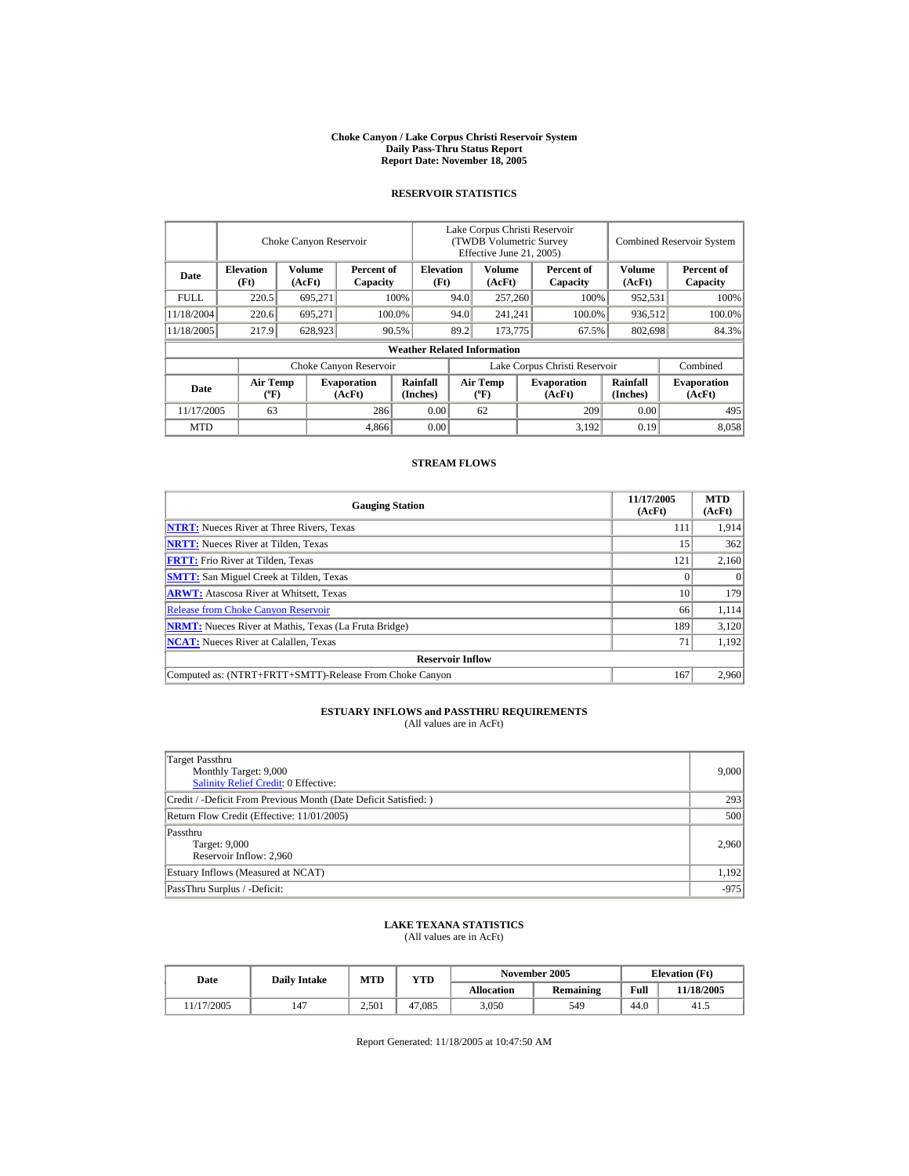#### **Choke Canyon / Lake Corpus Christi Reservoir System Daily Pass-Thru Status Report Report Date: November 18, 2005**

### **RESERVOIR STATISTICS**

|            | Choke Canyon Reservoir                      |                  |                              |                                    | Lake Corpus Christi Reservoir<br>(TWDB Volumetric Survey<br>Effective June 21, 2005) |                                  |  |                              |                      | <b>Combined Reservoir System</b> |  |
|------------|---------------------------------------------|------------------|------------------------------|------------------------------------|--------------------------------------------------------------------------------------|----------------------------------|--|------------------------------|----------------------|----------------------------------|--|
| Date       | <b>Elevation</b><br>(Ft)                    | Volume<br>(AcFt) | Percent of<br>Capacity       | <b>Elevation</b><br>(Ft)           |                                                                                      | Volume<br>(AcFt)                 |  | Percent of<br>Capacity       | Volume<br>(AcFt)     | Percent of<br>Capacity           |  |
| FULL.      | 220.5                                       | 695,271          |                              | 100%                               | 94.0                                                                                 | 257,260                          |  | 100%                         | 952,531              | 100%                             |  |
| 11/18/2004 | 220.6                                       | 695.271          |                              | 100.0%                             | 94.0                                                                                 | 241,241                          |  | 100.0%                       | 936,512              | 100.0%                           |  |
| 11/18/2005 | 217.9                                       | 628,923          |                              | 90.5%                              | 89.2                                                                                 | 173,775                          |  | 67.5%                        | 802,698              | 84.3%                            |  |
|            |                                             |                  |                              | <b>Weather Related Information</b> |                                                                                      |                                  |  |                              |                      |                                  |  |
|            |                                             |                  | Choke Canyon Reservoir       |                                    | Lake Corpus Christi Reservoir                                                        |                                  |  |                              | Combined             |                                  |  |
| Date       | <b>Air Temp</b><br>$({}^{\circ}\mathrm{F})$ |                  | <b>Evaporation</b><br>(AcFt) | Rainfall<br>(Inches)               |                                                                                      | <b>Air Temp</b><br>$(^{\circ}F)$ |  | <b>Evaporation</b><br>(AcFt) | Rainfall<br>(Inches) | <b>Evaporation</b><br>(AcFt)     |  |
| 11/17/2005 | 63                                          |                  | 286                          | 0.00                               |                                                                                      | 62                               |  | 209                          | 0.00                 | 495                              |  |
| <b>MTD</b> |                                             |                  | 4,866                        | 0.00                               |                                                                                      |                                  |  | 3,192                        | 0.19                 | 8.058                            |  |

### **STREAM FLOWS**

| <b>Gauging Station</b>                                       | 11/17/2005<br>(AcFt) | <b>MTD</b><br>(AcFt) |
|--------------------------------------------------------------|----------------------|----------------------|
| <b>NTRT:</b> Nueces River at Three Rivers, Texas             | 111                  | 1.914                |
| <b>NRTT:</b> Nueces River at Tilden, Texas                   | 15                   | 362                  |
| <b>FRTT:</b> Frio River at Tilden, Texas                     | 121                  | 2,160                |
| <b>SMTT:</b> San Miguel Creek at Tilden, Texas               |                      | $\Omega$             |
| <b>ARWT:</b> Atascosa River at Whitsett, Texas               | 10                   | 179                  |
| <b>Release from Choke Canyon Reservoir</b>                   | 66                   | 1.114                |
| <b>NRMT:</b> Nueces River at Mathis, Texas (La Fruta Bridge) | 189                  | 3,120                |
| <b>NCAT:</b> Nueces River at Calallen. Texas                 | 71                   | 1,192                |
| <b>Reservoir Inflow</b>                                      |                      |                      |
| Computed as: (NTRT+FRTT+SMTT)-Release From Choke Canyon      | 167                  | 2.960                |

# **ESTUARY INFLOWS and PASSTHRU REQUIREMENTS**<br>(All values are in AcFt)

| Target Passthru<br>Monthly Target: 9,000<br><b>Salinity Relief Credit: 0 Effective:</b> | 9,000  |
|-----------------------------------------------------------------------------------------|--------|
| Credit / -Deficit From Previous Month (Date Deficit Satisfied:)                         | 293    |
| Return Flow Credit (Effective: 11/01/2005)                                              | 500    |
| Passthru<br>Target: 9,000<br>Reservoir Inflow: 2,960                                    | 2,960  |
| Estuary Inflows (Measured at NCAT)                                                      | 1,192  |
| PassThru Surplus / -Deficit:                                                            | $-975$ |

## **LAKE TEXANA STATISTICS**

(All values are in AcFt)

| Date       | <b>Daily Intake</b> |       | November 2005<br><b>MTD</b><br>VTD |            |                  |      | <b>Elevation</b> (Ft) |
|------------|---------------------|-------|------------------------------------|------------|------------------|------|-----------------------|
|            |                     |       |                                    | Allocation | <b>Remaining</b> | Full | 11/18/2005            |
| 11/17/2005 | 147                 | 2,501 | 47.085                             | 3,050      | 549              | 44.0 | 41.5                  |

Report Generated: 11/18/2005 at 10:47:50 AM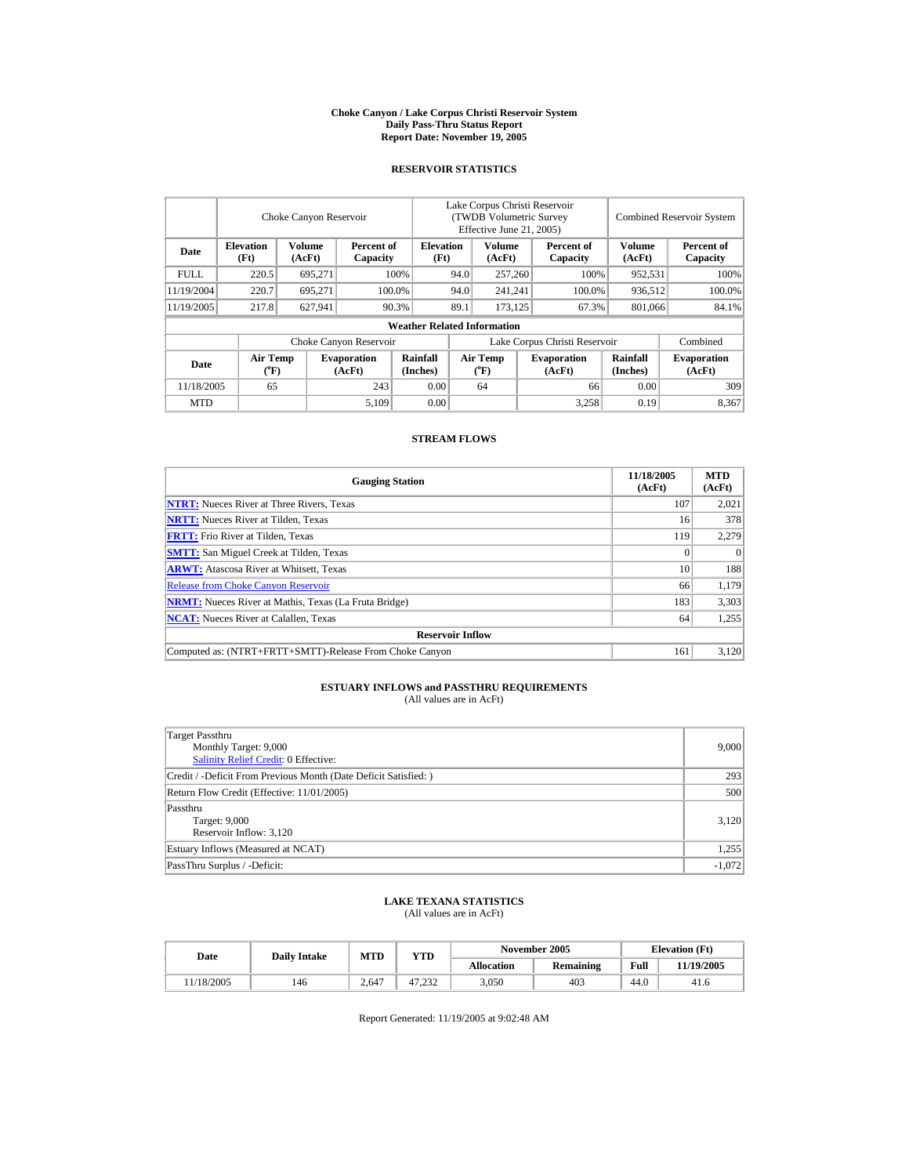#### **Choke Canyon / Lake Corpus Christi Reservoir System Daily Pass-Thru Status Report Report Date: November 19, 2005**

### **RESERVOIR STATISTICS**

|             |                          | Choke Canyon Reservoir |                              |                                    |      | Lake Corpus Christi Reservoir<br>(TWDB Volumetric Survey<br>Effective June 21, 2005) |                  |                               |                      | <b>Combined Reservoir System</b> |
|-------------|--------------------------|------------------------|------------------------------|------------------------------------|------|--------------------------------------------------------------------------------------|------------------|-------------------------------|----------------------|----------------------------------|
| Date        | <b>Elevation</b><br>(Ft) | Volume<br>(AcFt)       | Percent of<br>Capacity       | <b>Elevation</b><br>(Ft)           |      | Volume<br>(AcFt)                                                                     |                  | Percent of<br>Capacity        | Volume<br>(AcFt)     | Percent of<br>Capacity           |
| <b>FULL</b> | 220.5                    | 695.271                |                              | 100%<br>94.0                       |      |                                                                                      | 257,260<br>100%  |                               | 952,531              | 100%                             |
| 11/19/2004  | 220.7                    | 695.271                |                              | 100.0%                             |      | 241.241                                                                              |                  | 100.0%                        | 936.512              | 100.0%                           |
| 11/19/2005  | 217.8                    | 627,941                |                              | 90.3%                              | 89.1 |                                                                                      | 173,125<br>67.3% |                               | 801,066              | 84.1%                            |
|             |                          |                        |                              | <b>Weather Related Information</b> |      |                                                                                      |                  |                               |                      |                                  |
|             |                          |                        | Choke Canyon Reservoir       |                                    |      |                                                                                      |                  | Lake Corpus Christi Reservoir |                      | Combined                         |
| Date        | <b>Air Temp</b><br>(°F)  |                        | <b>Evaporation</b><br>(AcFt) | Rainfall<br>(Inches)               |      | <b>Air Temp</b><br>$(^{\circ}\text{F})$                                              |                  | <b>Evaporation</b><br>(AcFt)  | Rainfall<br>(Inches) | <b>Evaporation</b><br>(AcFt)     |
| 11/18/2005  | 65                       |                        | 243                          | 0.00                               |      | 64                                                                                   |                  | 66                            | 0.00                 | 309                              |
| <b>MTD</b>  |                          |                        | 5.109                        | 0.00                               |      |                                                                                      |                  | 3,258                         | 0.19                 | 8,367                            |

### **STREAM FLOWS**

| <b>Gauging Station</b>                                       | 11/18/2005<br>(AcFt) | <b>MTD</b><br>(AcFt) |
|--------------------------------------------------------------|----------------------|----------------------|
| <b>NTRT:</b> Nueces River at Three Rivers, Texas             | 107                  | 2,021                |
| <b>NRTT:</b> Nueces River at Tilden, Texas                   | 16                   | 378                  |
| <b>FRTT:</b> Frio River at Tilden, Texas                     | 119                  | 2,279                |
| <b>SMTT:</b> San Miguel Creek at Tilden, Texas               | 0                    | $\theta$             |
| <b>ARWT:</b> Atascosa River at Whitsett, Texas               | 10                   | 188                  |
| <b>Release from Choke Canyon Reservoir</b>                   | 66                   | 1.179                |
| <b>NRMT:</b> Nueces River at Mathis, Texas (La Fruta Bridge) | 183                  | 3,303                |
| <b>NCAT:</b> Nueces River at Calallen, Texas                 | 64                   | 1,255                |
| <b>Reservoir Inflow</b>                                      |                      |                      |
| Computed as: (NTRT+FRTT+SMTT)-Release From Choke Canyon      | 161                  | 3,120                |

## **ESTUARY INFLOWS and PASSTHRU REQUIREMENTS**<br>(All values are in AcFt)

| Target Passthru                                                  |          |
|------------------------------------------------------------------|----------|
| Monthly Target: 9,000                                            | 9,000    |
| Salinity Relief Credit: 0 Effective:                             |          |
| Credit / -Deficit From Previous Month (Date Deficit Satisfied: ) | 293      |
| Return Flow Credit (Effective: 11/01/2005)                       | 500      |
| Passthru                                                         |          |
| Target: 9,000                                                    | 3,120    |
| Reservoir Inflow: 3,120                                          |          |
| Estuary Inflows (Measured at NCAT)                               | 1,255    |
| PassThru Surplus / -Deficit:                                     | $-1,072$ |

# **LAKE TEXANA STATISTICS** (All values are in AcFt)

| Date      | <b>Daily Intake</b> | MTD   | <b>YTD</b> |            | November 2005 | <b>Elevation</b> (Ft) |            |  |
|-----------|---------------------|-------|------------|------------|---------------|-----------------------|------------|--|
|           |                     |       |            | Allocation | Remaining     | Full                  | 11/19/2005 |  |
| 1/18/2005 | 146                 | 2.647 | 47.232     | 3.050      | 403           | 44.0                  | 41.6       |  |

Report Generated: 11/19/2005 at 9:02:48 AM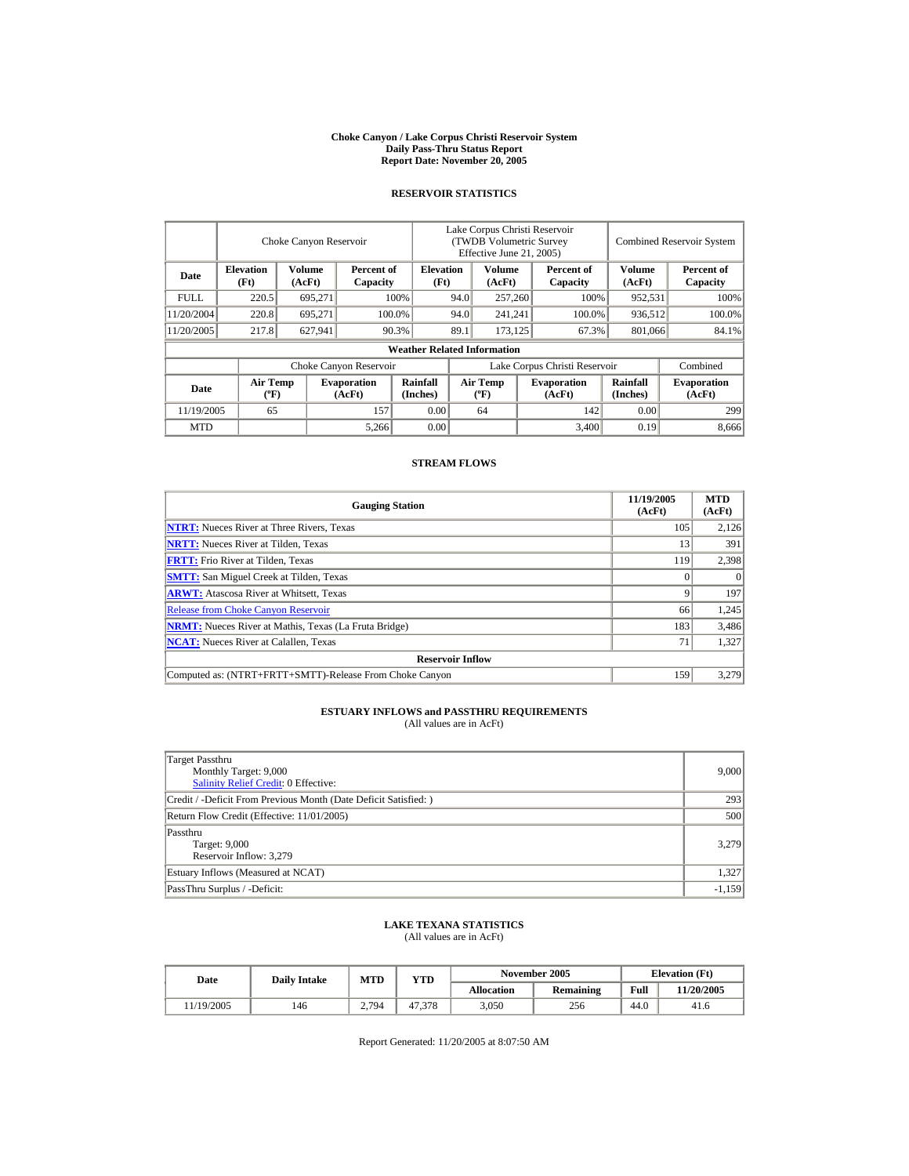#### **Choke Canyon / Lake Corpus Christi Reservoir System Daily Pass-Thru Status Report Report Date: November 20, 2005**

### **RESERVOIR STATISTICS**

|            | Choke Canyon Reservoir                      |                  |                              |                                                    | Lake Corpus Christi Reservoir<br>(TWDB Volumetric Survey<br>Effective June 21, 2005) |                                  |  |                              |                      | <b>Combined Reservoir System</b> |
|------------|---------------------------------------------|------------------|------------------------------|----------------------------------------------------|--------------------------------------------------------------------------------------|----------------------------------|--|------------------------------|----------------------|----------------------------------|
| Date       | <b>Elevation</b><br>(Ft)                    | Volume<br>(AcFt) |                              | <b>Elevation</b><br>Percent of<br>(Ft)<br>Capacity |                                                                                      | Volume<br>(AcFt)                 |  | Percent of<br>Capacity       | Volume<br>(AcFt)     | Percent of<br>Capacity           |
| FULL.      | 220.5                                       | 695,271          |                              | 100%                                               | 94.0                                                                                 | 257,260                          |  | 100%                         | 952,531              | 100%                             |
| 11/20/2004 | 220.8                                       | 695.271          |                              | 100.0%                                             | 94.0                                                                                 | 241,241                          |  | 100.0%                       | 936,512              | 100.0%                           |
| 11/20/2005 | 217.8                                       | 627,941          |                              | 90.3%                                              | 89.1                                                                                 | 173.125                          |  | 67.3%                        | 801,066              | 84.1%                            |
|            |                                             |                  |                              | <b>Weather Related Information</b>                 |                                                                                      |                                  |  |                              |                      |                                  |
|            |                                             |                  | Choke Canyon Reservoir       |                                                    | Lake Corpus Christi Reservoir                                                        |                                  |  |                              |                      | Combined                         |
| Date       | <b>Air Temp</b><br>$({}^{\circ}\mathrm{F})$ |                  | <b>Evaporation</b><br>(AcFt) | Rainfall<br>(Inches)                               |                                                                                      | <b>Air Temp</b><br>$(^{\circ}F)$ |  | <b>Evaporation</b><br>(AcFt) | Rainfall<br>(Inches) | <b>Evaporation</b><br>(AcFt)     |
| 11/19/2005 | 65                                          |                  | 157                          | 0.00                                               |                                                                                      | 64                               |  | 142                          | 0.00                 | 299                              |
| <b>MTD</b> |                                             |                  | 5,266                        | 0.00                                               |                                                                                      |                                  |  | 3,400                        | 0.19                 | 8.666                            |

### **STREAM FLOWS**

| <b>Gauging Station</b>                                       | 11/19/2005<br>(AcFt) | <b>MTD</b><br>(AcFt) |
|--------------------------------------------------------------|----------------------|----------------------|
| <b>NTRT:</b> Nueces River at Three Rivers, Texas             | 105                  | 2,126                |
| <b>NRTT:</b> Nueces River at Tilden, Texas                   | 13                   | 391                  |
| <b>FRTT:</b> Frio River at Tilden, Texas                     | 119                  | 2,398                |
| <b>SMTT:</b> San Miguel Creek at Tilden, Texas               |                      | $\Omega$             |
| <b>ARWT:</b> Atascosa River at Whitsett, Texas               |                      | 197                  |
| <b>Release from Choke Canyon Reservoir</b>                   | 66                   | 1.245                |
| <b>NRMT:</b> Nueces River at Mathis, Texas (La Fruta Bridge) | 183                  | 3,486                |
| <b>NCAT:</b> Nueces River at Calallen. Texas                 | 71                   | 1,327                |
| <b>Reservoir Inflow</b>                                      |                      |                      |
| Computed as: (NTRT+FRTT+SMTT)-Release From Choke Canyon      | 159                  | 3.279                |

# **ESTUARY INFLOWS and PASSTHRU REQUIREMENTS**<br>(All values are in AcFt)

| Target Passthru<br>Monthly Target: 9,000<br>Salinity Relief Credit: 0 Effective: | 9,000    |
|----------------------------------------------------------------------------------|----------|
| Credit / -Deficit From Previous Month (Date Deficit Satisfied:)                  | 293      |
| Return Flow Credit (Effective: 11/01/2005)                                       | 500      |
| Passthru<br>Target: 9,000<br>Reservoir Inflow: 3,279                             | 3.279    |
| Estuary Inflows (Measured at NCAT)                                               | 1.327    |
| PassThru Surplus / -Deficit:                                                     | $-1,159$ |

## **LAKE TEXANA STATISTICS**

(All values are in AcFt)

| Date      | <b>Daily Intake</b> | MTD   | VTD    |                   | November 2005    | <b>Elevation</b> (Ft) |            |
|-----------|---------------------|-------|--------|-------------------|------------------|-----------------------|------------|
|           |                     |       |        | <b>Allocation</b> | <b>Remaining</b> | Full                  | 11/20/2005 |
| 1/19/2005 | 146                 | 2,794 | 47.378 | 3,050             | 256              | 44.0                  | 41.6       |

Report Generated: 11/20/2005 at 8:07:50 AM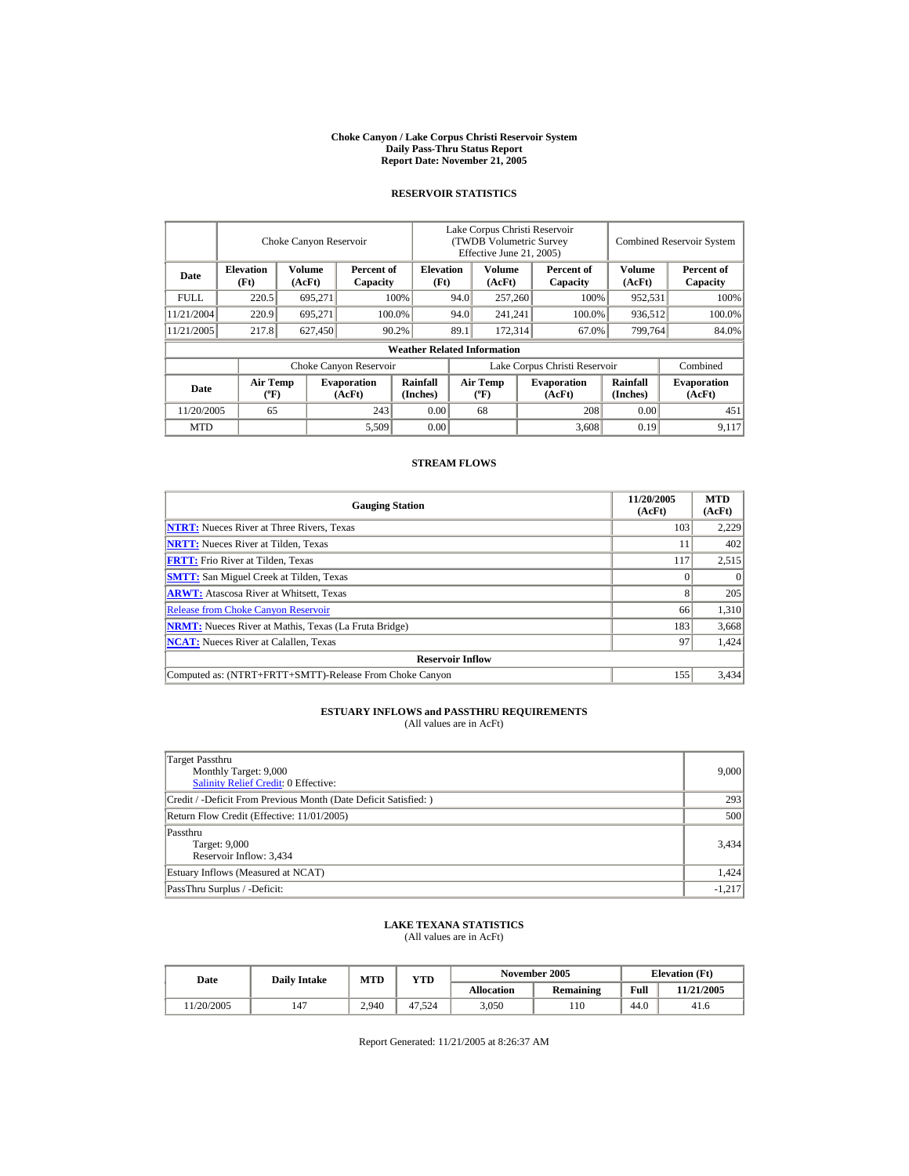#### **Choke Canyon / Lake Corpus Christi Reservoir System Daily Pass-Thru Status Report Report Date: November 21, 2005**

### **RESERVOIR STATISTICS**

|             | Choke Canyon Reservoir                      |                  |                              |                                    | Lake Corpus Christi Reservoir<br>(TWDB Volumetric Survey<br>Effective June 21, 2005) |                                  |  |                              |                             | <b>Combined Reservoir System</b> |
|-------------|---------------------------------------------|------------------|------------------------------|------------------------------------|--------------------------------------------------------------------------------------|----------------------------------|--|------------------------------|-----------------------------|----------------------------------|
| Date        | <b>Elevation</b><br>(Ft)                    | Volume<br>(AcFt) | Percent of<br>Capacity       | <b>Elevation</b><br>(Ft)           |                                                                                      | Volume<br>(AcFt)                 |  | Percent of<br>Capacity       | Volume<br>(AcFt)            | Percent of<br>Capacity           |
| <b>FULL</b> | 220.5                                       | 695,271          |                              | 100%                               | 94.0                                                                                 | 257,260                          |  | 100%                         | 952,531                     | 100%                             |
| 11/21/2004  | 220.9                                       | 695.271          |                              | 100.0%                             | 94.0                                                                                 | 241,241                          |  | 100.0%                       | 936,512                     | 100.0%                           |
| 11/21/2005  | 217.8                                       | 627,450          |                              | 90.2%                              | 89.1                                                                                 | 172,314                          |  | 67.0%                        | 799,764                     | 84.0%                            |
|             |                                             |                  |                              | <b>Weather Related Information</b> |                                                                                      |                                  |  |                              |                             |                                  |
|             |                                             |                  | Choke Canyon Reservoir       |                                    | Lake Corpus Christi Reservoir                                                        |                                  |  |                              |                             | Combined                         |
| Date        | <b>Air Temp</b><br>$({}^{\circ}\mathrm{F})$ |                  | <b>Evaporation</b><br>(AcFt) | Rainfall<br>(Inches)               |                                                                                      | <b>Air Temp</b><br>$(^{\circ}F)$ |  | <b>Evaporation</b><br>(AcFt) | <b>Rainfall</b><br>(Inches) | <b>Evaporation</b><br>(AcFt)     |
| 11/20/2005  | 65                                          |                  | 243                          | 0.00                               |                                                                                      | 68                               |  | 208                          | 0.00                        | 451                              |
| <b>MTD</b>  |                                             |                  | 5,509                        | 0.00                               |                                                                                      |                                  |  | 3,608                        | 0.19                        | 9.117                            |

### **STREAM FLOWS**

| <b>Gauging Station</b>                                       | 11/20/2005<br>(AcFt) | <b>MTD</b><br>(AcFt) |
|--------------------------------------------------------------|----------------------|----------------------|
| <b>NTRT:</b> Nueces River at Three Rivers, Texas             | 103                  | 2,229                |
| <b>NRTT:</b> Nueces River at Tilden, Texas                   | 11                   | 402                  |
| <b>FRTT:</b> Frio River at Tilden, Texas                     | 117                  | 2,515                |
| <b>SMTT:</b> San Miguel Creek at Tilden, Texas               |                      | $\Omega$             |
| <b>ARWT:</b> Atascosa River at Whitsett, Texas               |                      | 205                  |
| <b>Release from Choke Canyon Reservoir</b>                   | 66                   | 1.310                |
| <b>NRMT:</b> Nueces River at Mathis, Texas (La Fruta Bridge) | 183                  | 3,668                |
| <b>NCAT:</b> Nueces River at Calallen, Texas                 | 97                   | 1,424                |
| <b>Reservoir Inflow</b>                                      |                      |                      |
| Computed as: (NTRT+FRTT+SMTT)-Release From Choke Canyon      | 155                  | 3.434                |

# **ESTUARY INFLOWS and PASSTHRU REQUIREMENTS**<br>(All values are in AcFt)

| Target Passthru<br>Monthly Target: 9,000<br>Salinity Relief Credit: 0 Effective: | 9,000    |
|----------------------------------------------------------------------------------|----------|
| Credit / -Deficit From Previous Month (Date Deficit Satisfied:)                  | 293      |
| Return Flow Credit (Effective: 11/01/2005)                                       | 500      |
| Passthru<br>Target: 9,000<br>Reservoir Inflow: 3,434                             | 3,434    |
| Estuary Inflows (Measured at NCAT)                                               | 1,424    |
| PassThru Surplus / -Deficit:                                                     | $-1,217$ |

## **LAKE TEXANA STATISTICS**

(All values are in AcFt)

| Date      | <b>Daily Intake</b> | MTD   | VTD    |                   | November 2005 | <b>Elevation</b> (Ft) |            |
|-----------|---------------------|-------|--------|-------------------|---------------|-----------------------|------------|
|           |                     |       |        | <b>Allocation</b> | Remaining     | Full                  | 11/21/2005 |
| 1/20/2005 | 147                 | 2.940 | 47.524 | 3,050             | 110           | 44.0                  | 41.6       |

Report Generated: 11/21/2005 at 8:26:37 AM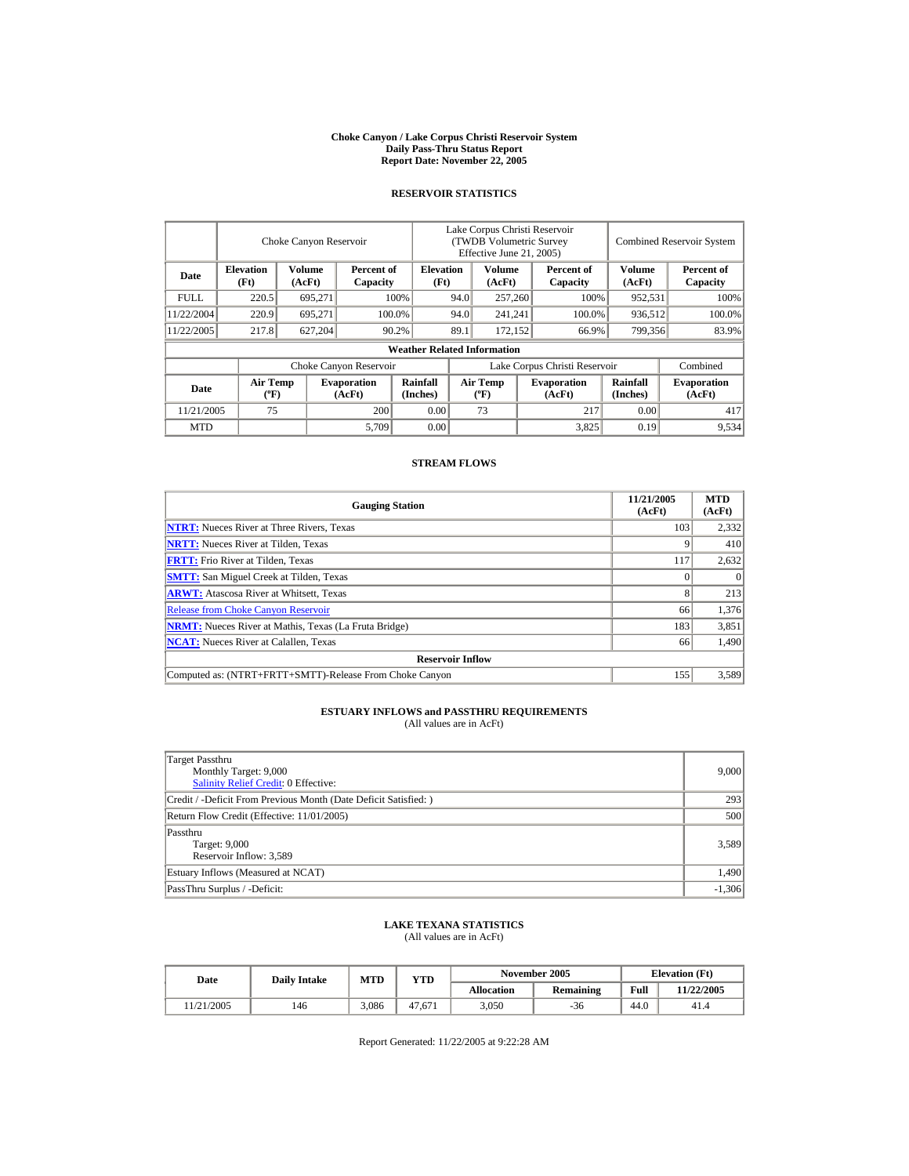#### **Choke Canyon / Lake Corpus Christi Reservoir System Daily Pass-Thru Status Report Report Date: November 22, 2005**

### **RESERVOIR STATISTICS**

|             |                                             | Choke Canyon Reservoir |                              |                                    |      | Lake Corpus Christi Reservoir<br>(TWDB Volumetric Survey<br>Effective June 21, 2005) |                               |                             | <b>Combined Reservoir System</b> |
|-------------|---------------------------------------------|------------------------|------------------------------|------------------------------------|------|--------------------------------------------------------------------------------------|-------------------------------|-----------------------------|----------------------------------|
| Date        | <b>Elevation</b><br>(Ft)                    | Volume<br>(AcFt)       | Percent of<br>Capacity       | <b>Elevation</b><br>(Ft)           |      | Volume<br>(AcFt)                                                                     | Percent of<br>Capacity        | Volume<br>(AcFt)            | Percent of<br>Capacity           |
| <b>FULL</b> | 220.5                                       | 695,271                |                              | 100%                               | 94.0 | 257,260                                                                              | 100%                          | 952,531                     | 100%                             |
| 11/22/2004  | 220.9                                       | 695.271                |                              | 100.0%                             | 94.0 | 241,241                                                                              | 100.0%                        | 936,512                     | 100.0%                           |
| 11/22/2005  | 217.8                                       | 627,204                |                              | 90.2%                              | 89.1 | 172.152                                                                              | 66.9%                         | 799,356                     | 83.9%                            |
|             |                                             |                        |                              | <b>Weather Related Information</b> |      |                                                                                      |                               |                             |                                  |
|             |                                             |                        | Choke Canyon Reservoir       |                                    |      |                                                                                      | Lake Corpus Christi Reservoir |                             | Combined                         |
| Date        | <b>Air Temp</b><br>$({}^{\circ}\mathrm{F})$ |                        | <b>Evaporation</b><br>(AcFt) | Rainfall<br>(Inches)               |      | <b>Air Temp</b><br>$({}^{\circ}\mathbf{F})$                                          | <b>Evaporation</b><br>(AcFt)  | <b>Rainfall</b><br>(Inches) | <b>Evaporation</b><br>(AcFt)     |
| 11/21/2005  | 75                                          |                        | 200                          | 0.00                               |      | 73                                                                                   | 217                           | 0.00                        | 417                              |
| <b>MTD</b>  |                                             |                        | 5,709                        | 0.00                               |      |                                                                                      | 3,825                         | 0.19                        | 9,534                            |

#### **STREAM FLOWS**

| <b>Gauging Station</b>                                       | 11/21/2005<br>(AcFt) | <b>MTD</b><br>(AcFt) |
|--------------------------------------------------------------|----------------------|----------------------|
| <b>NTRT:</b> Nueces River at Three Rivers, Texas             | 103                  | 2.332                |
| <b>NRTT:</b> Nueces River at Tilden, Texas                   |                      | 410                  |
| <b>FRTT:</b> Frio River at Tilden, Texas                     | 117                  | 2,632                |
| <b>SMTT:</b> San Miguel Creek at Tilden, Texas               |                      | $\Omega$             |
| <b>ARWT:</b> Atascosa River at Whitsett, Texas               |                      | 213                  |
| <b>Release from Choke Canyon Reservoir</b>                   | 66                   | 1.376                |
| <b>NRMT:</b> Nueces River at Mathis, Texas (La Fruta Bridge) | 183                  | 3,851                |
| <b>NCAT:</b> Nueces River at Calallen. Texas                 | 66                   | 1,490                |
| <b>Reservoir Inflow</b>                                      |                      |                      |
| Computed as: (NTRT+FRTT+SMTT)-Release From Choke Canyon      | 155                  | 3,589                |

# **ESTUARY INFLOWS and PASSTHRU REQUIREMENTS**<br>(All values are in AcFt)

| Target Passthru<br>Monthly Target: 9,000<br>Salinity Relief Credit: 0 Effective: | 9,000    |
|----------------------------------------------------------------------------------|----------|
| Credit / -Deficit From Previous Month (Date Deficit Satisfied:)                  | 293      |
| Return Flow Credit (Effective: 11/01/2005)                                       | 500      |
| Passthru<br>Target: 9,000<br>Reservoir Inflow: 3,589                             | 3,589    |
| Estuary Inflows (Measured at NCAT)                                               | 1,490    |
| PassThru Surplus / -Deficit:                                                     | $-1,306$ |

## **LAKE TEXANA STATISTICS**

(All values are in AcFt)

| Date      | <b>Daily Intake</b> | <b>MTD</b> | VTD    | November 2005 |                  |      | <b>Elevation</b> (Ft) |
|-----------|---------------------|------------|--------|---------------|------------------|------|-----------------------|
|           |                     |            |        | Allocation    | <b>Remaining</b> | Full | 11/22/2005            |
| 1/21/2005 | 146                 | 3.086      | 47.671 | 3,050         | $-36$            | 44.0 | 41.4                  |

Report Generated: 11/22/2005 at 9:22:28 AM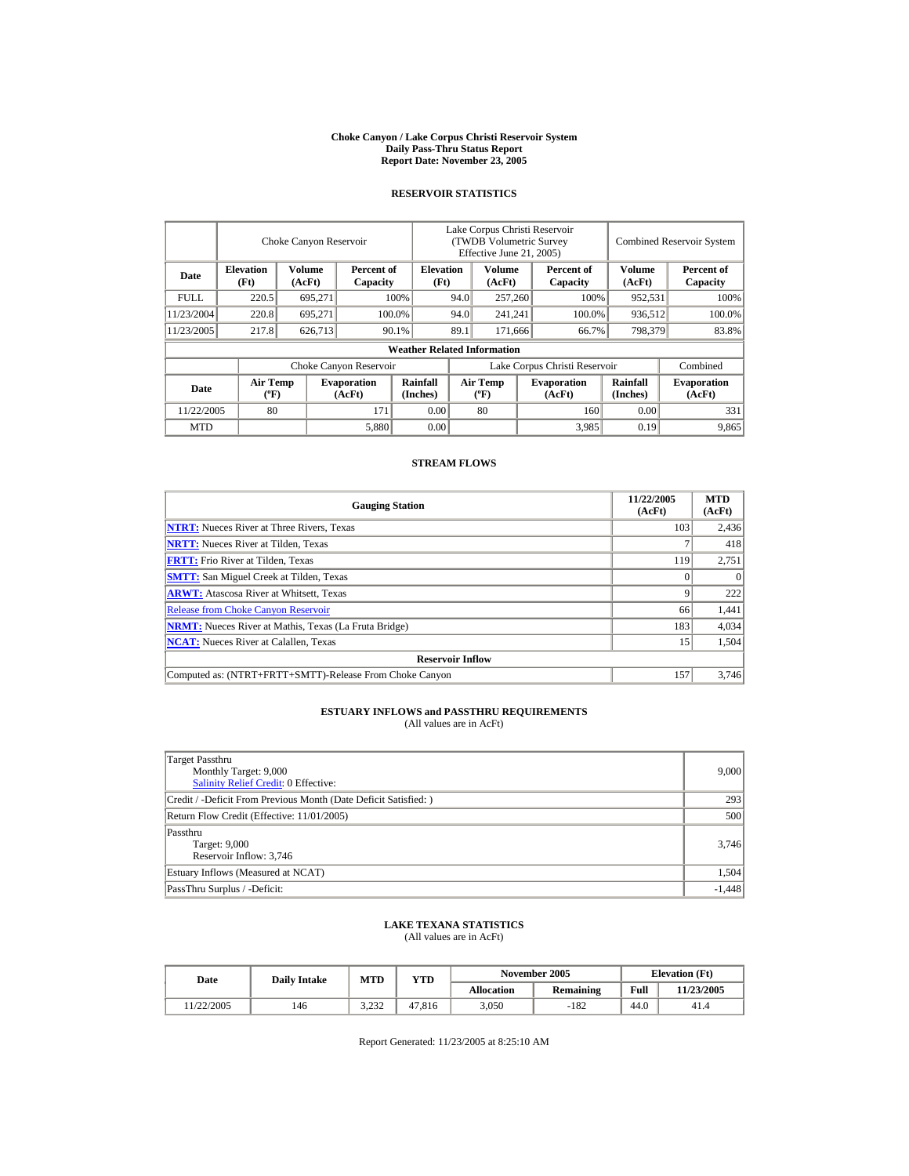#### **Choke Canyon / Lake Corpus Christi Reservoir System Daily Pass-Thru Status Report Report Date: November 23, 2005**

### **RESERVOIR STATISTICS**

|            |                                             | Choke Canyon Reservoir |                              |                                    |      | Lake Corpus Christi Reservoir<br>(TWDB Volumetric Survey<br>Effective June 21, 2005) |                               |                      | <b>Combined Reservoir System</b> |
|------------|---------------------------------------------|------------------------|------------------------------|------------------------------------|------|--------------------------------------------------------------------------------------|-------------------------------|----------------------|----------------------------------|
| Date       | <b>Elevation</b><br>(Ft)                    | Volume<br>(AcFt)       | Percent of<br>Capacity       | <b>Elevation</b><br>(Ft)           |      | Volume<br>(AcFt)                                                                     | Percent of<br>Capacity        | Volume<br>(AcFt)     | Percent of<br>Capacity           |
| FULL.      | 220.5                                       | 695,271                |                              | 100%                               | 94.0 | 257,260                                                                              | 100%                          | 952,531              | 100%                             |
| 11/23/2004 | 220.8                                       | 695.271                |                              | 100.0%                             | 94.0 | 241,241                                                                              | 100.0%                        | 936,512              | 100.0%                           |
| 11/23/2005 | 217.8                                       | 626,713                |                              | 90.1%                              | 89.1 | 171,666                                                                              | 66.7%                         | 798,379              | 83.8%                            |
|            |                                             |                        |                              | <b>Weather Related Information</b> |      |                                                                                      |                               |                      |                                  |
|            |                                             |                        | Choke Canyon Reservoir       |                                    |      |                                                                                      | Lake Corpus Christi Reservoir |                      | Combined                         |
| Date       | <b>Air Temp</b><br>$({}^{\circ}\mathrm{F})$ |                        | <b>Evaporation</b><br>(AcFt) | Rainfall<br>(Inches)               |      | <b>Air Temp</b><br>$({}^{\circ}\mathbf{F})$                                          | <b>Evaporation</b><br>(AcFt)  | Rainfall<br>(Inches) | <b>Evaporation</b><br>(AcFt)     |
| 11/22/2005 | 80                                          |                        | 171                          | 0.00                               |      | 80                                                                                   | 160                           | 0.00                 | 331                              |
| <b>MTD</b> |                                             |                        | 5,880                        | 0.00                               |      |                                                                                      | 3,985                         | 0.19                 | 9,865                            |

### **STREAM FLOWS**

| <b>Gauging Station</b>                                       | 11/22/2005<br>(AcFt) | <b>MTD</b><br>(AcFt) |
|--------------------------------------------------------------|----------------------|----------------------|
| <b>NTRT:</b> Nueces River at Three Rivers, Texas             | 103                  | 2,436                |
| <b>NRTT:</b> Nueces River at Tilden, Texas                   |                      | 418                  |
| <b>FRTT:</b> Frio River at Tilden, Texas                     | 119                  | 2,751                |
| <b>SMTT:</b> San Miguel Creek at Tilden, Texas               |                      | $\Omega$             |
| <b>ARWT:</b> Atascosa River at Whitsett, Texas               |                      | 222                  |
| <b>Release from Choke Canyon Reservoir</b>                   | 66                   | 1,441                |
| <b>NRMT:</b> Nueces River at Mathis, Texas (La Fruta Bridge) | 183                  | 4,034                |
| <b>NCAT:</b> Nueces River at Calallen. Texas                 | 15                   | 1,504                |
| <b>Reservoir Inflow</b>                                      |                      |                      |
| Computed as: (NTRT+FRTT+SMTT)-Release From Choke Canyon      | 157                  | 3.746                |

# **ESTUARY INFLOWS and PASSTHRU REQUIREMENTS**<br>(All values are in AcFt)

| Target Passthru<br>Monthly Target: 9,000<br>Salinity Relief Credit: 0 Effective: | 9,000    |
|----------------------------------------------------------------------------------|----------|
| Credit / -Deficit From Previous Month (Date Deficit Satisfied:)                  | 293      |
| Return Flow Credit (Effective: 11/01/2005)                                       | 500      |
| Passthru<br>Target: 9,000<br>Reservoir Inflow: 3,746                             | 3,746    |
| Estuary Inflows (Measured at NCAT)                                               | 1,504    |
| PassThru Surplus / -Deficit:                                                     | $-1,448$ |

## **LAKE TEXANA STATISTICS**

(All values are in AcFt)

| Date      | <b>Daily Intake</b> | MTD<br>VTD    |        | November 2005 |                  |      | <b>Elevation</b> (Ft) |
|-----------|---------------------|---------------|--------|---------------|------------------|------|-----------------------|
|           |                     |               |        | Allocation    | <b>Remaining</b> | Full | 11/23/2005            |
| 1/22/2005 | 146                 | 222<br>ے رے ۔ | 47.816 | 3,050         | $-182$           | 44.0 | 41.4                  |

Report Generated: 11/23/2005 at 8:25:10 AM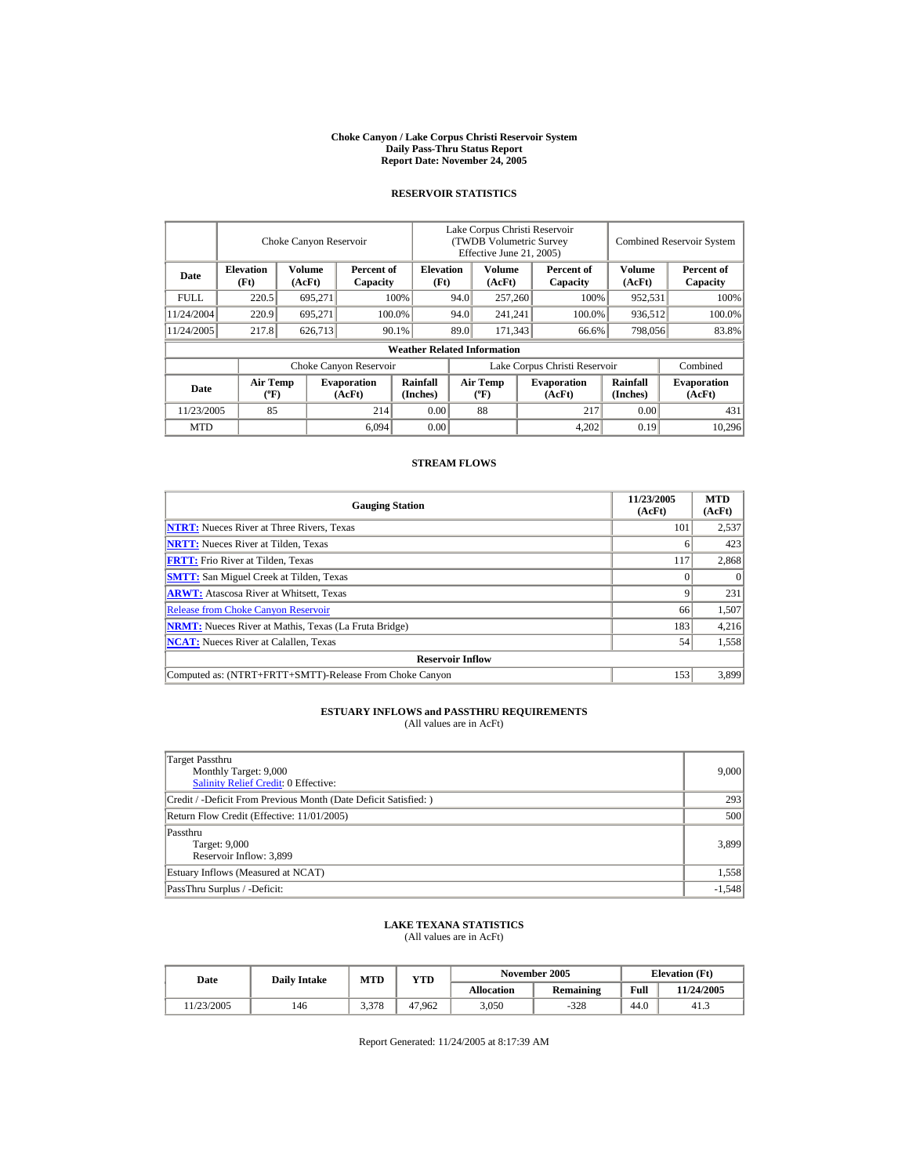#### **Choke Canyon / Lake Corpus Christi Reservoir System Daily Pass-Thru Status Report Report Date: November 24, 2005**

### **RESERVOIR STATISTICS**

|            | Choke Canyon Reservoir      |                  |                              |                                    | Lake Corpus Christi Reservoir<br>(TWDB Volumetric Survey<br>Effective June 21, 2005) |                                      |  |                               |                      | <b>Combined Reservoir System</b> |  |
|------------|-----------------------------|------------------|------------------------------|------------------------------------|--------------------------------------------------------------------------------------|--------------------------------------|--|-------------------------------|----------------------|----------------------------------|--|
| Date       | <b>Elevation</b><br>(Ft)    | Volume<br>(AcFt) | Percent of<br>Capacity       | <b>Elevation</b><br>(Ft)           |                                                                                      | Volume<br>(AcFt)                     |  | Percent of<br>Capacity        | Volume<br>(AcFt)     | Percent of<br>Capacity           |  |
| FULL.      | 220.5                       | 695,271          |                              | 100%                               | 94.0                                                                                 | 257,260                              |  | 100%                          | 952,531              | 100%                             |  |
| 11/24/2004 | 220.9                       | 695,271          |                              | 100.0%                             | 94.0                                                                                 | 241,241                              |  | 100.0%                        | 936,512              | 100.0%                           |  |
| 11/24/2005 | 217.8                       | 626,713          |                              | $90.1\%$                           | 89.0                                                                                 | 171.343                              |  | 66.6%                         | 798,056              | 83.8%                            |  |
|            |                             |                  |                              | <b>Weather Related Information</b> |                                                                                      |                                      |  |                               |                      |                                  |  |
|            |                             |                  | Choke Canyon Reservoir       |                                    |                                                                                      |                                      |  | Lake Corpus Christi Reservoir |                      | Combined                         |  |
| Date       | Air Temp<br>$({}^{\circ}F)$ |                  | <b>Evaporation</b><br>(AcFt) | <b>Rainfall</b><br>(Inches)        |                                                                                      | Air Temp<br>$({}^{\circ}\mathrm{F})$ |  | <b>Evaporation</b><br>(AcFt)  | Rainfall<br>(Inches) | <b>Evaporation</b><br>(AcFt)     |  |
| 11/23/2005 | 85                          |                  | 214                          | 0.00                               |                                                                                      | 88                                   |  | 217                           | 0.00                 | 431                              |  |
| <b>MTD</b> |                             |                  | 6,094                        | 0.00                               |                                                                                      |                                      |  | 4,202                         | 0.19                 | 10.296                           |  |

#### **STREAM FLOWS**

| <b>Gauging Station</b>                                       | 11/23/2005<br>(AcFt) | <b>MTD</b><br>(AcFt) |
|--------------------------------------------------------------|----------------------|----------------------|
| <b>NTRT:</b> Nueces River at Three Rivers, Texas             | 101                  | 2,537                |
| <b>NRTT:</b> Nueces River at Tilden, Texas                   | o                    | 423                  |
| <b>FRTT:</b> Frio River at Tilden, Texas                     | 117                  | 2,868                |
| <b>SMTT:</b> San Miguel Creek at Tilden, Texas               |                      | $\theta$             |
| <b>ARWT:</b> Atascosa River at Whitsett, Texas               | Q                    | 231                  |
| <b>Release from Choke Canyon Reservoir</b>                   | 66                   | 1,507                |
| <b>NRMT:</b> Nueces River at Mathis, Texas (La Fruta Bridge) | 183                  | 4,216                |
| <b>NCAT:</b> Nueces River at Calallen, Texas                 | 54                   | 1,558                |
| <b>Reservoir Inflow</b>                                      |                      |                      |
| Computed as: (NTRT+FRTT+SMTT)-Release From Choke Canyon      | 153                  | 3.899                |

# **ESTUARY INFLOWS and PASSTHRU REQUIREMENTS**<br>(All values are in AcFt)

| Target Passthru<br>Monthly Target: 9,000<br>Salinity Relief Credit: 0 Effective: | 9,000    |
|----------------------------------------------------------------------------------|----------|
| Credit / -Deficit From Previous Month (Date Deficit Satisfied:)                  | 293      |
| Return Flow Credit (Effective: 11/01/2005)                                       | 500      |
| Passthru<br>Target: 9,000<br>Reservoir Inflow: 3,899                             | 3,899    |
| Estuary Inflows (Measured at NCAT)                                               | 1,558    |
| PassThru Surplus / -Deficit:                                                     | $-1,548$ |

## **LAKE TEXANA STATISTICS**

(All values are in AcFt)

| Date      | <b>Daily Intake</b> | MTD<br>VTD |        | November 2005 |                  |      | <b>Elevation</b> (Ft) |
|-----------|---------------------|------------|--------|---------------|------------------|------|-----------------------|
|           |                     |            |        | Allocation    | <b>Remaining</b> | Full | 11/24/2005            |
| 1/23/2005 | 146                 | 3,378      | 47.962 | 3,050         | $-328$           | 44.0 | 41.3                  |

Report Generated: 11/24/2005 at 8:17:39 AM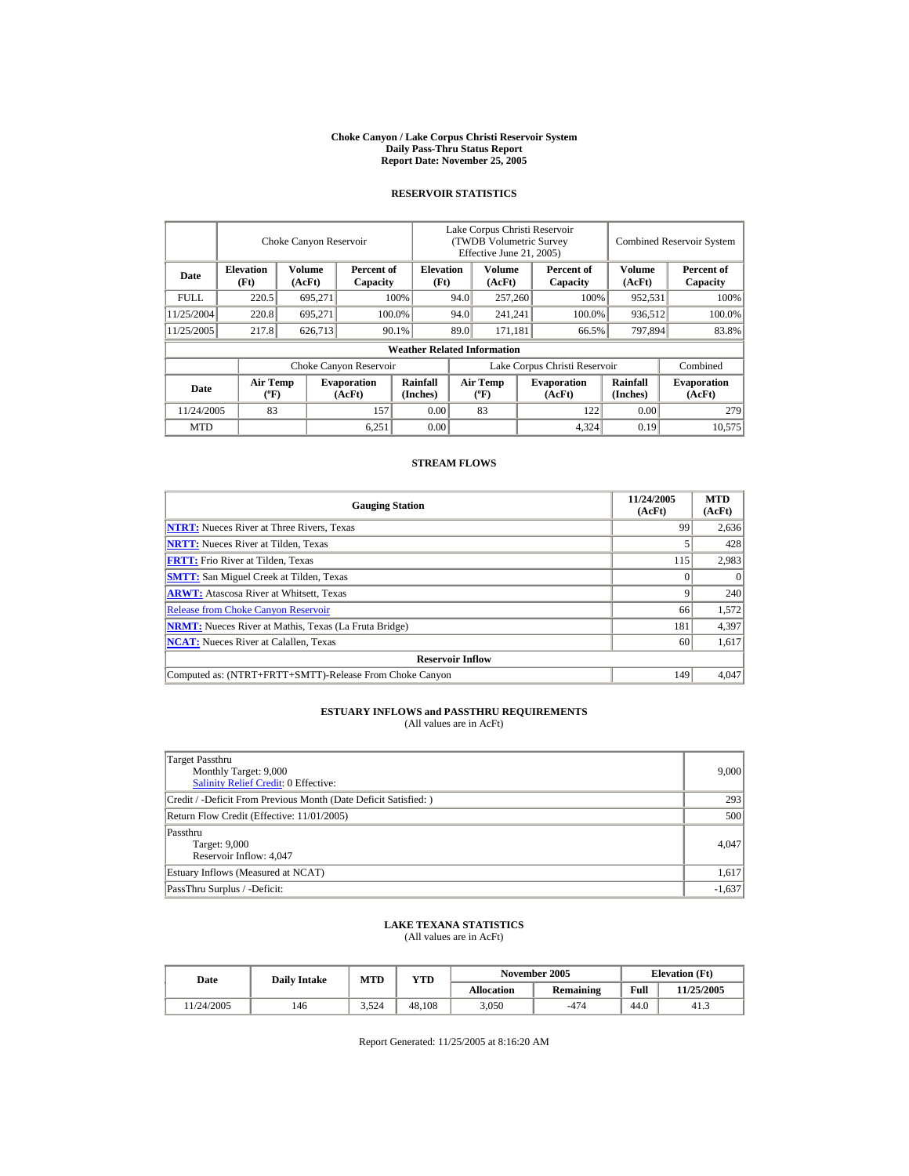#### **Choke Canyon / Lake Corpus Christi Reservoir System Daily Pass-Thru Status Report Report Date: November 25, 2005**

### **RESERVOIR STATISTICS**

|            |                             | Choke Canyon Reservoir |                              |                                    | Lake Corpus Christi Reservoir<br>(TWDB Volumetric Survey<br>Effective June 21, 2005) |                                      |         |                              |                      | <b>Combined Reservoir System</b> |
|------------|-----------------------------|------------------------|------------------------------|------------------------------------|--------------------------------------------------------------------------------------|--------------------------------------|---------|------------------------------|----------------------|----------------------------------|
| Date       | <b>Elevation</b><br>(Ft)    | Volume<br>(AcFt)       | Percent of<br>Capacity       | <b>Elevation</b><br>(Ft)           |                                                                                      | Volume<br>(AcFt)                     |         | Percent of<br>Capacity       | Volume<br>(AcFt)     | Percent of<br>Capacity           |
| FULL.      | 220.5                       | 695,271                |                              | 100%                               | 94.0                                                                                 |                                      | 257,260 | 100%                         | 952,531              | 100%                             |
| 11/25/2004 | 220.8                       | 695,271                |                              | 100.0%                             | 94.0                                                                                 | 241,241                              |         | 100.0%                       | 936,512              | 100.0%                           |
| 11/25/2005 | 217.8                       | 626,713                |                              | $90.1\%$                           | 89.0                                                                                 | 171.181                              |         | 66.5%                        | 797,894              | 83.8%                            |
|            |                             |                        |                              | <b>Weather Related Information</b> |                                                                                      |                                      |         |                              |                      |                                  |
|            |                             |                        | Choke Canyon Reservoir       |                                    | Lake Corpus Christi Reservoir                                                        |                                      |         |                              |                      | Combined                         |
| Date       | Air Temp<br>$({}^{\circ}F)$ |                        | <b>Evaporation</b><br>(AcFt) | <b>Rainfall</b><br>(Inches)        |                                                                                      | Air Temp<br>$({}^{\circ}\mathrm{F})$ |         | <b>Evaporation</b><br>(AcFt) | Rainfall<br>(Inches) | <b>Evaporation</b><br>(AcFt)     |
| 11/24/2005 | 83                          |                        | 157                          | 0.00                               |                                                                                      | 83                                   |         | 122                          | 0.00                 | 279                              |
| <b>MTD</b> |                             |                        | 6,251                        | 0.00                               |                                                                                      |                                      |         | 4,324                        | 0.19                 | 10.575                           |

### **STREAM FLOWS**

| <b>Gauging Station</b>                                       | 11/24/2005<br>(AcFt) | <b>MTD</b><br>(AcFt) |
|--------------------------------------------------------------|----------------------|----------------------|
| <b>NTRT:</b> Nueces River at Three Rivers, Texas             | 99                   | 2,636                |
| <b>NRTT:</b> Nueces River at Tilden, Texas                   |                      | 428                  |
| <b>FRTT:</b> Frio River at Tilden, Texas                     | 115                  | 2,983                |
| <b>SMTT:</b> San Miguel Creek at Tilden, Texas               |                      | $\Omega$             |
| <b>ARWT:</b> Atascosa River at Whitsett, Texas               |                      | 240                  |
| <b>Release from Choke Canyon Reservoir</b>                   | 66                   | 1,572                |
| <b>NRMT:</b> Nueces River at Mathis, Texas (La Fruta Bridge) | 181                  | 4,397                |
| <b>NCAT:</b> Nueces River at Calallen. Texas                 | 60                   | 1,617                |
| <b>Reservoir Inflow</b>                                      |                      |                      |
| Computed as: (NTRT+FRTT+SMTT)-Release From Choke Canyon      | 149                  | 4.047                |

# **ESTUARY INFLOWS and PASSTHRU REQUIREMENTS**<br>(All values are in AcFt)

| Target Passthru<br>Monthly Target: 9,000<br>Salinity Relief Credit: 0 Effective: | 9,000    |
|----------------------------------------------------------------------------------|----------|
| Credit / -Deficit From Previous Month (Date Deficit Satisfied:)                  | 293      |
| Return Flow Credit (Effective: 11/01/2005)                                       | 500      |
| Passthru<br>Target: 9,000<br>Reservoir Inflow: 4,047                             | 4.047    |
| Estuary Inflows (Measured at NCAT)                                               | 1,617    |
| PassThru Surplus / -Deficit:                                                     | $-1,637$ |

## **LAKE TEXANA STATISTICS**

(All values are in AcFt)

| Date      | <b>Daily Intake</b> | <b>MTD</b> | VTD    |            | November 2005    | <b>Elevation</b> (Ft) |            |
|-----------|---------------------|------------|--------|------------|------------------|-----------------------|------------|
|           |                     |            |        | Allocation | <b>Remaining</b> | Full                  | 11/25/2005 |
| 1/24/2005 | 146                 | 3,524      | 48.108 | 3,050      | $-474$           | 44.0                  | 41.3       |

Report Generated: 11/25/2005 at 8:16:20 AM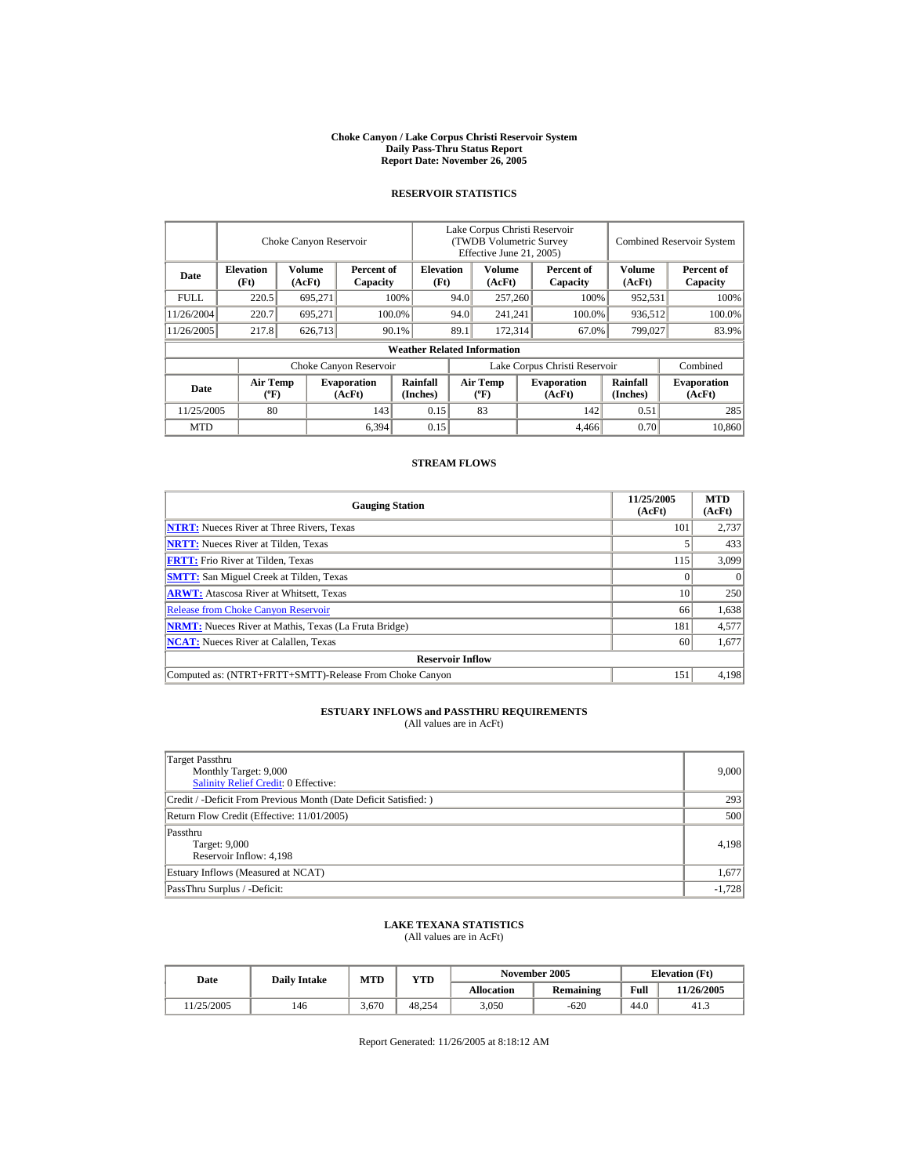#### **Choke Canyon / Lake Corpus Christi Reservoir System Daily Pass-Thru Status Report Report Date: November 26, 2005**

### **RESERVOIR STATISTICS**

|            |                                      | Choke Canyon Reservoir |                              |                                    |                               | Lake Corpus Christi Reservoir<br>(TWDB Volumetric Survey<br>Effective June 21, 2005) |         |                              |                      | <b>Combined Reservoir System</b> |
|------------|--------------------------------------|------------------------|------------------------------|------------------------------------|-------------------------------|--------------------------------------------------------------------------------------|---------|------------------------------|----------------------|----------------------------------|
| Date       | <b>Elevation</b><br>(Ft)             | Volume<br>(AcFt)       | Percent of<br>Capacity       | <b>Elevation</b><br>(Ft)           |                               | Volume<br>(AcFt)                                                                     |         | Percent of<br>Capacity       | Volume<br>(AcFt)     | Percent of<br>Capacity           |
| FULL.      | 220.5                                | 695.271                |                              | 100%                               | 94.0                          | 257,260                                                                              |         | 100%                         | 952,531              | 100%                             |
| 11/26/2004 | 220.7                                | 695.271                |                              | 100.0%                             | 94.0                          | 241.241                                                                              |         | 100.0%                       | 936,512              | 100.0%                           |
| 11/26/2005 | 217.8                                | 626,713                |                              | 90.1%                              | 89.1<br>172,314<br>67.0%      |                                                                                      | 799,027 | 83.9%                        |                      |                                  |
|            |                                      |                        |                              | <b>Weather Related Information</b> |                               |                                                                                      |         |                              |                      |                                  |
|            |                                      |                        | Choke Canyon Reservoir       |                                    | Lake Corpus Christi Reservoir |                                                                                      |         |                              | Combined             |                                  |
| Date       | Air Temp<br>$({}^{\circ}\mathrm{F})$ |                        | <b>Evaporation</b><br>(AcFt) | <b>Rainfall</b><br>(Inches)        |                               | <b>Air Temp</b><br>$({}^{\circ}\mathrm{F})$                                          |         | <b>Evaporation</b><br>(AcFt) | Rainfall<br>(Inches) | <b>Evaporation</b><br>(AcFt)     |
| 11/25/2005 | 80                                   |                        | 143                          | 0.15                               |                               | 83                                                                                   |         | 142                          | 0.51                 | 285                              |
| <b>MTD</b> |                                      |                        | 6,394                        | 0.15                               |                               |                                                                                      |         | 4.466                        | 0.70                 | 10.860                           |

### **STREAM FLOWS**

| <b>Gauging Station</b>                                       | 11/25/2005<br>(AcFt) | <b>MTD</b><br>(AcFt) |
|--------------------------------------------------------------|----------------------|----------------------|
| <b>NTRT:</b> Nueces River at Three Rivers, Texas             | 101                  | 2,737                |
| <b>NRTT:</b> Nueces River at Tilden, Texas                   |                      | 433                  |
| <b>FRTT:</b> Frio River at Tilden, Texas                     | 115                  | 3,099                |
| <b>SMTT:</b> San Miguel Creek at Tilden, Texas               |                      | $\Omega$             |
| <b>ARWT:</b> Atascosa River at Whitsett, Texas               | 10                   | 250                  |
| <b>Release from Choke Canyon Reservoir</b>                   | 66                   | 1,638                |
| <b>NRMT:</b> Nueces River at Mathis, Texas (La Fruta Bridge) | 181                  | 4,577                |
| <b>NCAT:</b> Nueces River at Calallen, Texas                 | 60                   | 1,677                |
| <b>Reservoir Inflow</b>                                      |                      |                      |
| Computed as: (NTRT+FRTT+SMTT)-Release From Choke Canyon      | 151                  | 4.198                |

# **ESTUARY INFLOWS and PASSTHRU REQUIREMENTS**<br>(All values are in AcFt)

| Target Passthru<br>Monthly Target: 9,000<br>Salinity Relief Credit: 0 Effective: | 9,000    |
|----------------------------------------------------------------------------------|----------|
| Credit / -Deficit From Previous Month (Date Deficit Satisfied:)                  | 293      |
| Return Flow Credit (Effective: 11/01/2005)                                       | 500      |
| Passthru<br>Target: 9,000<br>Reservoir Inflow: 4,198                             | 4,198    |
| Estuary Inflows (Measured at NCAT)                                               | 1,677    |
| PassThru Surplus / -Deficit:                                                     | $-1,728$ |

## **LAKE TEXANA STATISTICS**

(All values are in AcFt)

| Date      | <b>Daily Intake</b> | <b>MTD</b><br>YTD |        |                   | November 2005    | <b>Elevation</b> (Ft) |            |
|-----------|---------------------|-------------------|--------|-------------------|------------------|-----------------------|------------|
|           |                     |                   |        | <b>Allocation</b> | <b>Remaining</b> | Full                  | 11/26/2005 |
| 1/25/2005 | 146                 | 3.670             | 48.254 | 3.050             | $-620$           | 44.0                  | 41.3       |

Report Generated: 11/26/2005 at 8:18:12 AM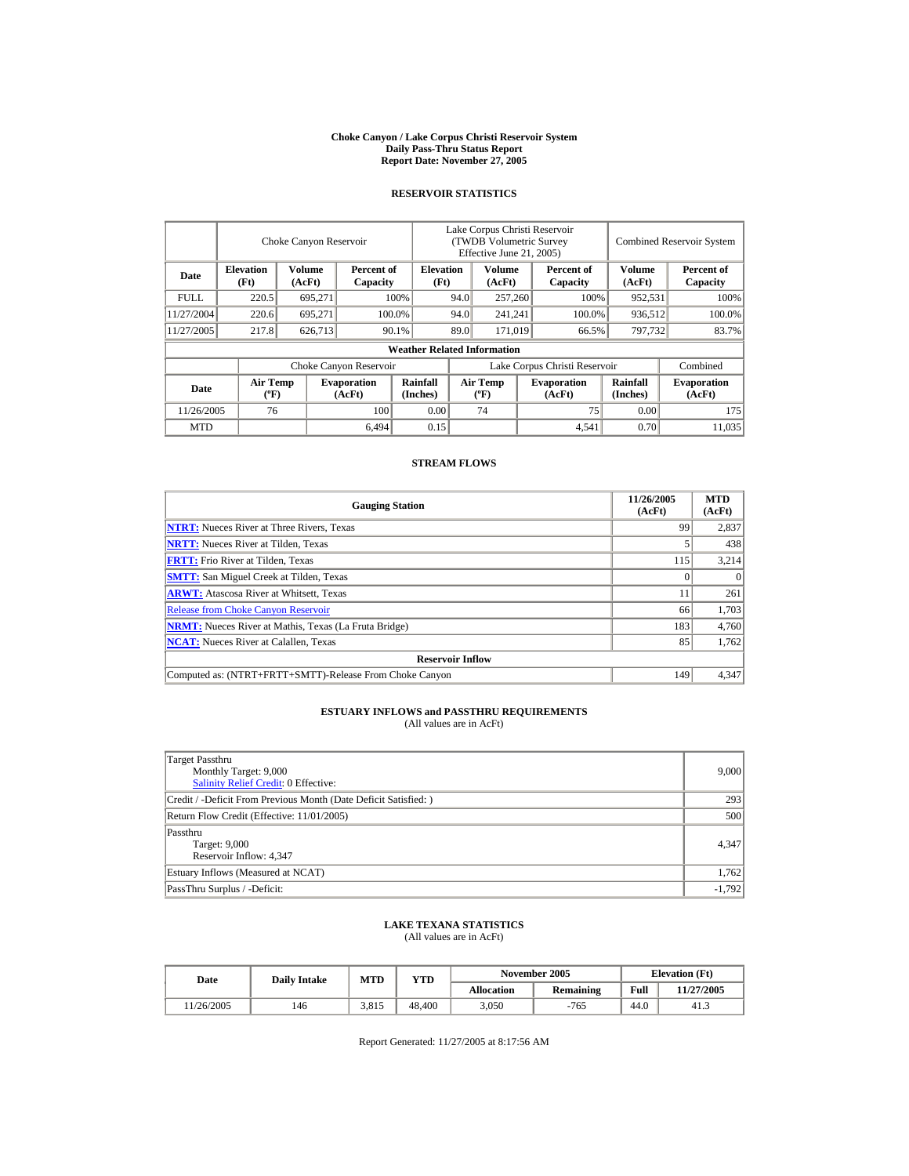#### **Choke Canyon / Lake Corpus Christi Reservoir System Daily Pass-Thru Status Report Report Date: November 27, 2005**

### **RESERVOIR STATISTICS**

|             |                                             | Choke Canyon Reservoir |                              |                                    | Lake Corpus Christi Reservoir<br>(TWDB Volumetric Survey<br>Effective June 21, 2005) |                                             |                              |                               |                      | <b>Combined Reservoir System</b> |
|-------------|---------------------------------------------|------------------------|------------------------------|------------------------------------|--------------------------------------------------------------------------------------|---------------------------------------------|------------------------------|-------------------------------|----------------------|----------------------------------|
| Date        | <b>Elevation</b><br>(Ft)                    | Volume<br>(AcFt)       | Percent of<br>Capacity       | <b>Elevation</b><br>(Ft)           |                                                                                      | Volume<br>(AcFt)                            |                              | Percent of<br>Capacity        | Volume<br>(AcFt)     | Percent of<br>Capacity           |
| <b>FULL</b> | 220.5                                       | 695,271                |                              | 100%                               | 94.0                                                                                 | 257,260                                     |                              | 100%                          | 952,531              | 100%                             |
| 11/27/2004  | 220.6                                       | 695.271                |                              | 100.0%                             | 94.0                                                                                 | 241,241                                     |                              | 100.0%                        | 936,512              | 100.0%                           |
| 11/27/2005  | 217.8                                       | 626,713                |                              | 90.1%                              | 89.0<br>171,019                                                                      |                                             |                              | 66.5%                         | 797,732              | 83.7%                            |
|             |                                             |                        |                              | <b>Weather Related Information</b> |                                                                                      |                                             |                              |                               |                      |                                  |
|             |                                             |                        | Choke Canyon Reservoir       |                                    |                                                                                      |                                             |                              | Lake Corpus Christi Reservoir |                      | Combined                         |
| Date        | <b>Air Temp</b><br>$({}^{\circ}\mathrm{F})$ |                        | <b>Evaporation</b><br>(AcFt) | Rainfall<br>(Inches)               |                                                                                      | <b>Air Temp</b><br>$({}^{\circ}\mathbf{F})$ | <b>Evaporation</b><br>(AcFt) |                               | Rainfall<br>(Inches) | <b>Evaporation</b><br>(AcFt)     |
| 11/26/2005  | 76                                          |                        | 100                          | 0.00                               |                                                                                      | 74                                          |                              | 75                            | 0.00                 | 175                              |
| <b>MTD</b>  |                                             |                        | 6.494                        | 0.15                               |                                                                                      |                                             |                              | 4,541                         | 0.70                 | 11.035                           |

#### **STREAM FLOWS**

| <b>Gauging Station</b>                                       | 11/26/2005<br>(AcFt) | <b>MTD</b><br>(AcFt) |
|--------------------------------------------------------------|----------------------|----------------------|
| <b>NTRT:</b> Nueces River at Three Rivers, Texas             | 99                   | 2,837                |
| <b>NRTT:</b> Nueces River at Tilden, Texas                   |                      | 438                  |
| <b>FRTT:</b> Frio River at Tilden, Texas                     | 115                  | 3,214                |
| <b>SMTT:</b> San Miguel Creek at Tilden, Texas               |                      | $\Omega$             |
| <b>ARWT:</b> Atascosa River at Whitsett, Texas               |                      | 261                  |
| <b>Release from Choke Canyon Reservoir</b>                   | 66                   | 1.703                |
| <b>NRMT:</b> Nueces River at Mathis, Texas (La Fruta Bridge) | 183                  | 4,760                |
| <b>NCAT:</b> Nueces River at Calallen. Texas                 | 85                   | 1,762                |
| <b>Reservoir Inflow</b>                                      |                      |                      |
| Computed as: (NTRT+FRTT+SMTT)-Release From Choke Canyon      | 149                  | 4,347                |

# **ESTUARY INFLOWS and PASSTHRU REQUIREMENTS**<br>(All values are in AcFt)

| Target Passthru<br>Monthly Target: 9,000<br>Salinity Relief Credit: 0 Effective: | 9,000    |
|----------------------------------------------------------------------------------|----------|
| Credit / -Deficit From Previous Month (Date Deficit Satisfied:)                  | 293      |
| Return Flow Credit (Effective: 11/01/2005)                                       | 500      |
| Passthru<br>Target: 9,000<br>Reservoir Inflow: 4,347                             | 4.347    |
| Estuary Inflows (Measured at NCAT)                                               | 1,762    |
| PassThru Surplus / -Deficit:                                                     | $-1,792$ |

## **LAKE TEXANA STATISTICS**

(All values are in AcFt)

| Date      | <b>Daily Intake</b> | MTD   | VTD    |            | November 2005    | <b>Elevation</b> (Ft) |            |
|-----------|---------------------|-------|--------|------------|------------------|-----------------------|------------|
|           |                     |       |        | Allocation | <b>Remaining</b> | Full                  | 11/27/2005 |
| 1/26/2005 | 146                 | 3.815 | 48,400 | 3,050      | $-765$           | 44.0                  | 41.3       |

Report Generated: 11/27/2005 at 8:17:56 AM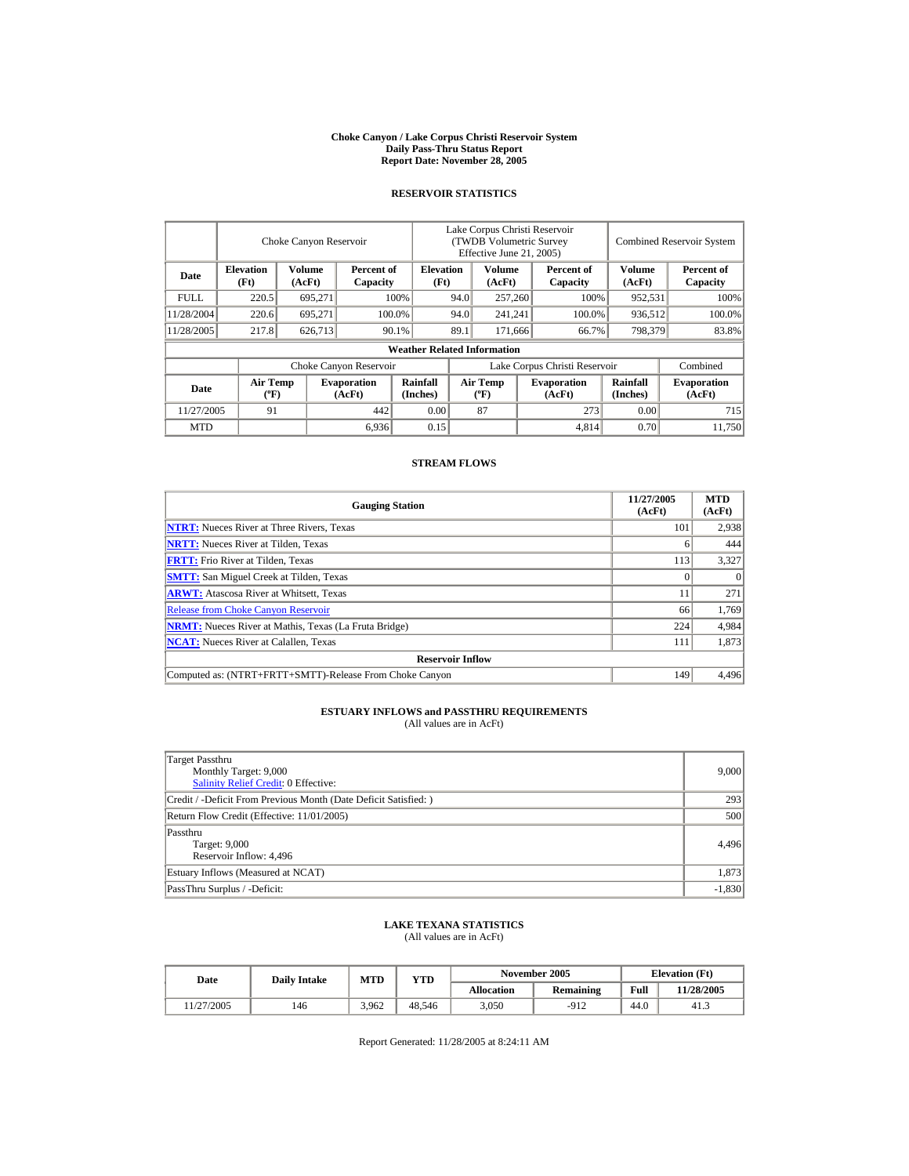#### **Choke Canyon / Lake Corpus Christi Reservoir System Daily Pass-Thru Status Report Report Date: November 28, 2005**

### **RESERVOIR STATISTICS**

|             |                                             | Choke Canyon Reservoir |                              |                                    | Lake Corpus Christi Reservoir<br>(TWDB Volumetric Survey<br>Effective June 21, 2005) |                                             |       |                              |                             | <b>Combined Reservoir System</b> |
|-------------|---------------------------------------------|------------------------|------------------------------|------------------------------------|--------------------------------------------------------------------------------------|---------------------------------------------|-------|------------------------------|-----------------------------|----------------------------------|
| Date        | <b>Elevation</b><br>(Ft)                    | Volume<br>(AcFt)       | Percent of<br>Capacity       | <b>Elevation</b><br>(Ft)           |                                                                                      | Volume<br>(AcFt)                            |       | Percent of<br>Capacity       | Volume<br>(AcFt)            | Percent of<br>Capacity           |
| <b>FULL</b> | 220.5                                       | 695,271                |                              | 100%                               | 94.0                                                                                 | 257,260                                     |       | 100%                         | 952,531                     | 100%                             |
| 11/28/2004  | 220.6                                       | 695.271                |                              | 100.0%                             | 94.0                                                                                 | 241,241                                     |       | 100.0%                       | 936,512                     | 100.0%                           |
| 11/28/2005  | 217.8                                       | 626,713                |                              | 90.1%                              | 89.1<br>171,666                                                                      |                                             | 66.7% | 798,379                      | 83.8%                       |                                  |
|             |                                             |                        |                              | <b>Weather Related Information</b> |                                                                                      |                                             |       |                              |                             |                                  |
|             |                                             |                        | Choke Canyon Reservoir       |                                    | Lake Corpus Christi Reservoir                                                        |                                             |       |                              | Combined                    |                                  |
| Date        | <b>Air Temp</b><br>$({}^{\circ}\mathrm{F})$ |                        | <b>Evaporation</b><br>(AcFt) | Rainfall<br>(Inches)               |                                                                                      | <b>Air Temp</b><br>$({}^{\circ}\mathbf{F})$ |       | <b>Evaporation</b><br>(AcFt) | <b>Rainfall</b><br>(Inches) | <b>Evaporation</b><br>(AcFt)     |
| 11/27/2005  | 91                                          |                        | 442                          | 0.00                               |                                                                                      | 87                                          |       | 273                          | 0.00                        | 715                              |
| <b>MTD</b>  |                                             |                        | 6,936                        | 0.15                               |                                                                                      |                                             |       | 4,814                        | 0.70                        | 11.750                           |

### **STREAM FLOWS**

| <b>Gauging Station</b>                                       | 11/27/2005<br>(AcFt) | <b>MTD</b><br>(AcFt) |
|--------------------------------------------------------------|----------------------|----------------------|
| <b>NTRT:</b> Nueces River at Three Rivers, Texas             | 101                  | 2,938                |
| <b>NRTT:</b> Nueces River at Tilden, Texas                   | o                    | 444                  |
| <b>FRTT:</b> Frio River at Tilden, Texas                     | 113                  | 3,327                |
| <b>SMTT:</b> San Miguel Creek at Tilden, Texas               |                      | $\theta$             |
| <b>ARWT:</b> Atascosa River at Whitsett, Texas               |                      | 271                  |
| <b>Release from Choke Canyon Reservoir</b>                   | 66                   | 1,769                |
| <b>NRMT:</b> Nueces River at Mathis, Texas (La Fruta Bridge) | 224                  | 4,984                |
| <b>NCAT:</b> Nueces River at Calallen, Texas                 | 111                  | 1,873                |
| <b>Reservoir Inflow</b>                                      |                      |                      |
| Computed as: (NTRT+FRTT+SMTT)-Release From Choke Canyon      | 149                  | 4.496                |

# **ESTUARY INFLOWS and PASSTHRU REQUIREMENTS**<br>(All values are in AcFt)

| Target Passthru<br>Monthly Target: 9,000<br>Salinity Relief Credit: 0 Effective: | 9,000    |
|----------------------------------------------------------------------------------|----------|
| Credit / -Deficit From Previous Month (Date Deficit Satisfied:)                  | 293      |
| Return Flow Credit (Effective: 11/01/2005)                                       | 500      |
| Passthru<br>Target: 9,000<br>Reservoir Inflow: 4,496                             | 4,496    |
| Estuary Inflows (Measured at NCAT)                                               | 1,873    |
| PassThru Surplus / -Deficit:                                                     | $-1,830$ |

## **LAKE TEXANA STATISTICS**

(All values are in AcFt)

| Date      | <b>Daily Intake</b> | <b>MTD</b> | VTD    |            | November 2005    | <b>Elevation</b> (Ft) |            |
|-----------|---------------------|------------|--------|------------|------------------|-----------------------|------------|
|           |                     |            |        | Allocation | <b>Remaining</b> | Full                  | 11/28/2005 |
| 1/27/2005 | 146                 | 3.962      | 48.546 | 3,050      | $-912$           | 44.0                  | 41.3       |

Report Generated: 11/28/2005 at 8:24:11 AM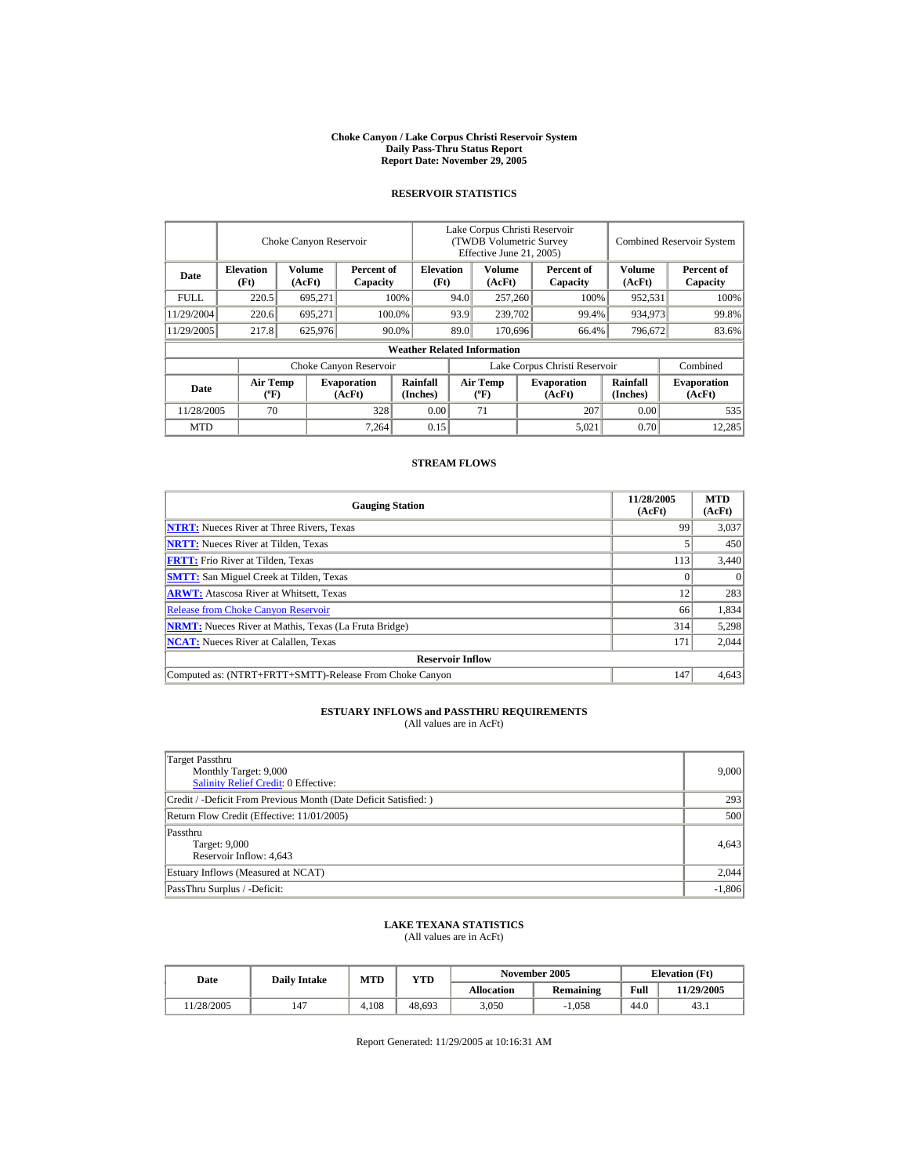#### **Choke Canyon / Lake Corpus Christi Reservoir System Daily Pass-Thru Status Report Report Date: November 29, 2005**

### **RESERVOIR STATISTICS**

|             |                                             | Choke Canyon Reservoir |                              |                                    | Lake Corpus Christi Reservoir<br>(TWDB Volumetric Survey<br>Effective June 21, 2005) |                                             |  |                              |                      | <b>Combined Reservoir System</b> |
|-------------|---------------------------------------------|------------------------|------------------------------|------------------------------------|--------------------------------------------------------------------------------------|---------------------------------------------|--|------------------------------|----------------------|----------------------------------|
| Date        | <b>Elevation</b><br>(Ft)                    | Volume<br>(AcFt)       | Percent of<br>Capacity       | <b>Elevation</b><br>(Ft)           |                                                                                      | Volume<br>(AcFt)                            |  | Percent of<br>Capacity       | Volume<br>(AcFt)     | Percent of<br>Capacity           |
| <b>FULL</b> | 220.5                                       | 695,271                |                              | 100%                               | 94.0                                                                                 | 257,260                                     |  | 100%                         | 952,531              | 100%                             |
| 11/29/2004  | 220.6                                       | 695.271                |                              | 100.0%                             | 93.9                                                                                 | 239,702                                     |  | 99.4%                        | 934,973              | 99.8%                            |
| 11/29/2005  | 217.8                                       | 625,976                |                              | 90.0%                              | 89.0                                                                                 | 170,696                                     |  | 66.4%                        | 796,672              | 83.6%                            |
|             |                                             |                        |                              | <b>Weather Related Information</b> |                                                                                      |                                             |  |                              |                      |                                  |
|             |                                             |                        | Choke Canyon Reservoir       |                                    | Lake Corpus Christi Reservoir                                                        |                                             |  |                              | Combined             |                                  |
| Date        | <b>Air Temp</b><br>$({}^{\circ}\mathrm{F})$ |                        | <b>Evaporation</b><br>(AcFt) | Rainfall<br>(Inches)               |                                                                                      | <b>Air Temp</b><br>$({}^{\circ}\mathbf{F})$ |  | <b>Evaporation</b><br>(AcFt) | Rainfall<br>(Inches) | <b>Evaporation</b><br>(AcFt)     |
| 11/28/2005  | 70                                          |                        | 328                          | 0.00                               |                                                                                      | 71                                          |  | 207                          | 0.00                 | 535                              |
| <b>MTD</b>  |                                             |                        | 7.264                        | 0.15                               |                                                                                      |                                             |  | 5,021                        | 0.70                 | 12.285                           |

### **STREAM FLOWS**

| <b>Gauging Station</b>                                       | 11/28/2005<br>(AcFt) | <b>MTD</b><br>(AcFt) |
|--------------------------------------------------------------|----------------------|----------------------|
| <b>NTRT:</b> Nueces River at Three Rivers, Texas             | 99                   | 3,037                |
| <b>NRTT:</b> Nueces River at Tilden, Texas                   |                      | 450                  |
| <b>FRTT:</b> Frio River at Tilden, Texas                     | 113                  | 3,440                |
| <b>SMTT:</b> San Miguel Creek at Tilden, Texas               |                      | $\Omega$             |
| <b>ARWT:</b> Atascosa River at Whitsett, Texas               | 12                   | 283                  |
| <b>Release from Choke Canyon Reservoir</b>                   | 66                   | 1,834                |
| <b>NRMT:</b> Nueces River at Mathis, Texas (La Fruta Bridge) | 314                  | 5,298                |
| <b>NCAT:</b> Nueces River at Calallen. Texas                 | 171                  | 2,044                |
| <b>Reservoir Inflow</b>                                      |                      |                      |
| Computed as: (NTRT+FRTT+SMTT)-Release From Choke Canyon      | 147                  | 4.643                |

# **ESTUARY INFLOWS and PASSTHRU REQUIREMENTS**<br>(All values are in AcFt)

| Target Passthru<br>Monthly Target: 9,000<br>Salinity Relief Credit: 0 Effective: | 9,000    |
|----------------------------------------------------------------------------------|----------|
| Credit / -Deficit From Previous Month (Date Deficit Satisfied:)                  | 293      |
| Return Flow Credit (Effective: 11/01/2005)                                       | 500      |
| Passthru<br>Target: 9,000<br>Reservoir Inflow: 4,643                             | 4,643    |
| Estuary Inflows (Measured at NCAT)                                               | 2,044    |
| PassThru Surplus / -Deficit:                                                     | $-1,806$ |

## **LAKE TEXANA STATISTICS**

(All values are in AcFt)

| Date      | <b>Daily Intake</b> | <b>MTD</b> | VTD    |            | November 2005    | <b>Elevation</b> (Ft) |            |
|-----------|---------------------|------------|--------|------------|------------------|-----------------------|------------|
|           |                     |            |        | Allocation | <b>Remaining</b> | Full                  | 11/29/2005 |
| 1/28/2005 | 147                 | 4.108      | 48,693 | 3,050      | $-1.058$         | 44.0                  | 43.1       |

Report Generated: 11/29/2005 at 10:16:31 AM